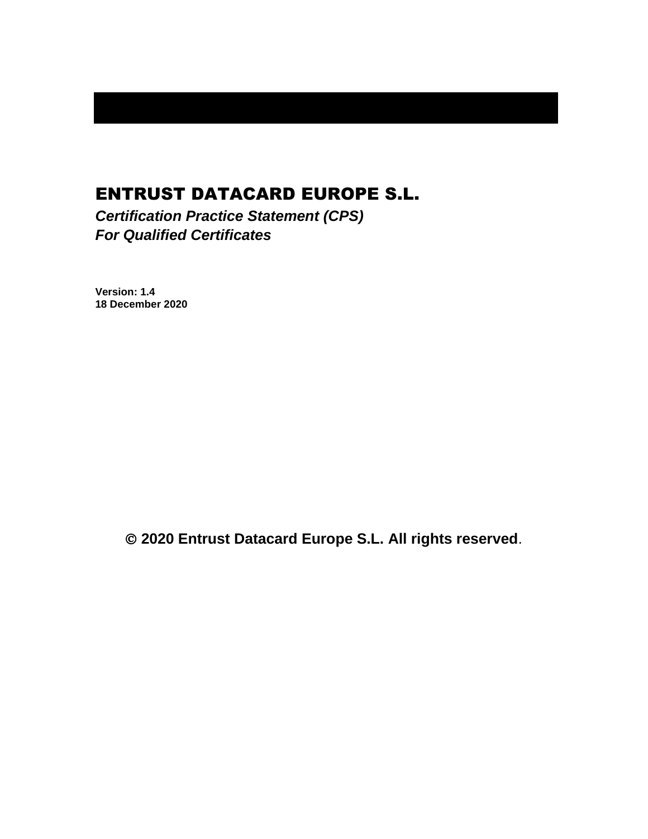# ENTRUST DATACARD EUROPE S.L.

*Certification Practice Statement (CPS) For Qualified Certificates*

**Version: 1.4 18 December 2020**

© **2020 Entrust Datacard Europe S.L. All rights reserved**.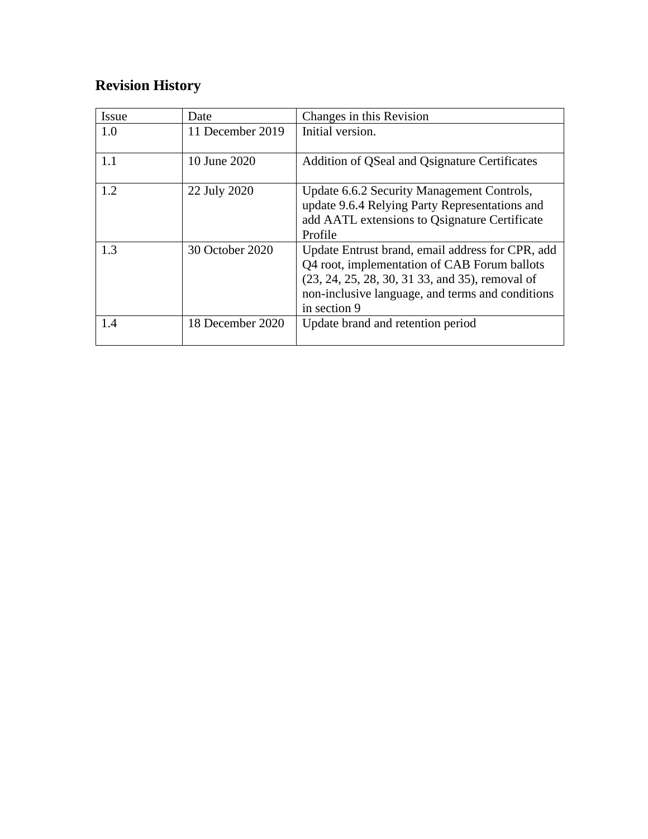# **Revision History**

| Issue | Date             | Changes in this Revision                                                                                                                                                                                                |
|-------|------------------|-------------------------------------------------------------------------------------------------------------------------------------------------------------------------------------------------------------------------|
| 1.0   | 11 December 2019 | Initial version.                                                                                                                                                                                                        |
| 1.1   | 10 June 2020     | Addition of QSeal and Qsignature Certificates                                                                                                                                                                           |
| 1.2   | 22 July 2020     | Update 6.6.2 Security Management Controls,<br>update 9.6.4 Relying Party Representations and<br>add AATL extensions to Osignature Certificate<br>Profile                                                                |
| 1.3   | 30 October 2020  | Update Entrust brand, email address for CPR, add<br>Q4 root, implementation of CAB Forum ballots<br>(23, 24, 25, 28, 30, 31 33, and 35), removal of<br>non-inclusive language, and terms and conditions<br>in section 9 |
| 1.4   | 18 December 2020 | Update brand and retention period                                                                                                                                                                                       |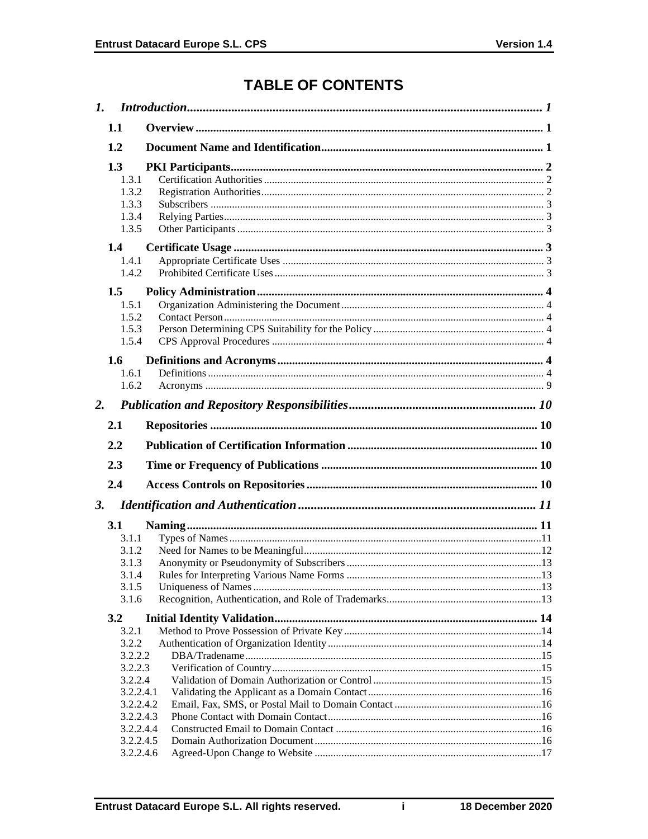# **TABLE OF CONTENTS**

| $\mathbf{I}$ . |                                                                           |  |
|----------------|---------------------------------------------------------------------------|--|
|                | 1.1                                                                       |  |
|                | 1.2                                                                       |  |
|                | 1.3<br>1.3.1<br>1.3.2<br>1.3.3<br>1.3.4<br>1.3.5                          |  |
|                | 1.4<br>1.4.1<br>1.4.2                                                     |  |
|                | 1.5<br>1.5.1<br>1.5.2<br>1.5.3<br>1.5.4                                   |  |
|                | 1.6<br>1.6.1<br>1.6.2                                                     |  |
| 2.             |                                                                           |  |
|                | 2.1                                                                       |  |
|                |                                                                           |  |
|                |                                                                           |  |
|                | 2.2                                                                       |  |
|                | 2.3                                                                       |  |
|                | 2.4                                                                       |  |
| 3.             |                                                                           |  |
|                | <b>3.1</b><br>3.1.1<br>3.1.2<br>3.1.3<br>3.1.4<br>3.1.5<br>3.1.6          |  |
|                | 3.2                                                                       |  |
|                | 3.2.1<br>3.2.2<br>3.2.2.2<br>3.2.2.3<br>3.2.2.4<br>3.2.2.4.1<br>3.2.2.4.2 |  |
|                | 3.2.2.4.3<br>3.2.2.4.4<br>3.2.2.4.5                                       |  |

 $\mathbf{i}$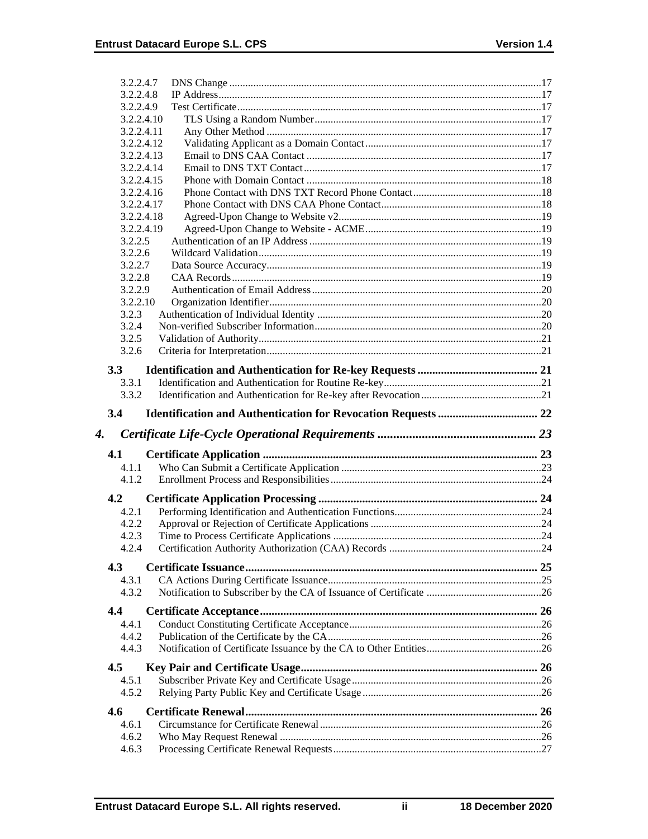| 3.2.2.4.7           |  |
|---------------------|--|
| 3.2.2.4.8           |  |
| 3.2.2.4.9           |  |
| 3.2.2.4.10          |  |
| 3.2.2.4.11          |  |
| 3.2.2.4.12          |  |
| 3.2.2.4.13          |  |
| 3.2.2.4.14          |  |
| 3.2.2.4.15          |  |
| 3.2.2.4.16          |  |
| 3.2.2.4.17          |  |
| 3.2.2.4.18          |  |
| 3.2.2.4.19          |  |
| 3.2.2.5             |  |
| 3.2.2.6             |  |
| 3.2.2.7             |  |
| 3.2.2.8             |  |
| 3.2.2.9<br>3.2.2.10 |  |
| 3.2.3               |  |
| 3.2.4               |  |
| 3.2.5               |  |
| 3.2.6               |  |
|                     |  |
| 3.3                 |  |
| 3.3.1               |  |
| 3.3.2               |  |
| 3.4                 |  |
|                     |  |
|                     |  |
| 4.<br>4.1           |  |
| 4.1.1               |  |
| 4.1.2               |  |
|                     |  |
| 4.2                 |  |
| 4.2.1               |  |
| 4.2.2               |  |
| 4.2.3<br>4.2.4      |  |
|                     |  |
| 4.3                 |  |
| 4.3.1               |  |
| 4.3.2               |  |
| 4.4                 |  |
| 4.4.1               |  |
| 4.4.2               |  |
| 4.4.3               |  |
|                     |  |
| 4.5                 |  |
| 4.5.1               |  |
| 4.5.2               |  |
| 4.6                 |  |
| 4.6.1               |  |
| 4.6.2<br>4.6.3      |  |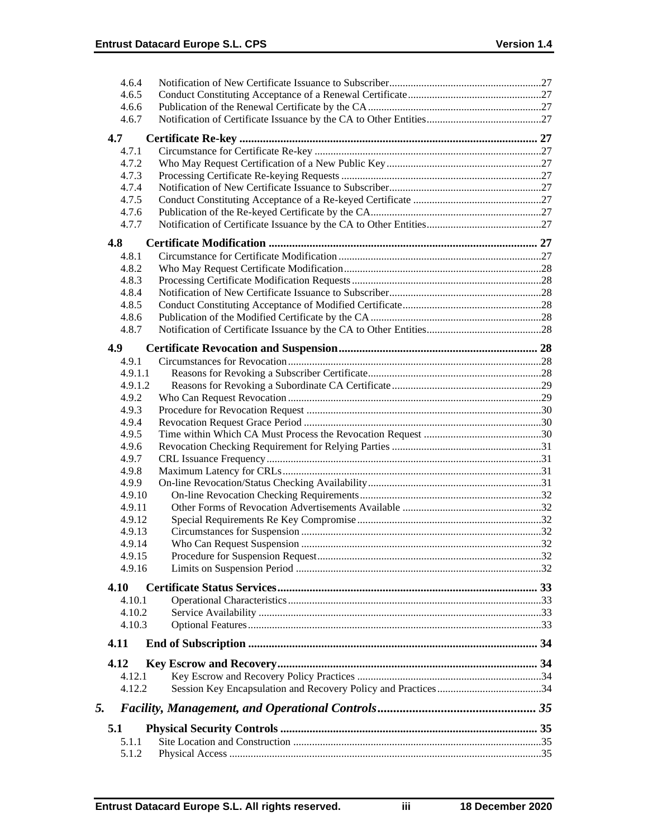| 4.6.4   |  |
|---------|--|
| 4.6.5   |  |
| 4.6.6   |  |
| 4.6.7   |  |
| 4.7     |  |
| 4.7.1   |  |
| 4.7.2   |  |
| 4.7.3   |  |
| 4.7.4   |  |
| 4.7.5   |  |
| 4.7.6   |  |
| 4.7.7   |  |
| 4.8     |  |
| 4.8.1   |  |
| 4.8.2   |  |
| 4.8.3   |  |
| 4.8.4   |  |
| 4.8.5   |  |
| 4.8.6   |  |
| 4.8.7   |  |
| 4.9     |  |
| 4.9.1   |  |
| 4.9.1.1 |  |
| 4.9.1.2 |  |
| 4.9.2   |  |
| 4.9.3   |  |
| 4.9.4   |  |
| 4.9.5   |  |
| 4.9.6   |  |
| 4.9.7   |  |
| 4.9.8   |  |
| 4.9.9   |  |
| 4.9.10  |  |
| 4.9.11  |  |
| 4.9.12  |  |
| 4.9.13  |  |
| 4.9.14  |  |
| 4.9.15  |  |
| 4.9.16  |  |
| 4.10    |  |
| 4.10.1  |  |
| 4.10.2  |  |
| 4.10.3  |  |
| 4.11    |  |
| 4.12    |  |
| 4.12.1  |  |
| 4.12.2  |  |
| 5.      |  |
|         |  |
| 5.1     |  |
| 5.1.1   |  |
| 5.1.2   |  |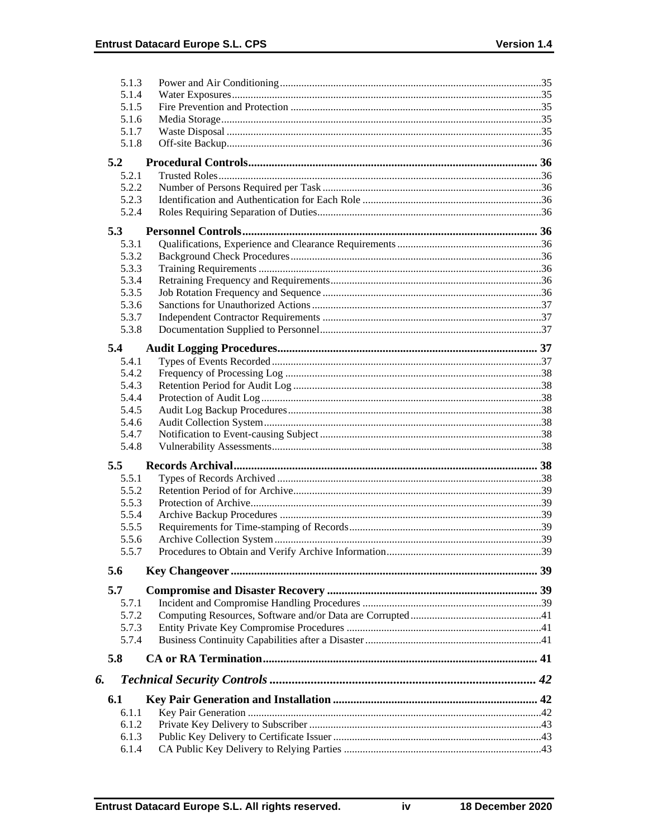|    | 5.1.3          |  |
|----|----------------|--|
|    | 5.1.4          |  |
|    | 5.1.5          |  |
|    | 5.1.6          |  |
|    | 5.1.7          |  |
|    | 5.1.8          |  |
|    | 5.2            |  |
|    | 5.2.1          |  |
|    | 5.2.2          |  |
|    | 5.2.3          |  |
|    | 5.2.4          |  |
|    |                |  |
|    | 5.3            |  |
|    | 5.3.1          |  |
|    | 5.3.2          |  |
|    | 5.3.3          |  |
|    | 5.3.4          |  |
|    | 5.3.5          |  |
|    | 5.3.6          |  |
|    | 5.3.7          |  |
|    | 5.3.8          |  |
|    | 5.4            |  |
|    | 5.4.1          |  |
|    | 5.4.2          |  |
|    | 5.4.3          |  |
|    | 5.4.4          |  |
|    | 5.4.5          |  |
|    | 5.4.6          |  |
|    | 5.4.7          |  |
|    | 5.4.8          |  |
|    |                |  |
|    | 5.5            |  |
|    | 5.5.1          |  |
|    | 5.5.2          |  |
|    | 5.5.3          |  |
|    | 5.5.4<br>5.5.5 |  |
|    | 5.5.6          |  |
|    | 5.5.7          |  |
|    |                |  |
|    | 5.6            |  |
|    | 5.7            |  |
|    | 5.7.1          |  |
|    | 5.7.2          |  |
|    | 5.7.3          |  |
|    | 5.7.4          |  |
|    |                |  |
|    | 5.8            |  |
| 6. |                |  |
|    | 6.1            |  |
|    | 6.1.1          |  |
|    |                |  |
|    | 6.1.2          |  |
|    | 6.1.3          |  |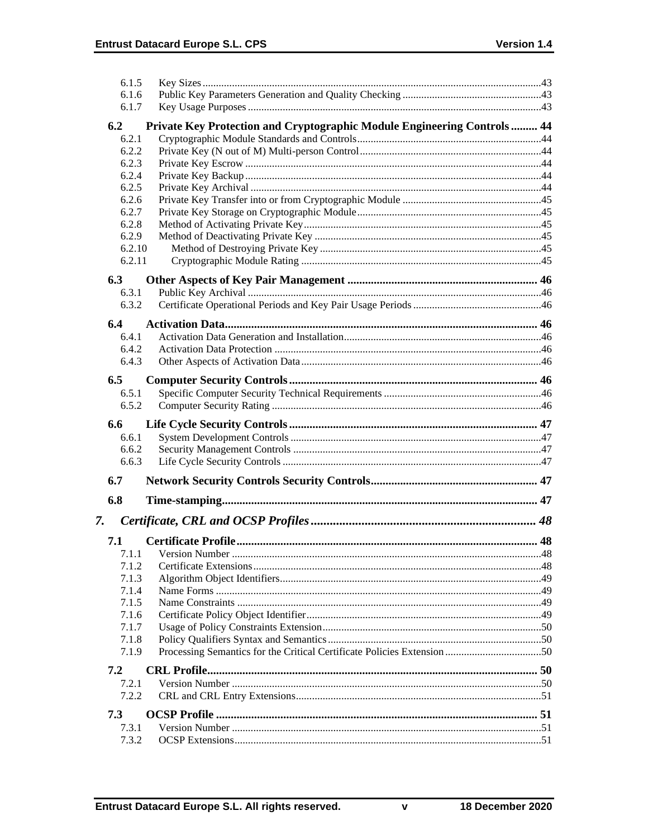|    | 6.1.5          |                                                                          |  |
|----|----------------|--------------------------------------------------------------------------|--|
|    | 6.1.6          |                                                                          |  |
|    | 6.1.7          |                                                                          |  |
|    | 6.2            | Private Key Protection and Cryptographic Module Engineering Controls  44 |  |
|    | 6.2.1          |                                                                          |  |
|    | 6.2.2          |                                                                          |  |
|    | 6.2.3          |                                                                          |  |
|    | 6.2.4          |                                                                          |  |
|    | 6.2.5          |                                                                          |  |
|    | 6.2.6          |                                                                          |  |
|    | 6.2.7          |                                                                          |  |
|    | 6.2.8<br>6.2.9 |                                                                          |  |
|    | 6.2.10         |                                                                          |  |
|    | 6.2.11         |                                                                          |  |
|    |                |                                                                          |  |
|    | 6.3            |                                                                          |  |
|    | 6.3.1          |                                                                          |  |
|    | 6.3.2          |                                                                          |  |
|    | 6.4            |                                                                          |  |
|    | 6.4.1          |                                                                          |  |
|    | 6.4.2          |                                                                          |  |
|    | 6.4.3          |                                                                          |  |
|    | 6.5            |                                                                          |  |
|    | 6.5.1          |                                                                          |  |
|    | 6.5.2          |                                                                          |  |
|    | 6.6            |                                                                          |  |
|    | 6.6.1          |                                                                          |  |
|    |                |                                                                          |  |
|    | 6.6.2          |                                                                          |  |
|    | 6.6.3          |                                                                          |  |
|    | 6.7            |                                                                          |  |
|    | 6.8            |                                                                          |  |
|    |                |                                                                          |  |
| 7. |                |                                                                          |  |
|    | 7.1            |                                                                          |  |
|    | 7.1.1          |                                                                          |  |
|    | 7.1.2          |                                                                          |  |
|    | 7.1.3          |                                                                          |  |
|    | 7.1.4          |                                                                          |  |
|    | 7.1.5          |                                                                          |  |
|    | 7.1.6          |                                                                          |  |
|    | 7.1.7          |                                                                          |  |
|    | 7.1.8<br>7.1.9 |                                                                          |  |
|    | 7.2            |                                                                          |  |
|    | 7.2.1          |                                                                          |  |
|    | 7.2.2          |                                                                          |  |
|    | 7.3            |                                                                          |  |
|    | 7.3.1          |                                                                          |  |
|    | 7.3.2          |                                                                          |  |

 $\mathbf v$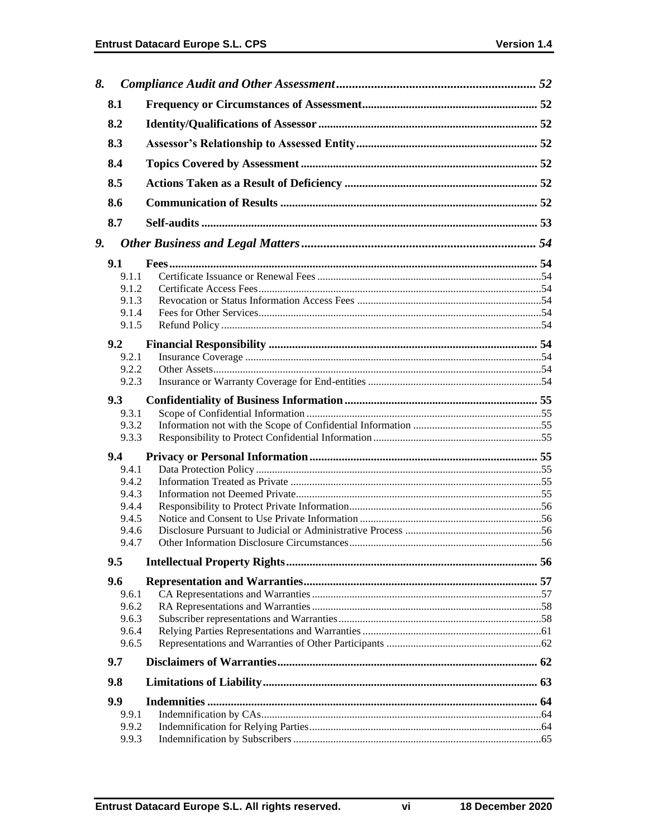| 8. |       |  |
|----|-------|--|
|    | 8.1   |  |
|    | 8.2   |  |
|    | 8.3   |  |
|    | 8.4   |  |
|    | 8.5   |  |
|    | 8.6   |  |
|    | 8.7   |  |
| 9. |       |  |
|    |       |  |
|    | 9.1   |  |
|    | 9.1.1 |  |
|    | 9.1.2 |  |
|    | 9.1.3 |  |
|    | 9.1.4 |  |
|    | 9.1.5 |  |
|    |       |  |
|    | 9.2   |  |
|    | 9.2.1 |  |
|    | 9.2.2 |  |
|    | 9.2.3 |  |
|    | 9.3   |  |
|    | 9.3.1 |  |
|    | 9.3.2 |  |
|    | 9.3.3 |  |
|    |       |  |
|    | 9.4   |  |
|    | 9.4.1 |  |
|    | 9.4.2 |  |
|    | 9.4.3 |  |
|    | 9.4.4 |  |
|    | 9.4.5 |  |
|    |       |  |
|    | 9.4.6 |  |
|    | 9.4.7 |  |
|    | 9.5   |  |
|    | 9.6   |  |
|    | 9.6.1 |  |
|    | 9.6.2 |  |
|    |       |  |
|    | 9.6.3 |  |
|    | 9.6.4 |  |
|    | 9.6.5 |  |
|    | 9.7   |  |
|    | 9.8   |  |
|    | 9.9   |  |
|    | 9.9.1 |  |
|    |       |  |
|    | 9.9.2 |  |
|    | 9.9.3 |  |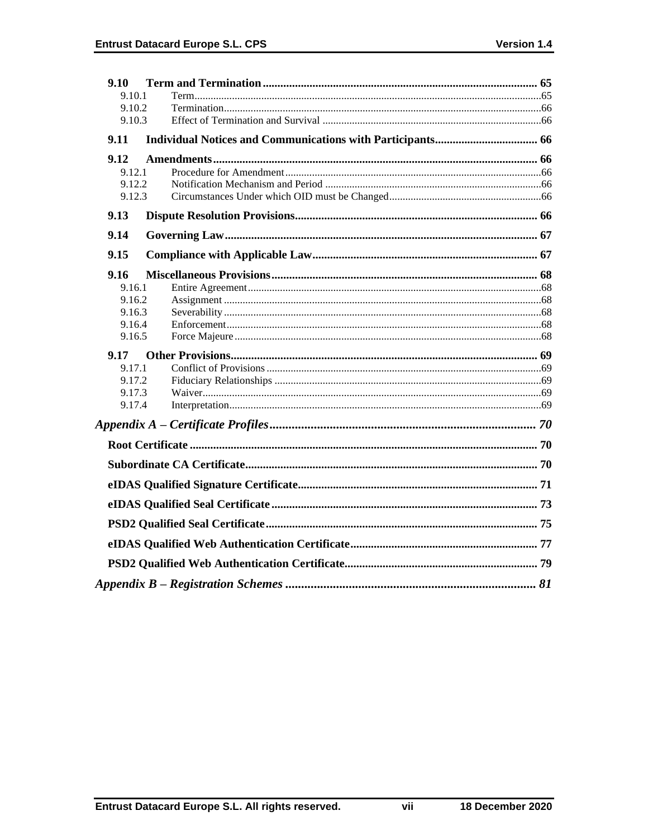| 9.10             |  |
|------------------|--|
| 9.10.1           |  |
| 9.10.2           |  |
| 9.10.3           |  |
| 9.11             |  |
| 9.12             |  |
| 9.12.1           |  |
| 9.12.2           |  |
| 9.12.3           |  |
| 9.13             |  |
| 9.14             |  |
| 9.15             |  |
| 9.16             |  |
| 9.16.1           |  |
| 9.16.2           |  |
| 9.16.3           |  |
| 9.16.4<br>9.16.5 |  |
|                  |  |
| 9.17<br>9.17.1   |  |
| 9.17.2           |  |
| 9.17.3           |  |
| 9.17.4           |  |
|                  |  |
|                  |  |
|                  |  |
|                  |  |
|                  |  |
|                  |  |
|                  |  |
|                  |  |
|                  |  |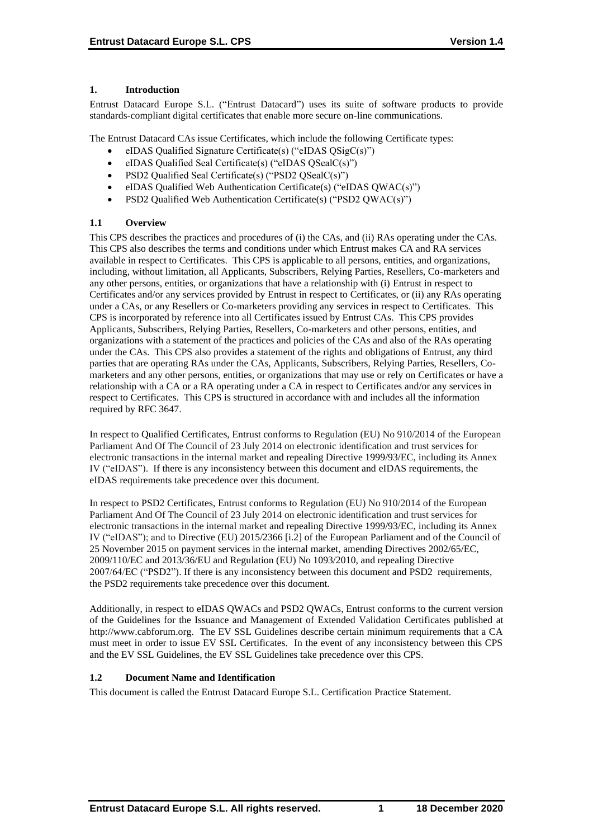# **1. Introduction**

Entrust Datacard Europe S.L. ("Entrust Datacard") uses its suite of software products to provide standards-compliant digital certificates that enable more secure on-line communications.

The Entrust Datacard CAs issue Certificates, which include the following Certificate types:

- eIDAS Qualified Signature Certificate(s) ("eIDAS QSigC(s)")
- eIDAS Qualified Seal Certificate(s) ("eIDAS QSealC(s)")
- PSD2 Qualified Seal Certificate(s) ("PSD2 QSealC(s)")
- eIDAS Qualified Web Authentication Certificate(s) ("eIDAS QWAC(s)")
- PSD2 Qualified Web Authentication Certificate(s) ("PSD2 QWAC(s)")

# **1.1 Overview**

This CPS describes the practices and procedures of (i) the CAs, and (ii) RAs operating under the CAs. This CPS also describes the terms and conditions under which Entrust makes CA and RA services available in respect to Certificates. This CPS is applicable to all persons, entities, and organizations, including, without limitation, all Applicants, Subscribers, Relying Parties, Resellers, Co-marketers and any other persons, entities, or organizations that have a relationship with (i) Entrust in respect to Certificates and/or any services provided by Entrust in respect to Certificates, or (ii) any RAs operating under a CAs, or any Resellers or Co-marketers providing any services in respect to Certificates. This CPS is incorporated by reference into all Certificates issued by Entrust CAs. This CPS provides Applicants, Subscribers, Relying Parties, Resellers, Co-marketers and other persons, entities, and organizations with a statement of the practices and policies of the CAs and also of the RAs operating under the CAs. This CPS also provides a statement of the rights and obligations of Entrust, any third parties that are operating RAs under the CAs, Applicants, Subscribers, Relying Parties, Resellers, Comarketers and any other persons, entities, or organizations that may use or rely on Certificates or have a relationship with a CA or a RA operating under a CA in respect to Certificates and/or any services in respect to Certificates. This CPS is structured in accordance with and includes all the information required by RFC 3647.

In respect to Qualified Certificates, Entrust conforms to Regulation (EU) No 910/2014 of the European Parliament And Of The Council of 23 July 2014 on electronic identification and trust services for electronic transactions in the internal market and repealing Directive 1999/93/EC, including its Annex IV ("eIDAS"). If there is any inconsistency between this document and eIDAS requirements, the eIDAS requirements take precedence over this document.

In respect to PSD2 Certificates, Entrust conforms to Regulation (EU) No 910/2014 of the European Parliament And Of The Council of 23 July 2014 on electronic identification and trust services for electronic transactions in the internal market and repealing Directive 1999/93/EC, including its Annex IV ("eIDAS"); and to Directive (EU) 2015/2366 [i.2] of the European Parliament and of the Council of 25 November 2015 on payment services in the internal market, amending Directives 2002/65/EC, 2009/110/EC and 2013/36/EU and Regulation (EU) No 1093/2010, and repealing Directive 2007/64/EC ("PSD2"). If there is any inconsistency between this document and PSD2 requirements, the PSD2 requirements take precedence over this document.

Additionally, in respect to eIDAS QWACs and PSD2 QWACs, Entrust conforms to the current version of the Guidelines for the Issuance and Management of Extended Validation Certificates published at http://www.cabforum.org. The EV SSL Guidelines describe certain minimum requirements that a CA must meet in order to issue EV SSL Certificates. In the event of any inconsistency between this CPS and the EV SSL Guidelines, the EV SSL Guidelines take precedence over this CPS.

# **1.2 Document Name and Identification**

This document is called the Entrust Datacard Europe S.L. Certification Practice Statement.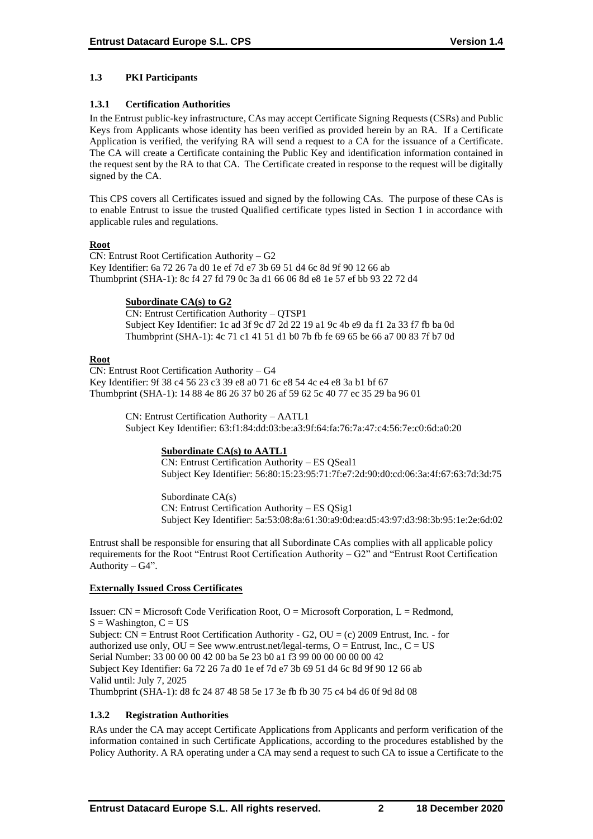# **1.3 PKI Participants**

# **1.3.1 Certification Authorities**

In the Entrust public-key infrastructure, CAs may accept Certificate Signing Requests (CSRs) and Public Keys from Applicants whose identity has been verified as provided herein by an RA. If a Certificate Application is verified, the verifying RA will send a request to a CA for the issuance of a Certificate. The CA will create a Certificate containing the Public Key and identification information contained in the request sent by the RA to that CA. The Certificate created in response to the request will be digitally signed by the CA.

This CPS covers all Certificates issued and signed by the following CAs. The purpose of these CAs is to enable Entrust to issue the trusted Qualified certificate types listed in Section 1 in accordance with applicable rules and regulations.

# **Root**

CN: Entrust Root Certification Authority – G2 Key Identifier: 6a 72 26 7a d0 1e ef 7d e7 3b 69 51 d4 6c 8d 9f 90 12 66 ab Thumbprint (SHA-1): 8c f4 27 fd 79 0c 3a d1 66 06 8d e8 1e 57 ef bb 93 22 72 d4

#### **Subordinate CA(s) to G2**

CN: Entrust Certification Authority – QTSP1 Subject Key Identifier: 1c ad 3f 9c d7 2d 22 19 a1 9c 4b e9 da f1 2a 33 f7 fb ba 0d Thumbprint (SHA-1): 4c 71 c1 41 51 d1 b0 7b fb fe 69 65 be 66 a7 00 83 7f b7 0d

#### **Root**

CN: Entrust Root Certification Authority – G4 Key Identifier: 9f 38 c4 56 23 c3 39 e8 a0 71 6c e8 54 4c e4 e8 3a b1 bf 67 Thumbprint (SHA-1): 14 88 4e 86 26 37 b0 26 af 59 62 5c 40 77 ec 35 29 ba 96 01

> CN: Entrust Certification Authority – AATL1 Subject Key Identifier: 63:f1:84:dd:03:be:a3:9f:64:fa:76:7a:47:c4:56:7e:c0:6d:a0:20

# **Subordinate CA(s) to AATL1**

CN: Entrust Certification Authority – ES QSeal1 Subject Key Identifier: 56:80:15:23:95:71:7f:e7:2d:90:d0:cd:06:3a:4f:67:63:7d:3d:75

Subordinate CA(s) CN: Entrust Certification Authority – ES QSig1 Subject Key Identifier: 5a:53:08:8a:61:30:a9:0d:ea:d5:43:97:d3:98:3b:95:1e:2e:6d:02

Entrust shall be responsible for ensuring that all Subordinate CAs complies with all applicable policy requirements for the Root "Entrust Root Certification Authority – G2" and "Entrust Root Certification Authority –  $G4$ ".

# **Externally Issued Cross Certificates**

Issuer:  $CN = Microsoft Code Verification Root, O = Microsoft Corporation, L = Redmond,$  $S = Washington, C = US$ Subject:  $CN =$  Entrust Root Certification Authority - G2,  $OU = (c)$  2009 Entrust, Inc. - for authorized use only,  $OU = See$  www.entrust.net/legal-terms,  $O =$  Entrust, Inc.,  $C = US$ Serial Number: 33 00 00 00 42 00 ba 5e 23 b0 a1 f3 99 00 00 00 00 00 42 Subject Key Identifier: 6a 72 26 7a d0 1e ef 7d e7 3b 69 51 d4 6c 8d 9f 90 12 66 ab Valid until: July 7, 2025 Thumbprint (SHA-1): d8 fc 24 87 48 58 5e 17 3e fb fb 30 75 c4 b4 d6 0f 9d 8d 08

# **1.3.2 Registration Authorities**

RAs under the CA may accept Certificate Applications from Applicants and perform verification of the information contained in such Certificate Applications, according to the procedures established by the Policy Authority. A RA operating under a CA may send a request to such CA to issue a Certificate to the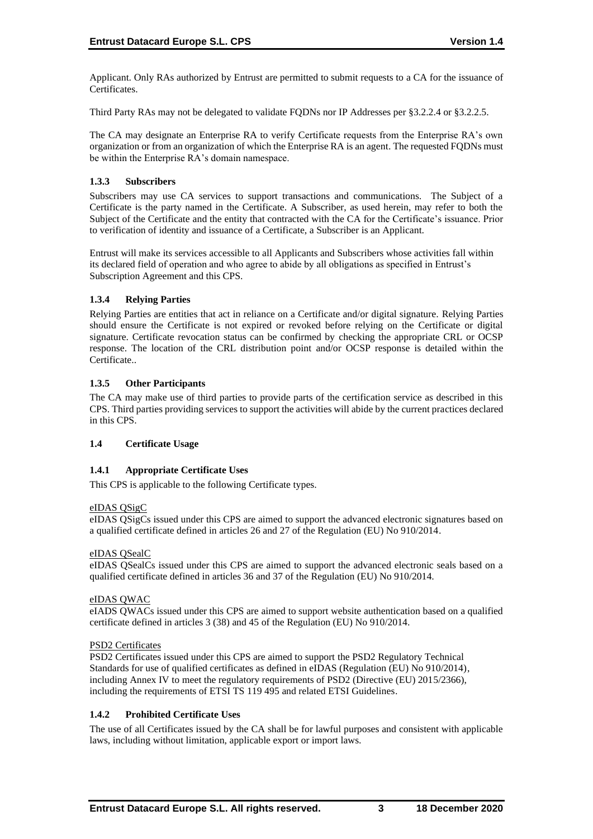Applicant. Only RAs authorized by Entrust are permitted to submit requests to a CA for the issuance of Certificates.

Third Party RAs may not be delegated to validate FQDNs nor IP Addresses per §3.2.2.4 or §3.2.2.5.

The CA may designate an Enterprise RA to verify Certificate requests from the Enterprise RA's own organization or from an organization of which the Enterprise RA is an agent. The requested FQDNs must be within the Enterprise RA's domain namespace.

# **1.3.3 Subscribers**

Subscribers may use CA services to support transactions and communications. The Subject of a Certificate is the party named in the Certificate. A Subscriber, as used herein, may refer to both the Subject of the Certificate and the entity that contracted with the CA for the Certificate's issuance. Prior to verification of identity and issuance of a Certificate, a Subscriber is an Applicant.

Entrust will make its services accessible to all Applicants and Subscribers whose activities fall within its declared field of operation and who agree to abide by all obligations as specified in Entrust's Subscription Agreement and this CPS.

#### **1.3.4 Relying Parties**

Relying Parties are entities that act in reliance on a Certificate and/or digital signature. Relying Parties should ensure the Certificate is not expired or revoked before relying on the Certificate or digital signature. Certificate revocation status can be confirmed by checking the appropriate CRL or OCSP response. The location of the CRL distribution point and/or OCSP response is detailed within the Certificate..

#### **1.3.5 Other Participants**

The CA may make use of third parties to provide parts of the certification service as described in this CPS. Third parties providing services to support the activities will abide by the current practices declared in this CPS.

# **1.4 Certificate Usage**

# **1.4.1 Appropriate Certificate Uses**

This CPS is applicable to the following Certificate types.

#### eIDAS QSigC

eIDAS QSigCs issued under this CPS are aimed to support the advanced electronic signatures based on a qualified certificate defined in articles 26 and 27 of the Regulation (EU) No 910/2014.

#### eIDAS QSealC

eIDAS QSealCs issued under this CPS are aimed to support the advanced electronic seals based on a qualified certificate defined in articles 36 and 37 of the Regulation (EU) No 910/2014.

#### eIDAS QWAC

eIADS QWACs issued under this CPS are aimed to support website authentication based on a qualified certificate defined in articles 3 (38) and 45 of the Regulation (EU) No 910/2014.

#### PSD2 Certificates

PSD2 Certificates issued under this CPS are aimed to support the PSD2 Regulatory Technical Standards for use of qualified certificates as defined in eIDAS (Regulation (EU) No 910/2014), including Annex IV to meet the regulatory requirements of PSD2 (Directive (EU) 2015/2366), including the requirements of ETSI TS 119 495 and related ETSI Guidelines.

#### **1.4.2 Prohibited Certificate Uses**

The use of all Certificates issued by the CA shall be for lawful purposes and consistent with applicable laws, including without limitation, applicable export or import laws.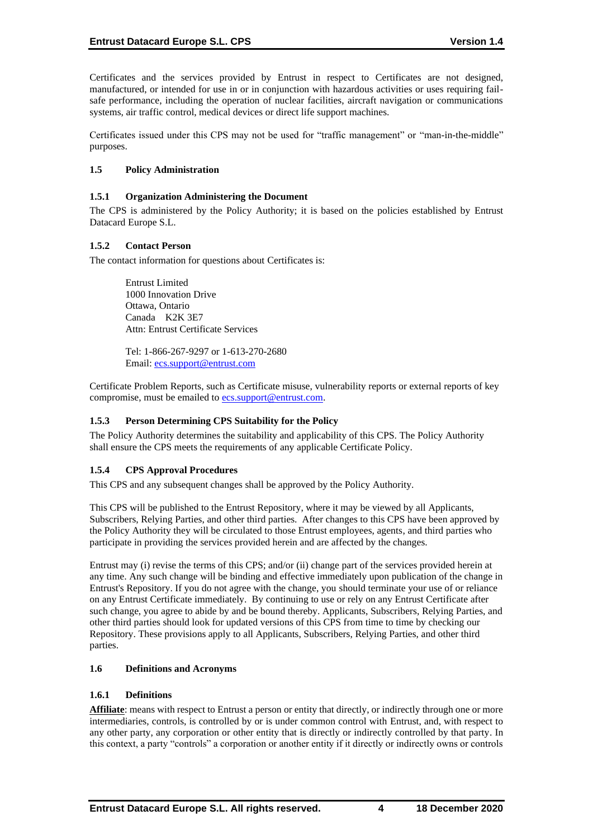Certificates and the services provided by Entrust in respect to Certificates are not designed, manufactured, or intended for use in or in conjunction with hazardous activities or uses requiring failsafe performance, including the operation of nuclear facilities, aircraft navigation or communications systems, air traffic control, medical devices or direct life support machines.

Certificates issued under this CPS may not be used for "traffic management" or "man-in-the-middle" purposes.

#### **1.5 Policy Administration**

#### **1.5.1 Organization Administering the Document**

The CPS is administered by the Policy Authority; it is based on the policies established by Entrust Datacard Europe S.L.

#### **1.5.2 Contact Person**

The contact information for questions about Certificates is:

Entrust Limited 1000 Innovation Drive Ottawa, Ontario Canada K2K 3E7 Attn: Entrust Certificate Services

Tel: 1-866-267-9297 or 1-613-270-2680 Email: [ecs.support@entrust.com](mailto:ecs.support@entrust.com)

Certificate Problem Reports, such as Certificate misuse, vulnerability reports or external reports of key compromise, must be emailed to **ecs.support@entrust.com**.

#### **1.5.3 Person Determining CPS Suitability for the Policy**

The Policy Authority determines the suitability and applicability of this CPS. The Policy Authority shall ensure the CPS meets the requirements of any applicable Certificate Policy.

#### **1.5.4 CPS Approval Procedures**

This CPS and any subsequent changes shall be approved by the Policy Authority.

This CPS will be published to the Entrust Repository, where it may be viewed by all Applicants, Subscribers, Relying Parties, and other third parties. After changes to this CPS have been approved by the Policy Authority they will be circulated to those Entrust employees, agents, and third parties who participate in providing the services provided herein and are affected by the changes.

Entrust may (i) revise the terms of this CPS; and/or (ii) change part of the services provided herein at any time. Any such change will be binding and effective immediately upon publication of the change in Entrust's Repository. If you do not agree with the change, you should terminate your use of or reliance on any Entrust Certificate immediately. By continuing to use or rely on any Entrust Certificate after such change, you agree to abide by and be bound thereby. Applicants, Subscribers, Relying Parties, and other third parties should look for updated versions of this CPS from time to time by checking our Repository. These provisions apply to all Applicants, Subscribers, Relying Parties, and other third parties.

#### **1.6 Definitions and Acronyms**

#### **1.6.1 Definitions**

**Affiliate**: means with respect to Entrust a person or entity that directly, or indirectly through one or more intermediaries, controls, is controlled by or is under common control with Entrust, and, with respect to any other party, any corporation or other entity that is directly or indirectly controlled by that party. In this context, a party "controls" a corporation or another entity if it directly or indirectly owns or controls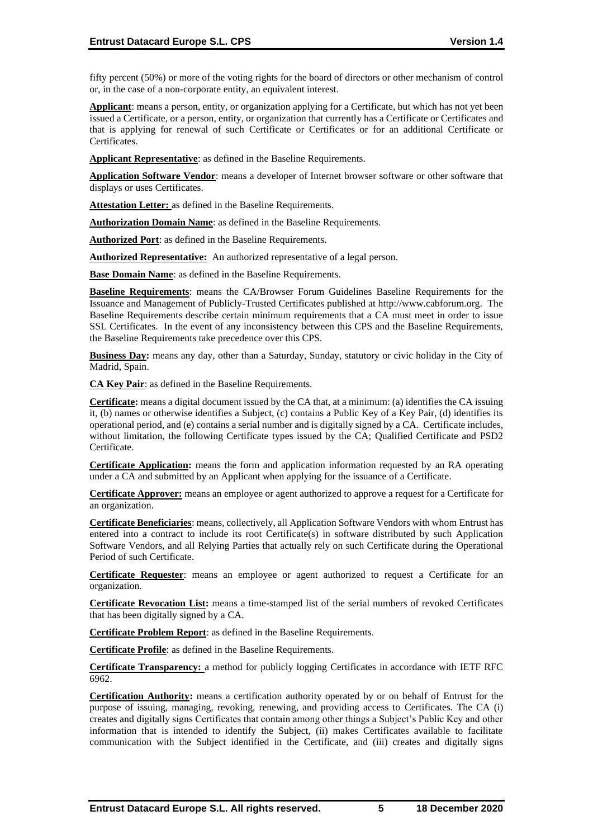fifty percent (50%) or more of the voting rights for the board of directors or other mechanism of control or, in the case of a non-corporate entity, an equivalent interest.

**Applicant**: means a person, entity, or organization applying for a Certificate, but which has not yet been issued a Certificate, or a person, entity, or organization that currently has a Certificate or Certificates and that is applying for renewal of such Certificate or Certificates or for an additional Certificate or Certificates.

**Applicant Representative**: as defined in the Baseline Requirements.

**Application Software Vendor**: means a developer of Internet browser software or other software that displays or uses Certificates.

**Attestation Letter:** as defined in the Baseline Requirements.

**Authorization Domain Name**: as defined in the Baseline Requirements.

**Authorized Port**: as defined in the Baseline Requirements.

**Authorized Representative:** An authorized representative of a legal person.

**Base Domain Name**: as defined in the Baseline Requirements.

**Baseline Requirements**: means the CA/Browser Forum Guidelines Baseline Requirements for the Issuance and Management of Publicly-Trusted Certificates published at http://www.cabforum.org. The Baseline Requirements describe certain minimum requirements that a CA must meet in order to issue SSL Certificates. In the event of any inconsistency between this CPS and the Baseline Requirements, the Baseline Requirements take precedence over this CPS.

**Business Day:** means any day, other than a Saturday, Sunday, statutory or civic holiday in the City of Madrid, Spain.

**CA Key Pair**: as defined in the Baseline Requirements.

**Certificate:** means a digital document issued by the CA that, at a minimum: (a) identifies the CA issuing it, (b) names or otherwise identifies a Subject, (c) contains a Public Key of a Key Pair, (d) identifies its operational period, and (e) contains a serial number and is digitally signed by a CA. Certificate includes, without limitation, the following Certificate types issued by the CA; Qualified Certificate and PSD2 Certificate.

**Certificate Application:** means the form and application information requested by an RA operating under a CA and submitted by an Applicant when applying for the issuance of a Certificate.

**Certificate Approver:** means an employee or agent authorized to approve a request for a Certificate for an organization.

**Certificate Beneficiaries**: means, collectively, all Application Software Vendors with whom Entrust has entered into a contract to include its root Certificate(s) in software distributed by such Application Software Vendors, and all Relying Parties that actually rely on such Certificate during the Operational Period of such Certificate.

**Certificate Requester**: means an employee or agent authorized to request a Certificate for an organization.

**Certificate Revocation List:** means a time-stamped list of the serial numbers of revoked Certificates that has been digitally signed by a CA.

**Certificate Problem Report**: as defined in the Baseline Requirements.

**Certificate Profile**: as defined in the Baseline Requirements.

**Certificate Transparency:** a method for publicly logging Certificates in accordance with IETF RFC 6962.

**Certification Authority:** means a certification authority operated by or on behalf of Entrust for the purpose of issuing, managing, revoking, renewing, and providing access to Certificates. The CA (i) creates and digitally signs Certificates that contain among other things a Subject's Public Key and other information that is intended to identify the Subject, (ii) makes Certificates available to facilitate communication with the Subject identified in the Certificate, and (iii) creates and digitally signs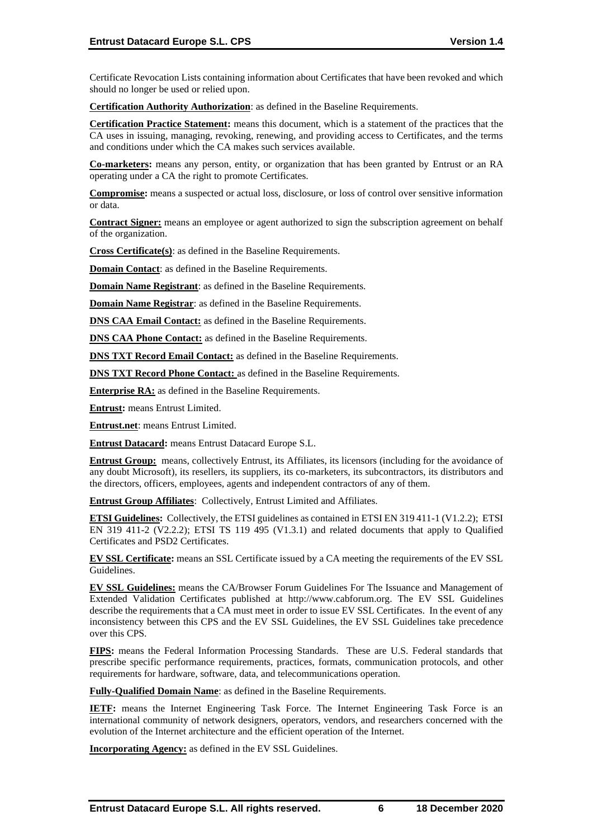Certificate Revocation Lists containing information about Certificates that have been revoked and which should no longer be used or relied upon.

**Certification Authority Authorization**: as defined in the Baseline Requirements.

**Certification Practice Statement:** means this document, which is a statement of the practices that the CA uses in issuing, managing, revoking, renewing, and providing access to Certificates, and the terms and conditions under which the CA makes such services available.

**Co-marketers:** means any person, entity, or organization that has been granted by Entrust or an RA operating under a CA the right to promote Certificates.

**Compromise:** means a suspected or actual loss, disclosure, or loss of control over sensitive information or data.

**Contract Signer:** means an employee or agent authorized to sign the subscription agreement on behalf of the organization.

**Cross Certificate(s)**: as defined in the Baseline Requirements.

**Domain Contact**: as defined in the Baseline Requirements.

**Domain Name Registrant**: as defined in the Baseline Requirements.

**Domain Name Registrar**: as defined in the Baseline Requirements.

**DNS CAA Email Contact:** as defined in the Baseline Requirements.

**DNS CAA Phone Contact:** as defined in the Baseline Requirements.

**DNS TXT Record Email Contact:** as defined in the Baseline Requirements.

**DNS TXT Record Phone Contact:** as defined in the Baseline Requirements.

**Enterprise RA:** as defined in the Baseline Requirements.

**Entrust:** means Entrust Limited.

**Entrust.net**: means Entrust Limited.

**Entrust Datacard:** means Entrust Datacard Europe S.L.

**Entrust Group:** means, collectively Entrust, its Affiliates, its licensors (including for the avoidance of any doubt Microsoft), its resellers, its suppliers, its co-marketers, its subcontractors, its distributors and the directors, officers, employees, agents and independent contractors of any of them.

**Entrust Group Affiliates**: Collectively, Entrust Limited and Affiliates.

**ETSI Guidelines:** Collectively, the ETSI guidelines as contained in ETSI EN 319 411-1 (V1.2.2); ETSI EN 319 411-2 (V2.2.2); ETSI TS 119 495 (V1.3.1) and related documents that apply to Qualified Certificates and PSD2 Certificates.

**EV SSL Certificate:** means an SSL Certificate issued by a CA meeting the requirements of the EV SSL Guidelines.

**EV SSL Guidelines:** means the CA/Browser Forum Guidelines For The Issuance and Management of Extended Validation Certificates published at http://www.cabforum.org. The EV SSL Guidelines describe the requirements that a CA must meet in order to issue EV SSL Certificates. In the event of any inconsistency between this CPS and the EV SSL Guidelines, the EV SSL Guidelines take precedence over this CPS.

**FIPS:** means the Federal Information Processing Standards. These are U.S. Federal standards that prescribe specific performance requirements, practices, formats, communication protocols, and other requirements for hardware, software, data, and telecommunications operation.

**Fully-Qualified Domain Name**: as defined in the Baseline Requirements.

**IETF:** means the Internet Engineering Task Force. The Internet Engineering Task Force is an international community of network designers, operators, vendors, and researchers concerned with the evolution of the Internet architecture and the efficient operation of the Internet.

**Incorporating Agency:** as defined in the EV SSL Guidelines.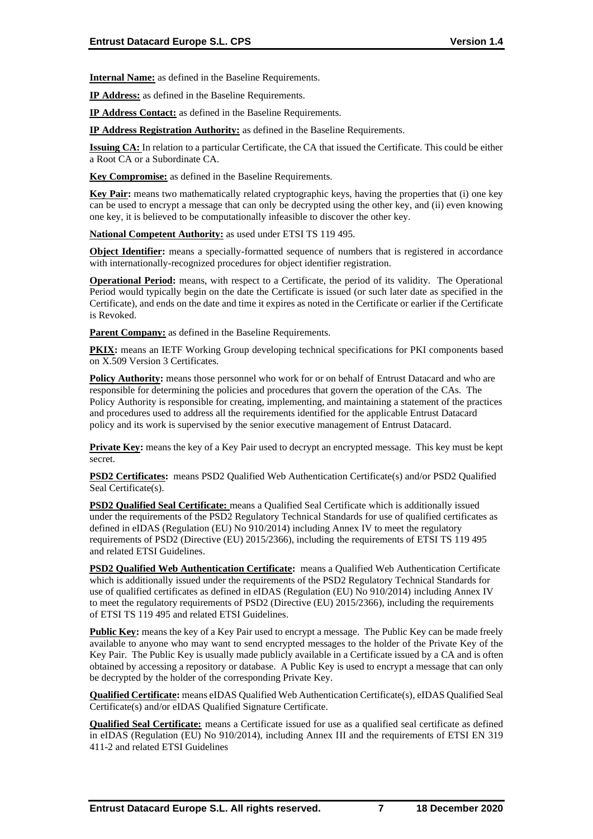**Internal Name:** as defined in the Baseline Requirements.

**IP Address:** as defined in the Baseline Requirements.

**IP Address Contact:** as defined in the Baseline Requirements.

**IP Address Registration Authority:** as defined in the Baseline Requirements.

**Issuing CA:** In relation to a particular Certificate, the CA that issued the Certificate. This could be either a Root CA or a Subordinate CA.

**Key Compromise:** as defined in the Baseline Requirements.

**Key Pair:** means two mathematically related cryptographic keys, having the properties that (i) one key can be used to encrypt a message that can only be decrypted using the other key, and (ii) even knowing one key, it is believed to be computationally infeasible to discover the other key.

**National Competent Authority:** as used under ETSI TS 119 495.

**Object Identifier:** means a specially-formatted sequence of numbers that is registered in accordance with internationally-recognized procedures for object identifier registration.

**Operational Period:** means, with respect to a Certificate, the period of its validity. The Operational Period would typically begin on the date the Certificate is issued (or such later date as specified in the Certificate), and ends on the date and time it expires as noted in the Certificate or earlier if the Certificate is Revoked.

**Parent Company:** as defined in the Baseline Requirements.

**PKIX:** means an IETF Working Group developing technical specifications for PKI components based on X.509 Version 3 Certificates.

**Policy Authority:** means those personnel who work for or on behalf of Entrust Datacard and who are responsible for determining the policies and procedures that govern the operation of the CAs. The Policy Authority is responsible for creating, implementing, and maintaining a statement of the practices and procedures used to address all the requirements identified for the applicable Entrust Datacard policy and its work is supervised by the senior executive management of Entrust Datacard.

**Private Key:** means the key of a Key Pair used to decrypt an encrypted message. This key must be kept secret.

**PSD2 Certificates:** means PSD2 Qualified Web Authentication Certificate(s) and/or PSD2 Qualified Seal Certificate(s).

**PSD2 Qualified Seal Certificate:** means a Qualified Seal Certificate which is additionally issued under the requirements of the PSD2 Regulatory Technical Standards for use of qualified certificates as defined in eIDAS (Regulation (EU) No 910/2014) including Annex IV to meet the regulatory requirements of PSD2 (Directive (EU) 2015/2366), including the requirements of ETSI TS 119 495 and related ETSI Guidelines.

**PSD2 Qualified Web Authentication Certificate:** means a Qualified Web Authentication Certificate which is additionally issued under the requirements of the PSD2 Regulatory Technical Standards for use of qualified certificates as defined in eIDAS (Regulation (EU) No 910/2014) including Annex IV to meet the regulatory requirements of PSD2 (Directive (EU) 2015/2366), including the requirements of ETSI TS 119 495 and related ETSI Guidelines.

**Public Key:** means the key of a Key Pair used to encrypt a message. The Public Key can be made freely available to anyone who may want to send encrypted messages to the holder of the Private Key of the Key Pair. The Public Key is usually made publicly available in a Certificate issued by a CA and is often obtained by accessing a repository or database. A Public Key is used to encrypt a message that can only be decrypted by the holder of the corresponding Private Key.

**Qualified Certificate:** means eIDAS Qualified Web Authentication Certificate(s), eIDAS Qualified Seal Certificate(s) and/or eIDAS Qualified Signature Certificate.

**Qualified Seal Certificate:** means a Certificate issued for use as a qualified seal certificate as defined in eIDAS (Regulation (EU) No 910/2014), including Annex III and the requirements of ETSI EN 319 411-2 and related ETSI Guidelines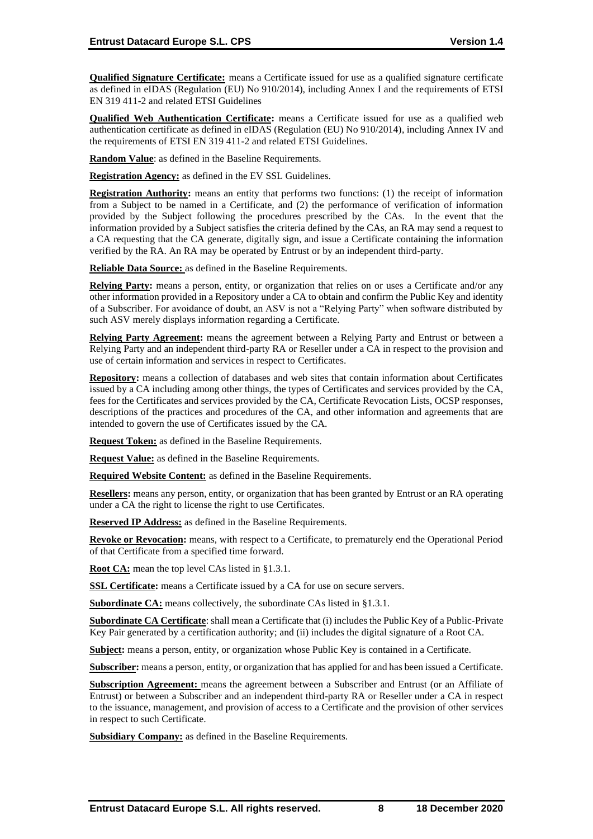**Qualified Signature Certificate:** means a Certificate issued for use as a qualified signature certificate as defined in eIDAS (Regulation (EU) No 910/2014), including Annex I and the requirements of ETSI EN 319 411-2 and related ETSI Guidelines

**Qualified Web Authentication Certificate:** means a Certificate issued for use as a qualified web authentication certificate as defined in eIDAS (Regulation (EU) No 910/2014), including Annex IV and the requirements of ETSI EN 319 411-2 and related ETSI Guidelines.

**Random Value**: as defined in the Baseline Requirements.

**Registration Agency:** as defined in the EV SSL Guidelines.

**Registration Authority:** means an entity that performs two functions: (1) the receipt of information from a Subject to be named in a Certificate, and (2) the performance of verification of information provided by the Subject following the procedures prescribed by the CAs. In the event that the information provided by a Subject satisfies the criteria defined by the CAs, an RA may send a request to a CA requesting that the CA generate, digitally sign, and issue a Certificate containing the information verified by the RA. An RA may be operated by Entrust or by an independent third-party.

**Reliable Data Source:** as defined in the Baseline Requirements.

**Relying Party:** means a person, entity, or organization that relies on or uses a Certificate and/or any other information provided in a Repository under a CA to obtain and confirm the Public Key and identity of a Subscriber. For avoidance of doubt, an ASV is not a "Relying Party" when software distributed by such ASV merely displays information regarding a Certificate.

**Relying Party Agreement:** means the agreement between a Relying Party and Entrust or between a Relying Party and an independent third-party RA or Reseller under a CA in respect to the provision and use of certain information and services in respect to Certificates.

**Repository:** means a collection of databases and web sites that contain information about Certificates issued by a CA including among other things, the types of Certificates and services provided by the CA, fees for the Certificates and services provided by the CA, Certificate Revocation Lists, OCSP responses, descriptions of the practices and procedures of the CA, and other information and agreements that are intended to govern the use of Certificates issued by the CA.

**Request Token:** as defined in the Baseline Requirements.

**Request Value:** as defined in the Baseline Requirements.

**Required Website Content:** as defined in the Baseline Requirements.

**Resellers:** means any person, entity, or organization that has been granted by Entrust or an RA operating under a CA the right to license the right to use Certificates.

**Reserved IP Address:** as defined in the Baseline Requirements.

**Revoke or Revocation:** means, with respect to a Certificate, to prematurely end the Operational Period of that Certificate from a specified time forward.

**Root CA:** mean the top level CAs listed in §1.3.1.

**SSL Certificate:** means a Certificate issued by a CA for use on secure servers.

**Subordinate CA:** means collectively, the subordinate CAs listed in §1.3.1.

**Subordinate CA Certificate**: shall mean a Certificate that (i) includes the Public Key of a Public-Private Key Pair generated by a certification authority; and (ii) includes the digital signature of a Root CA.

**Subject:** means a person, entity, or organization whose Public Key is contained in a Certificate.

**Subscriber:** means a person, entity, or organization that has applied for and has been issued a Certificate.

**Subscription Agreement:** means the agreement between a Subscriber and Entrust (or an Affiliate of Entrust) or between a Subscriber and an independent third-party RA or Reseller under a CA in respect to the issuance, management, and provision of access to a Certificate and the provision of other services in respect to such Certificate.

**Subsidiary Company:** as defined in the Baseline Requirements.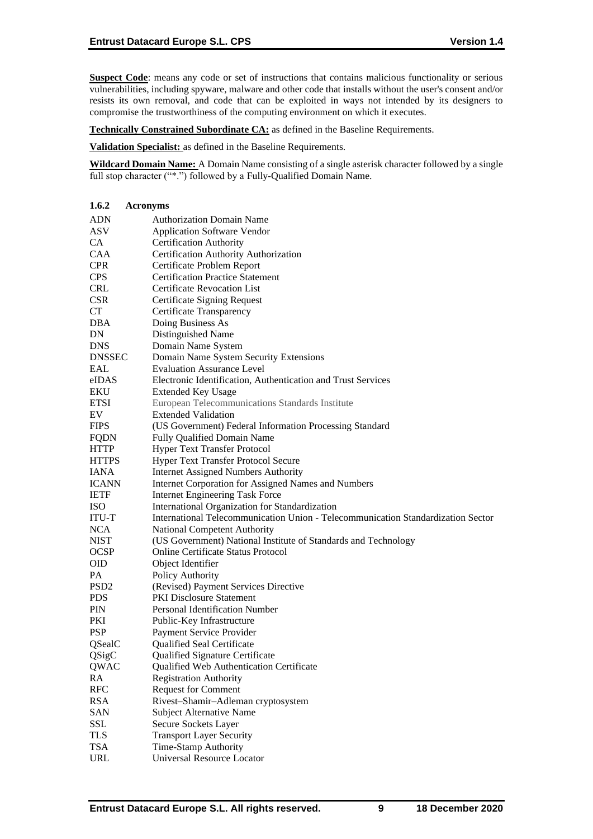**Suspect Code**: means any code or set of instructions that contains malicious functionality or serious vulnerabilities, including spyware, malware and other code that installs without the user's consent and/or resists its own removal, and code that can be exploited in ways not intended by its designers to compromise the trustworthiness of the computing environment on which it executes.

**Technically Constrained Subordinate CA:** as defined in the Baseline Requirements.

**Validation Specialist:** as defined in the Baseline Requirements.

**Wildcard Domain Name:** A Domain Name consisting of a single asterisk character followed by a single full stop character ("\*.") followed by a Fully-Qualified Domain Name.

| 1.6.2            | <b>Acronyms</b>                                                                  |
|------------------|----------------------------------------------------------------------------------|
| <b>ADN</b>       | <b>Authorization Domain Name</b>                                                 |
| ASV              | <b>Application Software Vendor</b>                                               |
| CA               | <b>Certification Authority</b>                                                   |
| CAA              | Certification Authority Authorization                                            |
| <b>CPR</b>       | Certificate Problem Report                                                       |
| <b>CPS</b>       | <b>Certification Practice Statement</b>                                          |
| <b>CRL</b>       | <b>Certificate Revocation List</b>                                               |
| <b>CSR</b>       | <b>Certificate Signing Request</b>                                               |
| CT               | Certificate Transparency                                                         |
| DBA              | Doing Business As                                                                |
| DN               | Distinguished Name                                                               |
| <b>DNS</b>       | Domain Name System                                                               |
| <b>DNSSEC</b>    | Domain Name System Security Extensions                                           |
| <b>EAL</b>       | <b>Evaluation Assurance Level</b>                                                |
| eIDAS            | Electronic Identification, Authentication and Trust Services                     |
| EKU              | <b>Extended Key Usage</b>                                                        |
| <b>ETSI</b>      | European Telecommunications Standards Institute                                  |
| EV               | <b>Extended Validation</b>                                                       |
| <b>FIPS</b>      | (US Government) Federal Information Processing Standard                          |
| <b>FQDN</b>      | Fully Qualified Domain Name                                                      |
| <b>HTTP</b>      | <b>Hyper Text Transfer Protocol</b>                                              |
| <b>HTTPS</b>     | <b>Hyper Text Transfer Protocol Secure</b>                                       |
| IANA             | <b>Internet Assigned Numbers Authority</b>                                       |
| <b>ICANN</b>     | Internet Corporation for Assigned Names and Numbers                              |
| <b>IETF</b>      | <b>Internet Engineering Task Force</b>                                           |
| ISO              | International Organization for Standardization                                   |
| ITU-T            | International Telecommunication Union - Telecommunication Standardization Sector |
| <b>NCA</b>       | National Competent Authority                                                     |
| <b>NIST</b>      | (US Government) National Institute of Standards and Technology                   |
| <b>OCSP</b>      | <b>Online Certificate Status Protocol</b>                                        |
| <b>OID</b>       | Object Identifier                                                                |
| PA               | Policy Authority                                                                 |
| PSD <sub>2</sub> | (Revised) Payment Services Directive                                             |
| <b>PDS</b>       | <b>PKI Disclosure Statement</b>                                                  |
| PIN              | Personal Identification Number                                                   |
| PKI              | Public-Key Infrastructure                                                        |
| <b>PSP</b>       | Payment Service Provider                                                         |
| QSealC           | Qualified Seal Certificate                                                       |
| QSigC            | Qualified Signature Certificate                                                  |
| QWAC             | Qualified Web Authentication Certificate                                         |
| RA               | <b>Registration Authority</b>                                                    |
| <b>RFC</b>       | <b>Request for Comment</b>                                                       |
| <b>RSA</b>       | Rivest-Shamir-Adleman cryptosystem                                               |
| <b>SAN</b>       | <b>Subject Alternative Name</b>                                                  |
| SSL              | Secure Sockets Layer                                                             |
| <b>TLS</b>       | <b>Transport Layer Security</b>                                                  |
| <b>TSA</b>       | Time-Stamp Authority                                                             |
| <b>URL</b>       | Universal Resource Locator                                                       |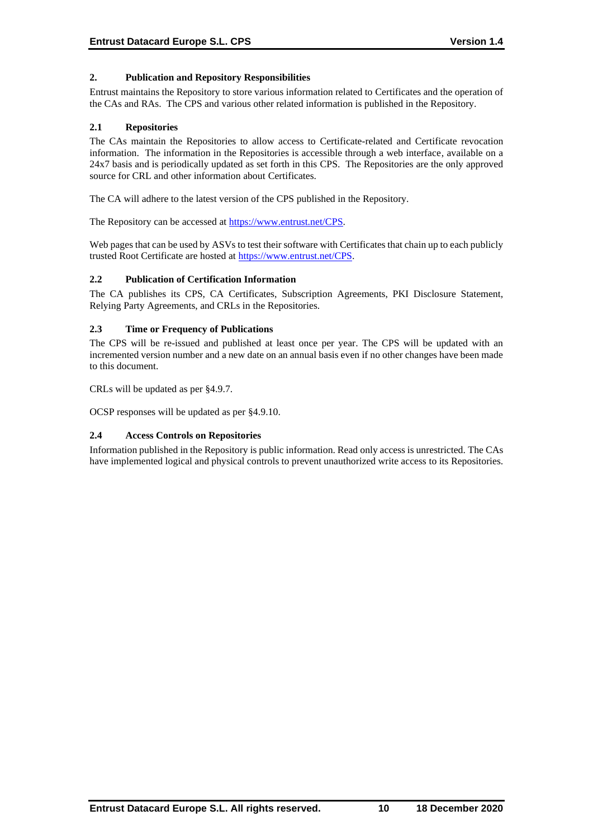# **2. Publication and Repository Responsibilities**

Entrust maintains the Repository to store various information related to Certificates and the operation of the CAs and RAs. The CPS and various other related information is published in the Repository.

#### **2.1 Repositories**

The CAs maintain the Repositories to allow access to Certificate-related and Certificate revocation information. The information in the Repositories is accessible through a web interface, available on a 24x7 basis and is periodically updated as set forth in this CPS. The Repositories are the only approved source for CRL and other information about Certificates.

The CA will adhere to the latest version of the CPS published in the Repository.

The Repository can be accessed at [https://www.entrust.net/CPS.](https://www.entrust.net/CPS)

Web pages that can be used by ASVs to test their software with Certificates that chain up to each publicly trusted Root Certificate are hosted at [https://www.entrust.net/CPS.](https://www.entrust.net/CPS)

#### **2.2 Publication of Certification Information**

The CA publishes its CPS, CA Certificates, Subscription Agreements, PKI Disclosure Statement, Relying Party Agreements, and CRLs in the Repositories.

# **2.3 Time or Frequency of Publications**

The CPS will be re-issued and published at least once per year. The CPS will be updated with an incremented version number and a new date on an annual basis even if no other changes have been made to this document.

CRLs will be updated as per §4.9.7.

OCSP responses will be updated as per §4.9.10.

#### **2.4 Access Controls on Repositories**

Information published in the Repository is public information. Read only access is unrestricted. The CAs have implemented logical and physical controls to prevent unauthorized write access to its Repositories.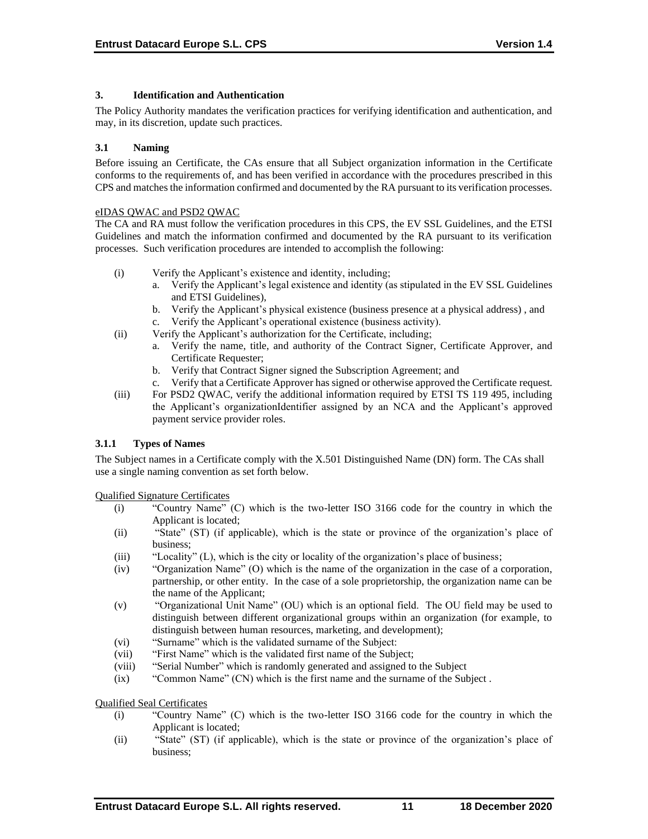# **3. Identification and Authentication**

The Policy Authority mandates the verification practices for verifying identification and authentication, and may, in its discretion, update such practices.

## **3.1 Naming**

Before issuing an Certificate, the CAs ensure that all Subject organization information in the Certificate conforms to the requirements of, and has been verified in accordance with the procedures prescribed in this CPS and matches the information confirmed and documented by the RA pursuant to its verification processes.

#### eIDAS QWAC and PSD2 QWAC

The CA and RA must follow the verification procedures in this CPS, the EV SSL Guidelines, and the ETSI Guidelines and match the information confirmed and documented by the RA pursuant to its verification processes. Such verification procedures are intended to accomplish the following:

- (i) Verify the Applicant's existence and identity, including;
	- a. Verify the Applicant's legal existence and identity (as stipulated in the EV SSL Guidelines and ETSI Guidelines),
	- b. Verify the Applicant's physical existence (business presence at a physical address) , and
	- c. Verify the Applicant's operational existence (business activity).
- (ii) Verify the Applicant's authorization for the Certificate, including;
	- a. Verify the name, title, and authority of the Contract Signer, Certificate Approver, and Certificate Requester;
	- b. Verify that Contract Signer signed the Subscription Agreement; and
	- c. Verify that a Certificate Approver has signed or otherwise approved the Certificate request.
- (iii) For PSD2 QWAC, verify the additional information required by ETSI TS 119 495, including the Applicant's organizationIdentifier assigned by an NCA and the Applicant's approved payment service provider roles.

# **3.1.1 Types of Names**

The Subject names in a Certificate comply with the X.501 Distinguished Name (DN) form. The CAs shall use a single naming convention as set forth below.

Qualified Signature Certificates

- (i) "Country Name" (C) which is the two-letter ISO 3166 code for the country in which the Applicant is located;
- (ii) "State" (ST) (if applicable), which is the state or province of the organization's place of business;
- (iii) "Locality" (L), which is the city or locality of the organization's place of business;
- (iv) "Organization Name" (O) which is the name of the organization in the case of a corporation, partnership, or other entity. In the case of a sole proprietorship, the organization name can be the name of the Applicant;
- (v) "Organizational Unit Name" (OU) which is an optional field. The OU field may be used to distinguish between different organizational groups within an organization (for example, to distinguish between human resources, marketing, and development);
- (vi) "Surname" which is the validated surname of the Subject:
- (vii) "First Name" which is the validated first name of the Subject;
- (viii) "Serial Number" which is randomly generated and assigned to the Subject
- (ix) "Common Name" (CN) which is the first name and the surname of the Subject .

Qualified Seal Certificates

- (i) "Country Name" (C) which is the two-letter ISO 3166 code for the country in which the Applicant is located;
- (ii) "State" (ST) (if applicable), which is the state or province of the organization's place of business;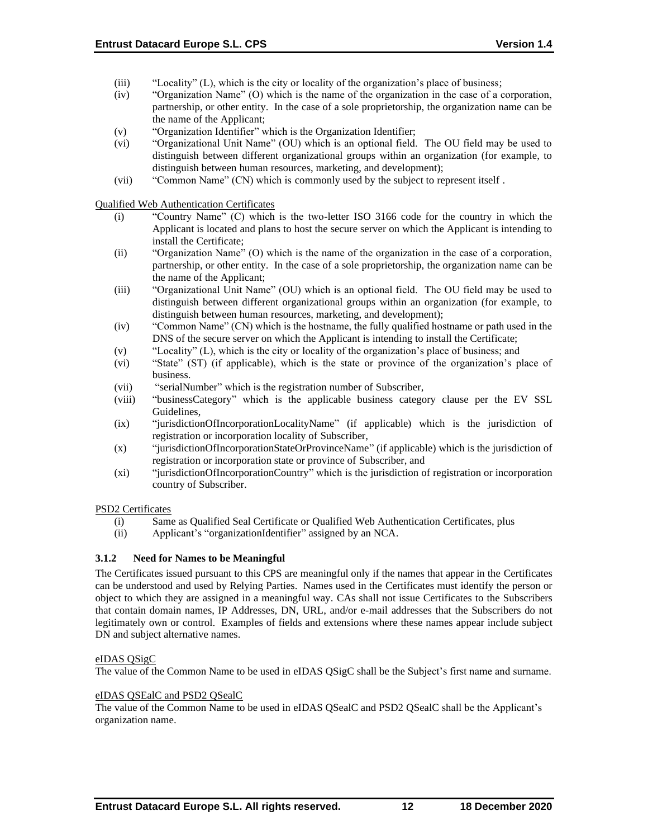- (iii) "Locality" (L), which is the city or locality of the organization's place of business;
- (iv) "Organization Name" (O) which is the name of the organization in the case of a corporation, partnership, or other entity. In the case of a sole proprietorship, the organization name can be the name of the Applicant;
- (v) "Organization Identifier" which is the Organization Identifier;
- (vi) "Organizational Unit Name" (OU) which is an optional field. The OU field may be used to distinguish between different organizational groups within an organization (for example, to distinguish between human resources, marketing, and development);
- (vii) "Common Name" (CN) which is commonly used by the subject to represent itself .

Qualified Web Authentication Certificates

- (i) "Country Name" (C) which is the two-letter ISO 3166 code for the country in which the Applicant is located and plans to host the secure server on which the Applicant is intending to install the Certificate;
- (ii) "Organization Name" (O) which is the name of the organization in the case of a corporation, partnership, or other entity. In the case of a sole proprietorship, the organization name can be the name of the Applicant;
- (iii) "Organizational Unit Name" (OU) which is an optional field. The OU field may be used to distinguish between different organizational groups within an organization (for example, to distinguish between human resources, marketing, and development);
- (iv) "Common Name" (CN) which is the hostname, the fully qualified hostname or path used in the DNS of the secure server on which the Applicant is intending to install the Certificate;
- (v) "Locality" (L), which is the city or locality of the organization's place of business; and
- (vi) "State" (ST) (if applicable), which is the state or province of the organization's place of business.
- (vii) "serialNumber" which is the registration number of Subscriber,
- (viii) "businessCategory" which is the applicable business category clause per the EV SSL Guidelines,
- (ix) "jurisdictionOfIncorporationLocalityName" (if applicable) which is the jurisdiction of registration or incorporation locality of Subscriber,
- (x) "jurisdictionOfIncorporationStateOrProvinceName" (if applicable) which is the jurisdiction of registration or incorporation state or province of Subscriber, and
- (xi) "jurisdictionOfIncorporationCountry" which is the jurisdiction of registration or incorporation country of Subscriber.

# PSD2 Certificates

- (i) Same as Qualified Seal Certificate or Qualified Web Authentication Certificates, plus
- (ii) Applicant's "organizationIdentifier" assigned by an NCA.

# **3.1.2 Need for Names to be Meaningful**

The Certificates issued pursuant to this CPS are meaningful only if the names that appear in the Certificates can be understood and used by Relying Parties. Names used in the Certificates must identify the person or object to which they are assigned in a meaningful way. CAs shall not issue Certificates to the Subscribers that contain domain names, IP Addresses, DN, URL, and/or e-mail addresses that the Subscribers do not legitimately own or control. Examples of fields and extensions where these names appear include subject DN and subject alternative names.

#### eIDAS QSigC

The value of the Common Name to be used in eIDAS QSigC shall be the Subject's first name and surname.

#### eIDAS QSEalC and PSD2 QSealC

The value of the Common Name to be used in eIDAS QSealC and PSD2 QSealC shall be the Applicant's organization name.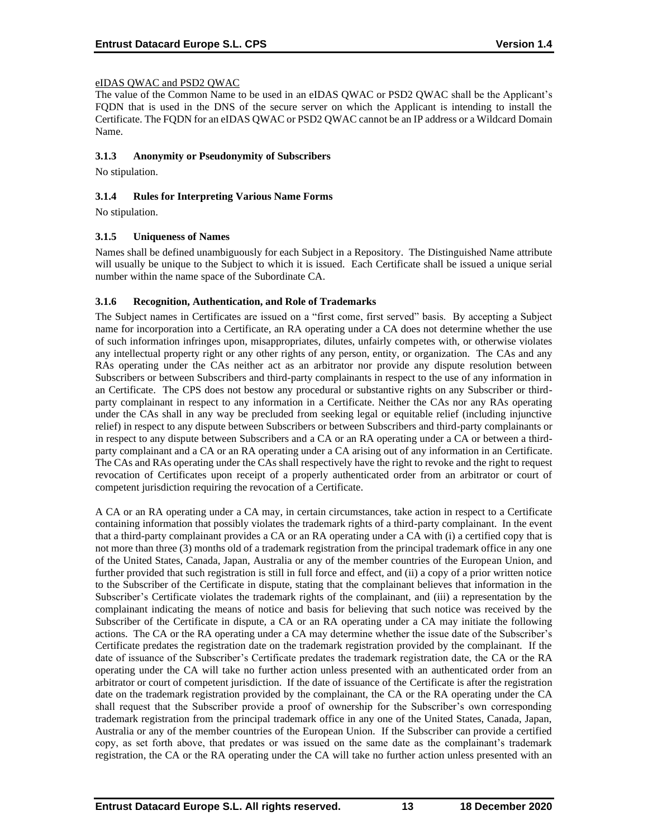# eIDAS QWAC and PSD2 QWAC

The value of the Common Name to be used in an eIDAS QWAC or PSD2 QWAC shall be the Applicant's FQDN that is used in the DNS of the secure server on which the Applicant is intending to install the Certificate. The FQDN for an eIDAS QWAC or PSD2 QWAC cannot be an IP address or a Wildcard Domain Name.

## **3.1.3 Anonymity or Pseudonymity of Subscribers**

No stipulation.

## **3.1.4 Rules for Interpreting Various Name Forms**

No stipulation.

## **3.1.5 Uniqueness of Names**

Names shall be defined unambiguously for each Subject in a Repository. The Distinguished Name attribute will usually be unique to the Subject to which it is issued. Each Certificate shall be issued a unique serial number within the name space of the Subordinate CA.

## **3.1.6 Recognition, Authentication, and Role of Trademarks**

The Subject names in Certificates are issued on a "first come, first served" basis. By accepting a Subject name for incorporation into a Certificate, an RA operating under a CA does not determine whether the use of such information infringes upon, misappropriates, dilutes, unfairly competes with, or otherwise violates any intellectual property right or any other rights of any person, entity, or organization. The CAs and any RAs operating under the CAs neither act as an arbitrator nor provide any dispute resolution between Subscribers or between Subscribers and third-party complainants in respect to the use of any information in an Certificate. The CPS does not bestow any procedural or substantive rights on any Subscriber or thirdparty complainant in respect to any information in a Certificate. Neither the CAs nor any RAs operating under the CAs shall in any way be precluded from seeking legal or equitable relief (including injunctive relief) in respect to any dispute between Subscribers or between Subscribers and third-party complainants or in respect to any dispute between Subscribers and a CA or an RA operating under a CA or between a thirdparty complainant and a CA or an RA operating under a CA arising out of any information in an Certificate. The CAs and RAs operating under the CAs shall respectively have the right to revoke and the right to request revocation of Certificates upon receipt of a properly authenticated order from an arbitrator or court of competent jurisdiction requiring the revocation of a Certificate.

A CA or an RA operating under a CA may, in certain circumstances, take action in respect to a Certificate containing information that possibly violates the trademark rights of a third-party complainant. In the event that a third-party complainant provides a CA or an RA operating under a CA with (i) a certified copy that is not more than three (3) months old of a trademark registration from the principal trademark office in any one of the United States, Canada, Japan, Australia or any of the member countries of the European Union, and further provided that such registration is still in full force and effect, and (ii) a copy of a prior written notice to the Subscriber of the Certificate in dispute, stating that the complainant believes that information in the Subscriber's Certificate violates the trademark rights of the complainant, and (iii) a representation by the complainant indicating the means of notice and basis for believing that such notice was received by the Subscriber of the Certificate in dispute, a CA or an RA operating under a CA may initiate the following actions. The CA or the RA operating under a CA may determine whether the issue date of the Subscriber's Certificate predates the registration date on the trademark registration provided by the complainant. If the date of issuance of the Subscriber's Certificate predates the trademark registration date, the CA or the RA operating under the CA will take no further action unless presented with an authenticated order from an arbitrator or court of competent jurisdiction. If the date of issuance of the Certificate is after the registration date on the trademark registration provided by the complainant, the CA or the RA operating under the CA shall request that the Subscriber provide a proof of ownership for the Subscriber's own corresponding trademark registration from the principal trademark office in any one of the United States, Canada, Japan, Australia or any of the member countries of the European Union. If the Subscriber can provide a certified copy, as set forth above, that predates or was issued on the same date as the complainant's trademark registration, the CA or the RA operating under the CA will take no further action unless presented with an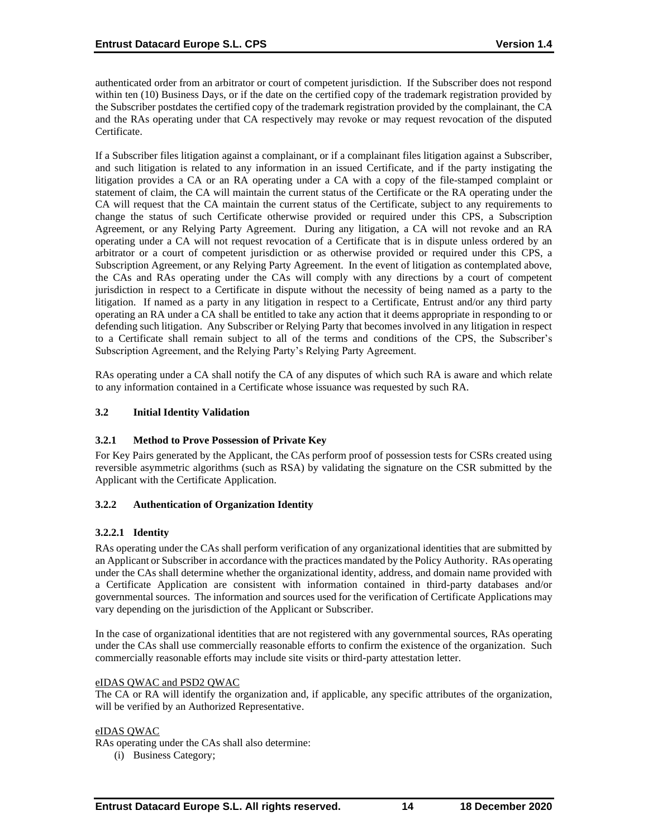authenticated order from an arbitrator or court of competent jurisdiction. If the Subscriber does not respond within ten (10) Business Days, or if the date on the certified copy of the trademark registration provided by the Subscriber postdates the certified copy of the trademark registration provided by the complainant, the CA and the RAs operating under that CA respectively may revoke or may request revocation of the disputed Certificate.

If a Subscriber files litigation against a complainant, or if a complainant files litigation against a Subscriber, and such litigation is related to any information in an issued Certificate, and if the party instigating the litigation provides a CA or an RA operating under a CA with a copy of the file-stamped complaint or statement of claim, the CA will maintain the current status of the Certificate or the RA operating under the CA will request that the CA maintain the current status of the Certificate, subject to any requirements to change the status of such Certificate otherwise provided or required under this CPS, a Subscription Agreement, or any Relying Party Agreement. During any litigation, a CA will not revoke and an RA operating under a CA will not request revocation of a Certificate that is in dispute unless ordered by an arbitrator or a court of competent jurisdiction or as otherwise provided or required under this CPS, a Subscription Agreement, or any Relying Party Agreement. In the event of litigation as contemplated above, the CAs and RAs operating under the CAs will comply with any directions by a court of competent jurisdiction in respect to a Certificate in dispute without the necessity of being named as a party to the litigation. If named as a party in any litigation in respect to a Certificate, Entrust and/or any third party operating an RA under a CA shall be entitled to take any action that it deems appropriate in responding to or defending such litigation. Any Subscriber or Relying Party that becomes involved in any litigation in respect to a Certificate shall remain subject to all of the terms and conditions of the CPS, the Subscriber's Subscription Agreement, and the Relying Party's Relying Party Agreement.

RAs operating under a CA shall notify the CA of any disputes of which such RA is aware and which relate to any information contained in a Certificate whose issuance was requested by such RA.

# **3.2 Initial Identity Validation**

# **3.2.1 Method to Prove Possession of Private Key**

For Key Pairs generated by the Applicant, the CAs perform proof of possession tests for CSRs created using reversible asymmetric algorithms (such as RSA) by validating the signature on the CSR submitted by the Applicant with the Certificate Application.

# **3.2.2 Authentication of Organization Identity**

# **3.2.2.1 Identity**

RAs operating under the CAs shall perform verification of any organizational identities that are submitted by an Applicant or Subscriber in accordance with the practices mandated by the Policy Authority. RAs operating under the CAs shall determine whether the organizational identity, address, and domain name provided with a Certificate Application are consistent with information contained in third-party databases and/or governmental sources. The information and sources used for the verification of Certificate Applications may vary depending on the jurisdiction of the Applicant or Subscriber.

In the case of organizational identities that are not registered with any governmental sources, RAs operating under the CAs shall use commercially reasonable efforts to confirm the existence of the organization. Such commercially reasonable efforts may include site visits or third-party attestation letter.

#### eIDAS QWAC and PSD2 QWAC

The CA or RA will identify the organization and, if applicable, any specific attributes of the organization, will be verified by an Authorized Representative.

#### eIDAS QWAC

RAs operating under the CAs shall also determine:

(i) Business Category;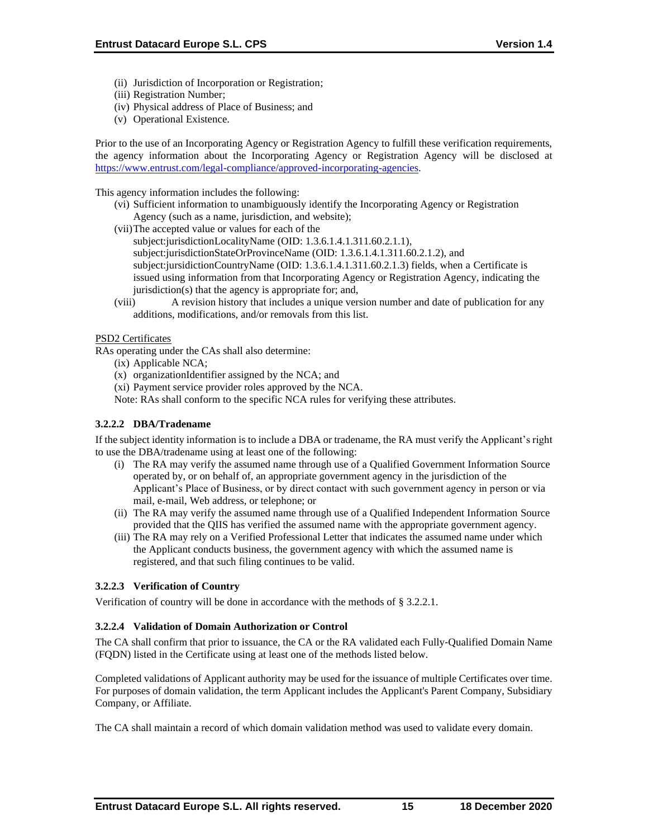- (ii) Jurisdiction of Incorporation or Registration;
- (iii) Registration Number;
- (iv) Physical address of Place of Business; and
- (v) Operational Existence.

Prior to the use of an Incorporating Agency or Registration Agency to fulfill these verification requirements, the agency information about the Incorporating Agency or Registration Agency will be disclosed at [https://www.entrust.com/legal-compliance/approved-incorporating-agencies.](https://www.entrust.com/legal-compliance/approved-incorporating-agencies)

This agency information includes the following:

- (vi) Sufficient information to unambiguously identify the Incorporating Agency or Registration Agency (such as a name, jurisdiction, and website);
- (vii)The accepted value or values for each of the
	- subject:jurisdictionLocalityName (OID: 1.3.6.1.4.1.311.60.2.1.1), subject:jurisdictionStateOrProvinceName (OID: 1.3.6.1.4.1.311.60.2.1.2), and subject:jursidictionCountryName (OID: 1.3.6.1.4.1.311.60.2.1.3) fields, when a Certificate is issued using information from that Incorporating Agency or Registration Agency, indicating the jurisdiction(s) that the agency is appropriate for; and,
- (viii) A revision history that includes a unique version number and date of publication for any additions, modifications, and/or removals from this list.

# PSD2 Certificates

RAs operating under the CAs shall also determine:

- (ix) Applicable NCA;
- (x) organizationIdentifier assigned by the NCA; and
- (xi) Payment service provider roles approved by the NCA.
- Note: RAs shall conform to the specific NCA rules for verifying these attributes.

# **3.2.2.2 DBA/Tradename**

If the subject identity information is to include a DBA or tradename, the RA must verify the Applicant's right to use the DBA/tradename using at least one of the following:

- (i) The RA may verify the assumed name through use of a Qualified Government Information Source operated by, or on behalf of, an appropriate government agency in the jurisdiction of the Applicant's Place of Business, or by direct contact with such government agency in person or via mail, e-mail, Web address, or telephone; or
- (ii) The RA may verify the assumed name through use of a Qualified Independent Information Source provided that the QIIS has verified the assumed name with the appropriate government agency.
- (iii) The RA may rely on a Verified Professional Letter that indicates the assumed name under which the Applicant conducts business, the government agency with which the assumed name is registered, and that such filing continues to be valid.

# **3.2.2.3 Verification of Country**

Verification of country will be done in accordance with the methods of § 3.2.2.1.

# **3.2.2.4 Validation of Domain Authorization or Control**

The CA shall confirm that prior to issuance, the CA or the RA validated each Fully-Qualified Domain Name (FQDN) listed in the Certificate using at least one of the methods listed below.

Completed validations of Applicant authority may be used for the issuance of multiple Certificates over time. For purposes of domain validation, the term Applicant includes the Applicant's Parent Company, Subsidiary Company, or Affiliate.

The CA shall maintain a record of which domain validation method was used to validate every domain.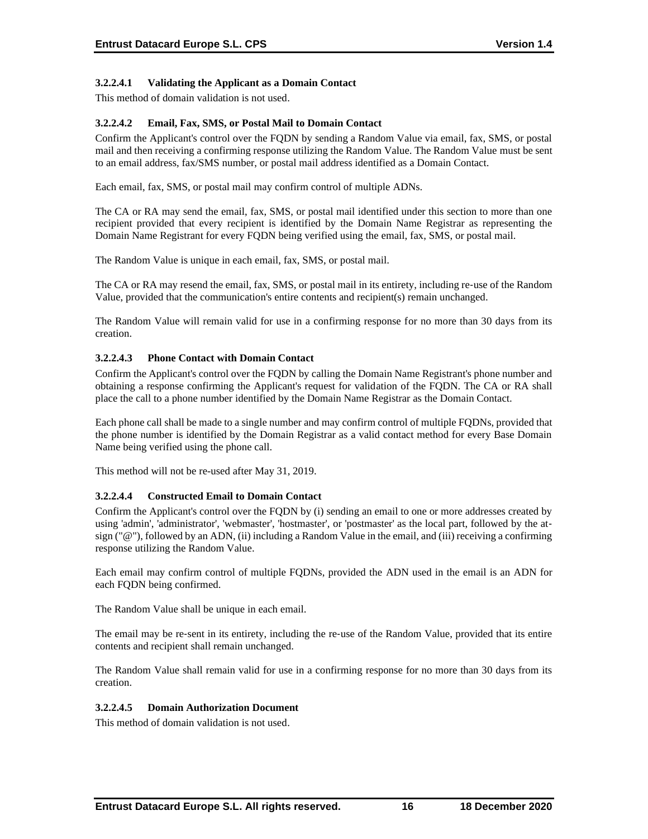# **3.2.2.4.1 Validating the Applicant as a Domain Contact**

This method of domain validation is not used.

# **3.2.2.4.2 Email, Fax, SMS, or Postal Mail to Domain Contact**

Confirm the Applicant's control over the FQDN by sending a Random Value via email, fax, SMS, or postal mail and then receiving a confirming response utilizing the Random Value. The Random Value must be sent to an email address, fax/SMS number, or postal mail address identified as a Domain Contact.

Each email, fax, SMS, or postal mail may confirm control of multiple ADNs.

The CA or RA may send the email, fax, SMS, or postal mail identified under this section to more than one recipient provided that every recipient is identified by the Domain Name Registrar as representing the Domain Name Registrant for every FQDN being verified using the email, fax, SMS, or postal mail.

The Random Value is unique in each email, fax, SMS, or postal mail.

The CA or RA may resend the email, fax, SMS, or postal mail in its entirety, including re-use of the Random Value, provided that the communication's entire contents and recipient(s) remain unchanged.

The Random Value will remain valid for use in a confirming response for no more than 30 days from its creation.

## **3.2.2.4.3 Phone Contact with Domain Contact**

Confirm the Applicant's control over the FQDN by calling the Domain Name Registrant's phone number and obtaining a response confirming the Applicant's request for validation of the FQDN. The CA or RA shall place the call to a phone number identified by the Domain Name Registrar as the Domain Contact.

Each phone call shall be made to a single number and may confirm control of multiple FQDNs, provided that the phone number is identified by the Domain Registrar as a valid contact method for every Base Domain Name being verified using the phone call.

This method will not be re-used after May 31, 2019.

#### **3.2.2.4.4 Constructed Email to Domain Contact**

Confirm the Applicant's control over the FQDN by (i) sending an email to one or more addresses created by using 'admin', 'administrator', 'webmaster', 'hostmaster', or 'postmaster' as the local part, followed by the atsign ("@"), followed by an ADN, (ii) including a Random Value in the email, and (iii) receiving a confirming response utilizing the Random Value.

Each email may confirm control of multiple FQDNs, provided the ADN used in the email is an ADN for each FQDN being confirmed.

The Random Value shall be unique in each email.

The email may be re-sent in its entirety, including the re-use of the Random Value, provided that its entire contents and recipient shall remain unchanged.

The Random Value shall remain valid for use in a confirming response for no more than 30 days from its creation.

#### **3.2.2.4.5 Domain Authorization Document**

This method of domain validation is not used.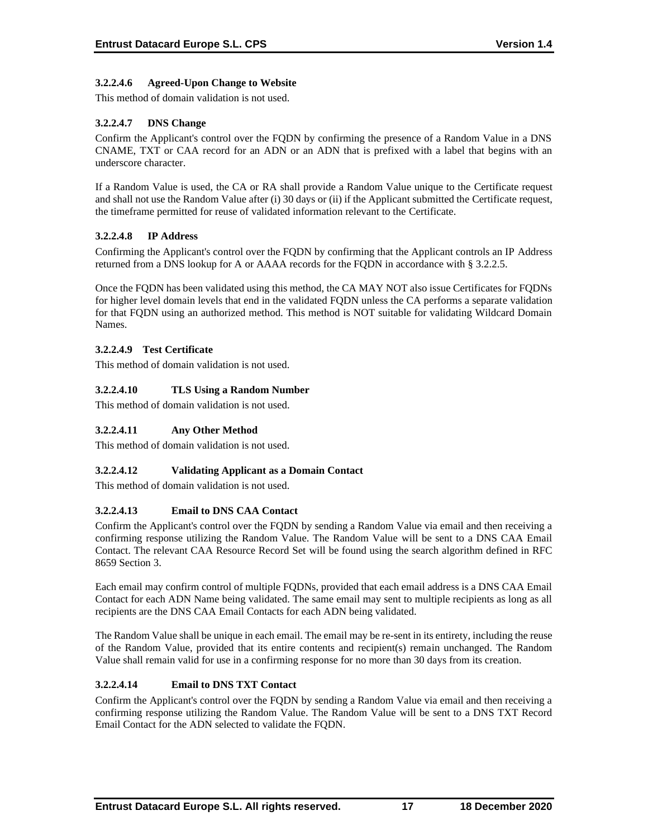# **3.2.2.4.6 Agreed-Upon Change to Website**

This method of domain validation is not used.

# **3.2.2.4.7 DNS Change**

Confirm the Applicant's control over the FQDN by confirming the presence of a Random Value in a DNS CNAME, TXT or CAA record for an ADN or an ADN that is prefixed with a label that begins with an underscore character.

If a Random Value is used, the CA or RA shall provide a Random Value unique to the Certificate request and shall not use the Random Value after (i) 30 days or (ii) if the Applicant submitted the Certificate request, the timeframe permitted for reuse of validated information relevant to the Certificate.

# **3.2.2.4.8 IP Address**

Confirming the Applicant's control over the FQDN by confirming that the Applicant controls an IP Address returned from a DNS lookup for A or AAAA records for the FQDN in accordance with § 3.2.2.5.

Once the FQDN has been validated using this method, the CA MAY NOT also issue Certificates for FQDNs for higher level domain levels that end in the validated FQDN unless the CA performs a separate validation for that FQDN using an authorized method. This method is NOT suitable for validating Wildcard Domain Names.

# **3.2.2.4.9 Test Certificate**

This method of domain validation is not used.

# **3.2.2.4.10 TLS Using a Random Number**

This method of domain validation is not used.

# **3.2.2.4.11 Any Other Method**

This method of domain validation is not used.

# **3.2.2.4.12 Validating Applicant as a Domain Contact**

This method of domain validation is not used.

# **3.2.2.4.13 Email to DNS CAA Contact**

Confirm the Applicant's control over the FQDN by sending a Random Value via email and then receiving a confirming response utilizing the Random Value. The Random Value will be sent to a DNS CAA Email Contact. The relevant CAA Resource Record Set will be found using the search algorithm defined in RFC 8659 Section 3.

Each email may confirm control of multiple FQDNs, provided that each email address is a DNS CAA Email Contact for each ADN Name being validated. The same email may sent to multiple recipients as long as all recipients are the DNS CAA Email Contacts for each ADN being validated.

The Random Value shall be unique in each email. The email may be re-sent in its entirety, including the reuse of the Random Value, provided that its entire contents and recipient(s) remain unchanged. The Random Value shall remain valid for use in a confirming response for no more than 30 days from its creation.

# **3.2.2.4.14 Email to DNS TXT Contact**

Confirm the Applicant's control over the FQDN by sending a Random Value via email and then receiving a confirming response utilizing the Random Value. The Random Value will be sent to a DNS TXT Record Email Contact for the ADN selected to validate the FQDN.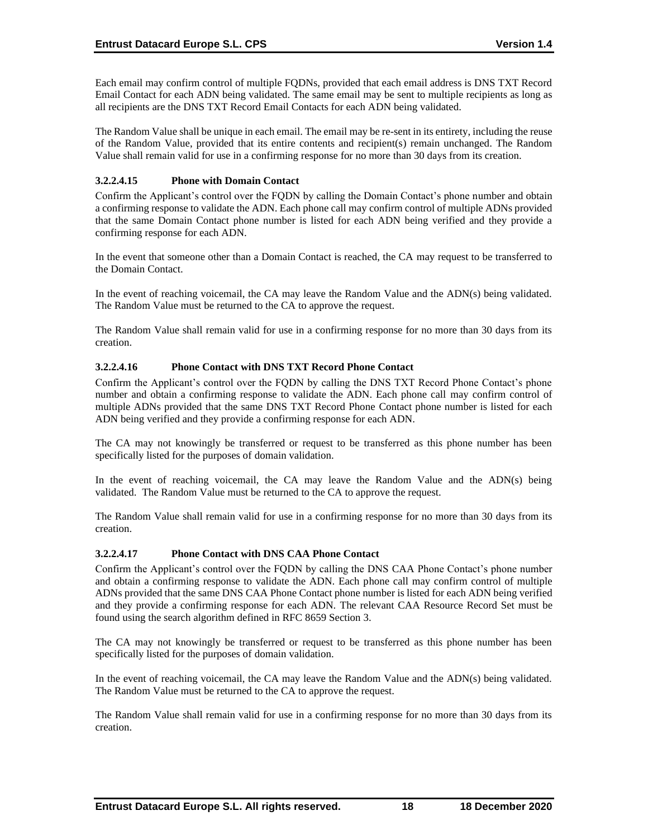Each email may confirm control of multiple FQDNs, provided that each email address is DNS TXT Record Email Contact for each ADN being validated. The same email may be sent to multiple recipients as long as all recipients are the DNS TXT Record Email Contacts for each ADN being validated.

The Random Value shall be unique in each email. The email may be re-sent in its entirety, including the reuse of the Random Value, provided that its entire contents and recipient(s) remain unchanged. The Random Value shall remain valid for use in a confirming response for no more than 30 days from its creation.

# **3.2.2.4.15 Phone with Domain Contact**

Confirm the Applicant's control over the FQDN by calling the Domain Contact's phone number and obtain a confirming response to validate the ADN. Each phone call may confirm control of multiple ADNs provided that the same Domain Contact phone number is listed for each ADN being verified and they provide a confirming response for each ADN.

In the event that someone other than a Domain Contact is reached, the CA may request to be transferred to the Domain Contact.

In the event of reaching voicemail, the CA may leave the Random Value and the ADN(s) being validated. The Random Value must be returned to the CA to approve the request.

The Random Value shall remain valid for use in a confirming response for no more than 30 days from its creation.

# **3.2.2.4.16 Phone Contact with DNS TXT Record Phone Contact**

Confirm the Applicant's control over the FQDN by calling the DNS TXT Record Phone Contact's phone number and obtain a confirming response to validate the ADN. Each phone call may confirm control of multiple ADNs provided that the same DNS TXT Record Phone Contact phone number is listed for each ADN being verified and they provide a confirming response for each ADN.

The CA may not knowingly be transferred or request to be transferred as this phone number has been specifically listed for the purposes of domain validation.

In the event of reaching voicemail, the CA may leave the Random Value and the ADN(s) being validated. The Random Value must be returned to the CA to approve the request.

The Random Value shall remain valid for use in a confirming response for no more than 30 days from its creation.

# **3.2.2.4.17 Phone Contact with DNS CAA Phone Contact**

Confirm the Applicant's control over the FQDN by calling the DNS CAA Phone Contact's phone number and obtain a confirming response to validate the ADN. Each phone call may confirm control of multiple ADNs provided that the same DNS CAA Phone Contact phone number is listed for each ADN being verified and they provide a confirming response for each ADN. The relevant CAA Resource Record Set must be found using the search algorithm defined in RFC 8659 Section 3.

The CA may not knowingly be transferred or request to be transferred as this phone number has been specifically listed for the purposes of domain validation.

In the event of reaching voicemail, the CA may leave the Random Value and the ADN(s) being validated. The Random Value must be returned to the CA to approve the request.

The Random Value shall remain valid for use in a confirming response for no more than 30 days from its creation.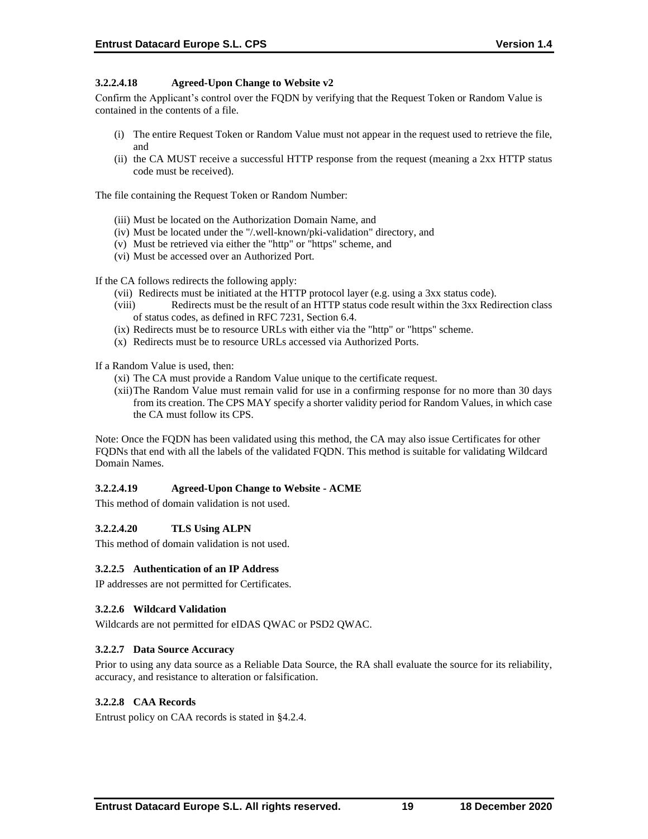# **3.2.2.4.18 Agreed-Upon Change to Website v2**

Confirm the Applicant's control over the FQDN by verifying that the Request Token or Random Value is contained in the contents of a file.

- (i) The entire Request Token or Random Value must not appear in the request used to retrieve the file, and
- (ii) the CA MUST receive a successful HTTP response from the request (meaning a 2xx HTTP status code must be received).

The file containing the Request Token or Random Number:

- (iii) Must be located on the Authorization Domain Name, and
- (iv) Must be located under the "/.well-known/pki-validation" directory, and
- (v) Must be retrieved via either the "http" or "https" scheme, and
- (vi) Must be accessed over an Authorized Port.

If the CA follows redirects the following apply:

- (vii) Redirects must be initiated at the HTTP protocol layer (e.g. using a 3xx status code).
- (viii) Redirects must be the result of an HTTP status code result within the 3xx Redirection class of status codes, as defined in RFC 7231, Section 6.4.
- (ix) Redirects must be to resource URLs with either via the "http" or "https" scheme.
- (x) Redirects must be to resource URLs accessed via Authorized Ports.

If a Random Value is used, then:

- (xi) The CA must provide a Random Value unique to the certificate request.
- (xii)The Random Value must remain valid for use in a confirming response for no more than 30 days from its creation. The CPS MAY specify a shorter validity period for Random Values, in which case the CA must follow its CPS.

Note: Once the FQDN has been validated using this method, the CA may also issue Certificates for other FQDNs that end with all the labels of the validated FQDN. This method is suitable for validating Wildcard Domain Names.

# **3.2.2.4.19 Agreed-Upon Change to Website - ACME**

This method of domain validation is not used.

#### **3.2.2.4.20 TLS Using ALPN**

This method of domain validation is not used.

#### **3.2.2.5 Authentication of an IP Address**

IP addresses are not permitted for Certificates.

### **3.2.2.6 Wildcard Validation**

Wildcards are not permitted for eIDAS QWAC or PSD2 QWAC.

#### **3.2.2.7 Data Source Accuracy**

Prior to using any data source as a Reliable Data Source, the RA shall evaluate the source for its reliability, accuracy, and resistance to alteration or falsification.

#### **3.2.2.8 CAA Records**

Entrust policy on CAA records is stated in §4.2.4.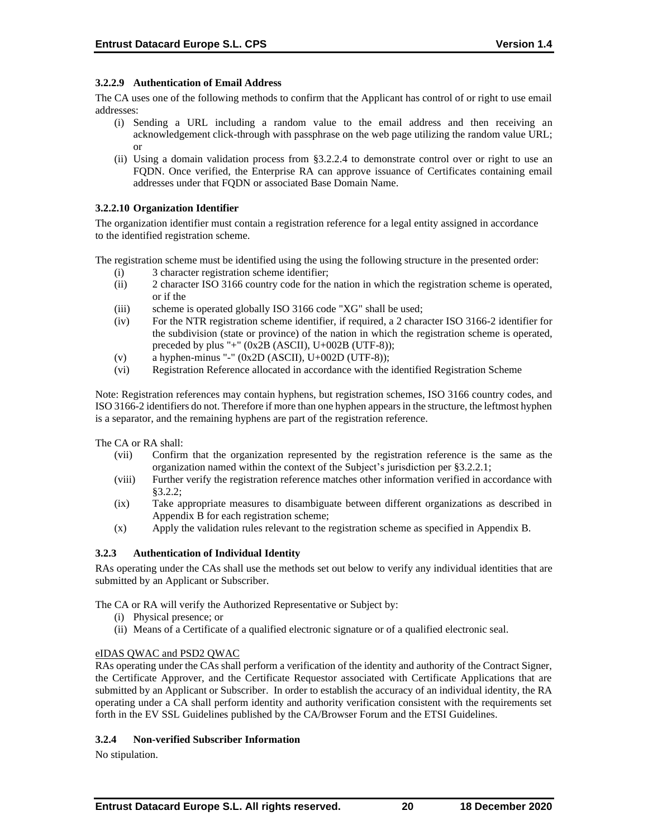# **3.2.2.9 Authentication of Email Address**

The CA uses one of the following methods to confirm that the Applicant has control of or right to use email addresses:

- (i) Sending a URL including a random value to the email address and then receiving an acknowledgement click-through with passphrase on the web page utilizing the random value URL; or
- (ii) Using a domain validation process from §3.2.2.4 to demonstrate control over or right to use an FQDN. Once verified, the Enterprise RA can approve issuance of Certificates containing email addresses under that FQDN or associated Base Domain Name.

#### **3.2.2.10 Organization Identifier**

The organization identifier must contain a registration reference for a legal entity assigned in accordance to the identified registration scheme.

The registration scheme must be identified using the using the following structure in the presented order:

- (i) 3 character registration scheme identifier;
- (ii) 2 character ISO 3166 country code for the nation in which the registration scheme is operated, or if the
- (iii) scheme is operated globally ISO 3166 code "XG" shall be used;
- (iv) For the NTR registration scheme identifier, if required, a 2 character ISO 3166-2 identifier for the subdivision (state or province) of the nation in which the registration scheme is operated, preceded by plus "+" (0x2B (ASCII), U+002B (UTF-8));
- (v) a hyphen-minus "-"  $(0x2D (ASCII), U+002D (UTF-8));$
- (vi) Registration Reference allocated in accordance with the identified Registration Scheme

Note: Registration references may contain hyphens, but registration schemes, ISO 3166 country codes, and ISO 3166-2 identifiers do not. Therefore if more than one hyphen appears in the structure, the leftmost hyphen is a separator, and the remaining hyphens are part of the registration reference.

The CA or RA shall:

- (vii) Confirm that the organization represented by the registration reference is the same as the organization named within the context of the Subject's jurisdiction per §3.2.2.1;
- (viii) Further verify the registration reference matches other information verified in accordance with §3.2.2;
- (ix) Take appropriate measures to disambiguate between different organizations as described in Appendix B for each registration scheme;
- (x) Apply the validation rules relevant to the registration scheme as specified in Appendix B.

# **3.2.3 Authentication of Individual Identity**

RAs operating under the CAs shall use the methods set out below to verify any individual identities that are submitted by an Applicant or Subscriber.

The CA or RA will verify the Authorized Representative or Subject by:

- (i) Physical presence; or
- (ii) Means of a Certificate of a qualified electronic signature or of a qualified electronic seal.

#### eIDAS QWAC and PSD2 QWAC

RAs operating under the CAs shall perform a verification of the identity and authority of the Contract Signer, the Certificate Approver, and the Certificate Requestor associated with Certificate Applications that are submitted by an Applicant or Subscriber. In order to establish the accuracy of an individual identity, the RA operating under a CA shall perform identity and authority verification consistent with the requirements set forth in the EV SSL Guidelines published by the CA/Browser Forum and the ETSI Guidelines.

# **3.2.4 Non-verified Subscriber Information**

No stipulation.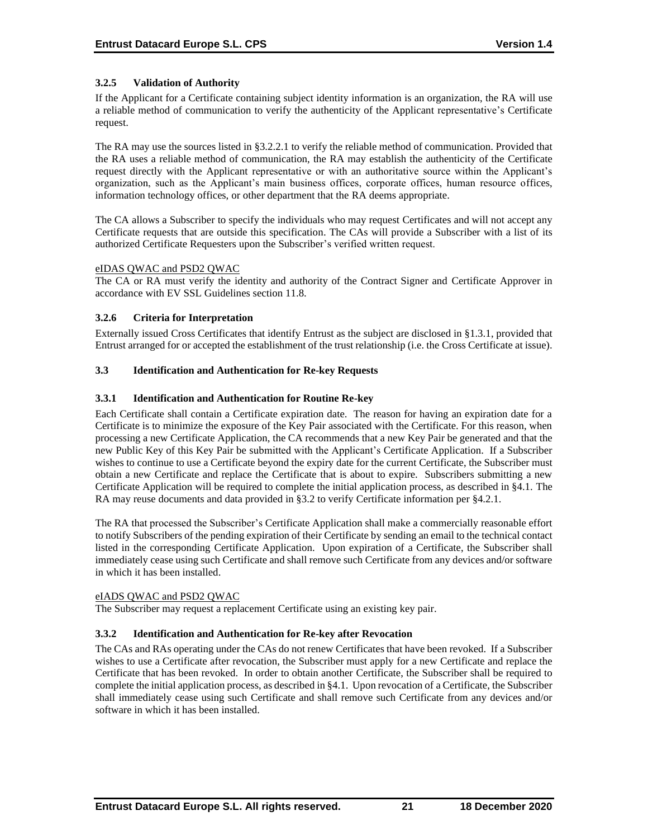# **3.2.5 Validation of Authority**

If the Applicant for a Certificate containing subject identity information is an organization, the RA will use a reliable method of communication to verify the authenticity of the Applicant representative's Certificate request.

The RA may use the sources listed in §3.2.2.1 to verify the reliable method of communication. Provided that the RA uses a reliable method of communication, the RA may establish the authenticity of the Certificate request directly with the Applicant representative or with an authoritative source within the Applicant's organization, such as the Applicant's main business offices, corporate offices, human resource offices, information technology offices, or other department that the RA deems appropriate.

The CA allows a Subscriber to specify the individuals who may request Certificates and will not accept any Certificate requests that are outside this specification. The CAs will provide a Subscriber with a list of its authorized Certificate Requesters upon the Subscriber's verified written request.

#### eIDAS QWAC and PSD2 QWAC

The CA or RA must verify the identity and authority of the Contract Signer and Certificate Approver in accordance with EV SSL Guidelines section 11.8.

#### **3.2.6 Criteria for Interpretation**

Externally issued Cross Certificates that identify Entrust as the subject are disclosed in §1.3.1, provided that Entrust arranged for or accepted the establishment of the trust relationship (i.e. the Cross Certificate at issue).

## **3.3 Identification and Authentication for Re-key Requests**

## **3.3.1 Identification and Authentication for Routine Re-key**

Each Certificate shall contain a Certificate expiration date. The reason for having an expiration date for a Certificate is to minimize the exposure of the Key Pair associated with the Certificate. For this reason, when processing a new Certificate Application, the CA recommends that a new Key Pair be generated and that the new Public Key of this Key Pair be submitted with the Applicant's Certificate Application. If a Subscriber wishes to continue to use a Certificate beyond the expiry date for the current Certificate, the Subscriber must obtain a new Certificate and replace the Certificate that is about to expire. Subscribers submitting a new Certificate Application will be required to complete the initial application process, as described in §4.1. The RA may reuse documents and data provided in §3.2 to verify Certificate information per §4.2.1.

The RA that processed the Subscriber's Certificate Application shall make a commercially reasonable effort to notify Subscribers of the pending expiration of their Certificate by sending an email to the technical contact listed in the corresponding Certificate Application. Upon expiration of a Certificate, the Subscriber shall immediately cease using such Certificate and shall remove such Certificate from any devices and/or software in which it has been installed.

# eIADS QWAC and PSD2 QWAC

The Subscriber may request a replacement Certificate using an existing key pair.

#### **3.3.2 Identification and Authentication for Re-key after Revocation**

The CAs and RAs operating under the CAs do not renew Certificates that have been revoked. If a Subscriber wishes to use a Certificate after revocation, the Subscriber must apply for a new Certificate and replace the Certificate that has been revoked. In order to obtain another Certificate, the Subscriber shall be required to complete the initial application process, as described in §4.1. Upon revocation of a Certificate, the Subscriber shall immediately cease using such Certificate and shall remove such Certificate from any devices and/or software in which it has been installed.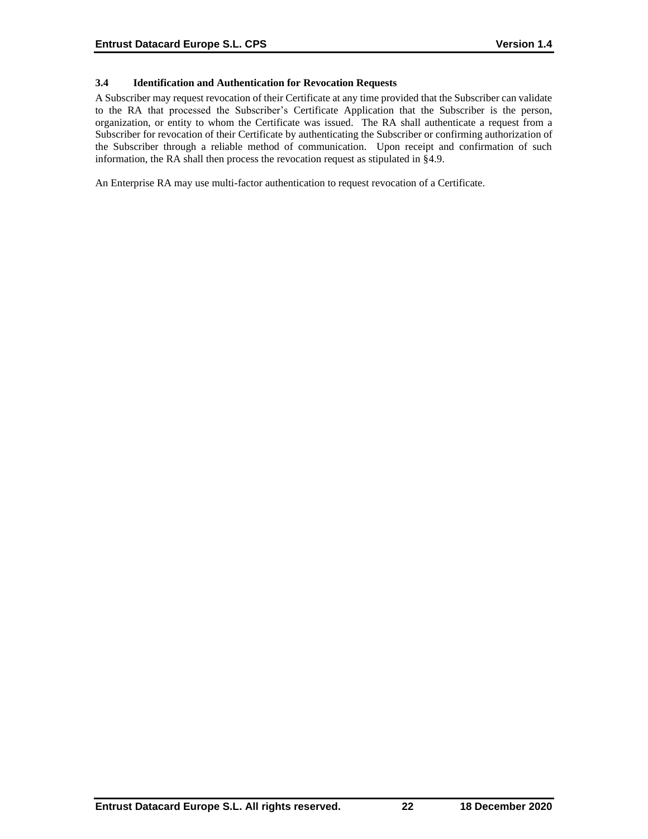# **3.4 Identification and Authentication for Revocation Requests**

A Subscriber may request revocation of their Certificate at any time provided that the Subscriber can validate to the RA that processed the Subscriber's Certificate Application that the Subscriber is the person, organization, or entity to whom the Certificate was issued. The RA shall authenticate a request from a Subscriber for revocation of their Certificate by authenticating the Subscriber or confirming authorization of the Subscriber through a reliable method of communication. Upon receipt and confirmation of such information, the RA shall then process the revocation request as stipulated in §4.9.

An Enterprise RA may use multi-factor authentication to request revocation of a Certificate.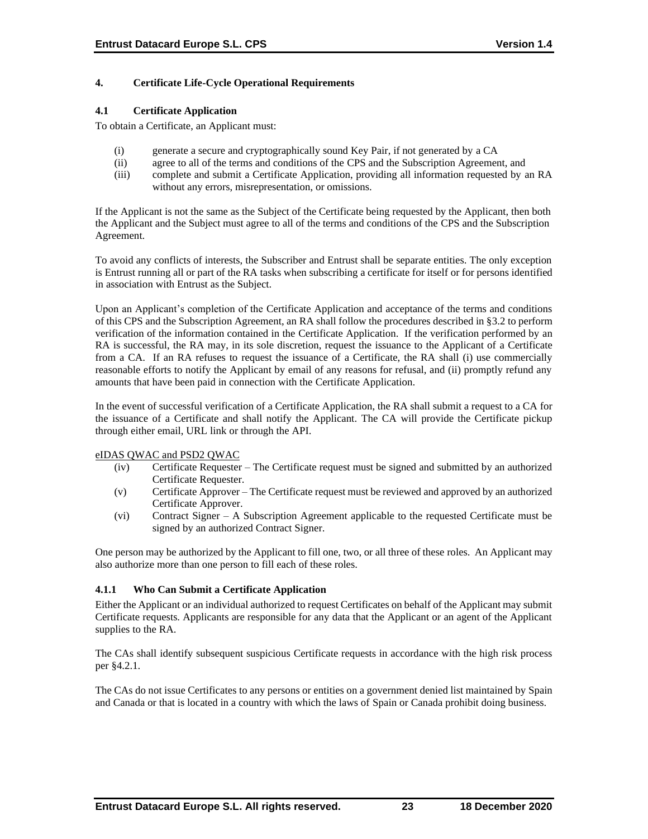# **4. Certificate Life-Cycle Operational Requirements**

#### **4.1 Certificate Application**

To obtain a Certificate, an Applicant must:

- (i) generate a secure and cryptographically sound Key Pair, if not generated by a CA
- (ii) agree to all of the terms and conditions of the CPS and the Subscription Agreement, and
- (iii) complete and submit a Certificate Application, providing all information requested by an RA without any errors, misrepresentation, or omissions.

If the Applicant is not the same as the Subject of the Certificate being requested by the Applicant, then both the Applicant and the Subject must agree to all of the terms and conditions of the CPS and the Subscription Agreement.

To avoid any conflicts of interests, the Subscriber and Entrust shall be separate entities. The only exception is Entrust running all or part of the RA tasks when subscribing a certificate for itself or for persons identified in association with Entrust as the Subject.

Upon an Applicant's completion of the Certificate Application and acceptance of the terms and conditions of this CPS and the Subscription Agreement, an RA shall follow the procedures described in §3.2 to perform verification of the information contained in the Certificate Application. If the verification performed by an RA is successful, the RA may, in its sole discretion, request the issuance to the Applicant of a Certificate from a CA. If an RA refuses to request the issuance of a Certificate, the RA shall (i) use commercially reasonable efforts to notify the Applicant by email of any reasons for refusal, and (ii) promptly refund any amounts that have been paid in connection with the Certificate Application.

In the event of successful verification of a Certificate Application, the RA shall submit a request to a CA for the issuance of a Certificate and shall notify the Applicant. The CA will provide the Certificate pickup through either email, URL link or through the API.

#### eIDAS QWAC and PSD2 QWAC

- (iv) Certificate Requester The Certificate request must be signed and submitted by an authorized Certificate Requester.
- (v) Certificate Approver The Certificate request must be reviewed and approved by an authorized Certificate Approver.
- (vi) Contract Signer A Subscription Agreement applicable to the requested Certificate must be signed by an authorized Contract Signer.

One person may be authorized by the Applicant to fill one, two, or all three of these roles. An Applicant may also authorize more than one person to fill each of these roles.

# **4.1.1 Who Can Submit a Certificate Application**

Either the Applicant or an individual authorized to request Certificates on behalf of the Applicant may submit Certificate requests. Applicants are responsible for any data that the Applicant or an agent of the Applicant supplies to the RA.

The CAs shall identify subsequent suspicious Certificate requests in accordance with the high risk process per §4.2.1.

The CAs do not issue Certificates to any persons or entities on a government denied list maintained by Spain and Canada or that is located in a country with which the laws of Spain or Canada prohibit doing business.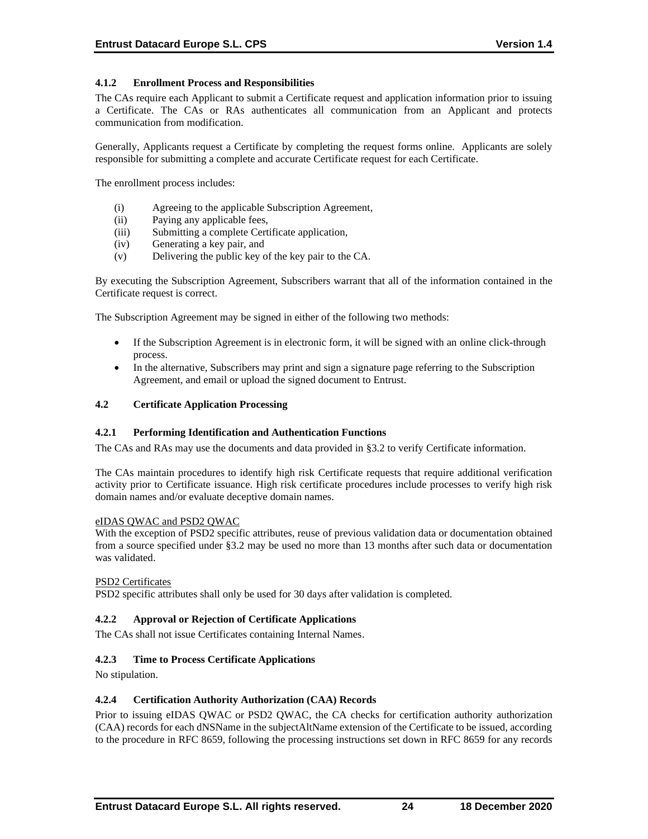# **4.1.2 Enrollment Process and Responsibilities**

The CAs require each Applicant to submit a Certificate request and application information prior to issuing a Certificate. The CAs or RAs authenticates all communication from an Applicant and protects communication from modification.

Generally, Applicants request a Certificate by completing the request forms online. Applicants are solely responsible for submitting a complete and accurate Certificate request for each Certificate.

The enrollment process includes:

- (i) Agreeing to the applicable Subscription Agreement,
- (ii) Paying any applicable fees,
- (iii) Submitting a complete Certificate application,
- (iv) Generating a key pair, and
- (v) Delivering the public key of the key pair to the CA.

By executing the Subscription Agreement, Subscribers warrant that all of the information contained in the Certificate request is correct.

The Subscription Agreement may be signed in either of the following two methods:

- If the Subscription Agreement is in electronic form, it will be signed with an online click-through process.
- In the alternative, Subscribers may print and sign a signature page referring to the Subscription Agreement, and email or upload the signed document to Entrust.

#### **4.2 Certificate Application Processing**

#### **4.2.1 Performing Identification and Authentication Functions**

The CAs and RAs may use the documents and data provided in §3.2 to verify Certificate information.

The CAs maintain procedures to identify high risk Certificate requests that require additional verification activity prior to Certificate issuance. High risk certificate procedures include processes to verify high risk domain names and/or evaluate deceptive domain names.

#### eIDAS QWAC and PSD2 QWAC

With the exception of PSD2 specific attributes, reuse of previous validation data or documentation obtained from a source specified under §3.2 may be used no more than 13 months after such data or documentation was validated.

#### PSD2 Certificates

PSD2 specific attributes shall only be used for 30 days after validation is completed.

#### **4.2.2 Approval or Rejection of Certificate Applications**

The CAs shall not issue Certificates containing Internal Names.

#### **4.2.3 Time to Process Certificate Applications**

No stipulation.

#### **4.2.4 Certification Authority Authorization (CAA) Records**

Prior to issuing eIDAS QWAC or PSD2 QWAC, the CA checks for certification authority authorization (CAA) records for each dNSName in the subjectAltName extension of the Certificate to be issued, according to the procedure in RFC 8659, following the processing instructions set down in RFC 8659 for any records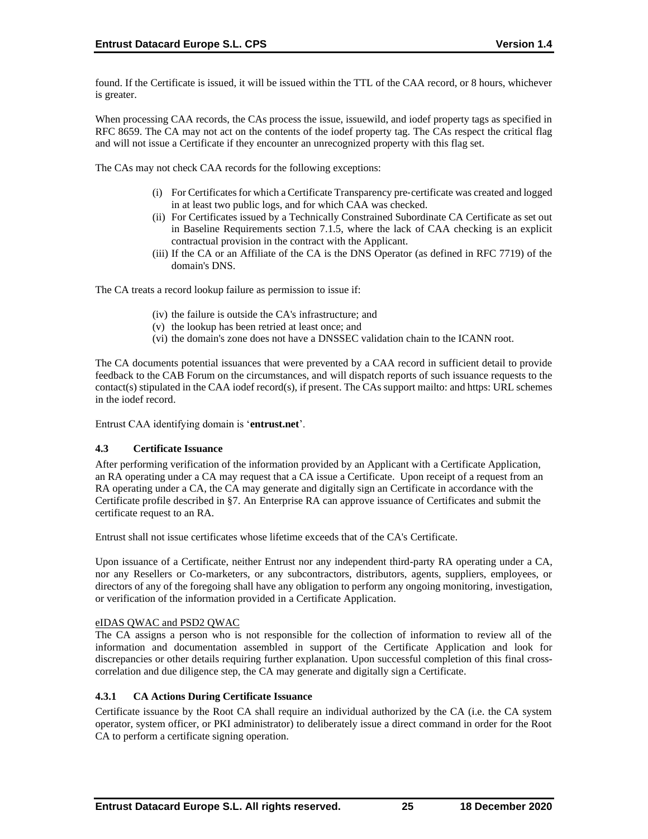found. If the Certificate is issued, it will be issued within the TTL of the CAA record, or 8 hours, whichever is greater.

When processing CAA records, the CAs process the issue, issuewild, and iodef property tags as specified in RFC 8659. The CA may not act on the contents of the iodef property tag. The CAs respect the critical flag and will not issue a Certificate if they encounter an unrecognized property with this flag set.

The CAs may not check CAA records for the following exceptions:

- (i) For Certificates for which a Certificate Transparency pre‐certificate was created and logged in at least two public logs, and for which CAA was checked.
- (ii) For Certificates issued by a Technically Constrained Subordinate CA Certificate as set out in Baseline Requirements section 7.1.5, where the lack of CAA checking is an explicit contractual provision in the contract with the Applicant.
- (iii) If the CA or an Affiliate of the CA is the DNS Operator (as defined in RFC 7719) of the domain's DNS.

The CA treats a record lookup failure as permission to issue if:

- (iv) the failure is outside the CA's infrastructure; and
- (v) the lookup has been retried at least once; and
- (vi) the domain's zone does not have a DNSSEC validation chain to the ICANN root.

The CA documents potential issuances that were prevented by a CAA record in sufficient detail to provide feedback to the CAB Forum on the circumstances, and will dispatch reports of such issuance requests to the contact(s) stipulated in the CAA iodef record(s), if present. The CAs support mailto: and https: URL schemes in the iodef record.

Entrust CAA identifying domain is '**entrust.net**'.

#### **4.3 Certificate Issuance**

After performing verification of the information provided by an Applicant with a Certificate Application, an RA operating under a CA may request that a CA issue a Certificate. Upon receipt of a request from an RA operating under a CA, the CA may generate and digitally sign an Certificate in accordance with the Certificate profile described in §7. An Enterprise RA can approve issuance of Certificates and submit the certificate request to an RA.

Entrust shall not issue certificates whose lifetime exceeds that of the CA's Certificate.

Upon issuance of a Certificate, neither Entrust nor any independent third-party RA operating under a CA, nor any Resellers or Co-marketers, or any subcontractors, distributors, agents, suppliers, employees, or directors of any of the foregoing shall have any obligation to perform any ongoing monitoring, investigation, or verification of the information provided in a Certificate Application.

#### eIDAS QWAC and PSD2 QWAC

The CA assigns a person who is not responsible for the collection of information to review all of the information and documentation assembled in support of the Certificate Application and look for discrepancies or other details requiring further explanation. Upon successful completion of this final crosscorrelation and due diligence step, the CA may generate and digitally sign a Certificate.

# **4.3.1 CA Actions During Certificate Issuance**

Certificate issuance by the Root CA shall require an individual authorized by the CA (i.e. the CA system operator, system officer, or PKI administrator) to deliberately issue a direct command in order for the Root CA to perform a certificate signing operation.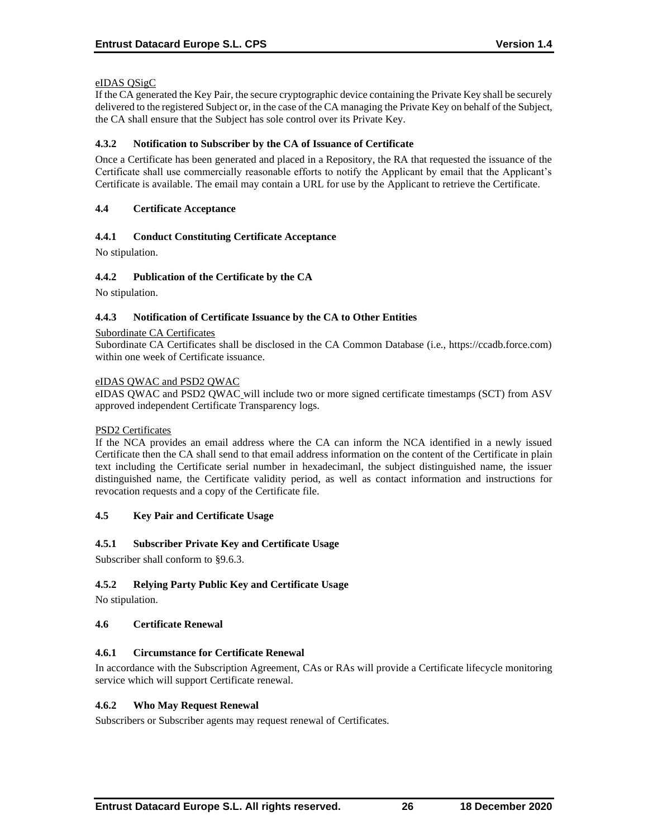# eIDAS QSigC

If the CA generated the Key Pair, the secure cryptographic device containing the Private Key shall be securely delivered to the registered Subject or, in the case of the CA managing the Private Key on behalf of the Subject, the CA shall ensure that the Subject has sole control over its Private Key.

## **4.3.2 Notification to Subscriber by the CA of Issuance of Certificate**

Once a Certificate has been generated and placed in a Repository, the RA that requested the issuance of the Certificate shall use commercially reasonable efforts to notify the Applicant by email that the Applicant's Certificate is available. The email may contain a URL for use by the Applicant to retrieve the Certificate.

## **4.4 Certificate Acceptance**

# **4.4.1 Conduct Constituting Certificate Acceptance**

No stipulation.

## **4.4.2 Publication of the Certificate by the CA**

No stipulation.

## **4.4.3 Notification of Certificate Issuance by the CA to Other Entities**

#### Subordinate CA Certificates

Subordinate CA Certificates shall be disclosed in the CA Common Database (i.e., https://ccadb.force.com) within one week of Certificate issuance.

#### eIDAS QWAC and PSD2 QWAC

eIDAS QWAC and PSD2 QWAC will include two or more signed certificate timestamps (SCT) from ASV approved independent Certificate Transparency logs.

#### PSD2 Certificates

If the NCA provides an email address where the CA can inform the NCA identified in a newly issued Certificate then the CA shall send to that email address information on the content of the Certificate in plain text including the Certificate serial number in hexadecimanl, the subject distinguished name, the issuer distinguished name, the Certificate validity period, as well as contact information and instructions for revocation requests and a copy of the Certificate file.

# **4.5 Key Pair and Certificate Usage**

# **4.5.1 Subscriber Private Key and Certificate Usage**

Subscriber shall conform to §9.6.3.

# **4.5.2 Relying Party Public Key and Certificate Usage**

No stipulation.

#### **4.6 Certificate Renewal**

# **4.6.1 Circumstance for Certificate Renewal**

In accordance with the Subscription Agreement, CAs or RAs will provide a Certificate lifecycle monitoring service which will support Certificate renewal.

# **4.6.2 Who May Request Renewal**

Subscribers or Subscriber agents may request renewal of Certificates.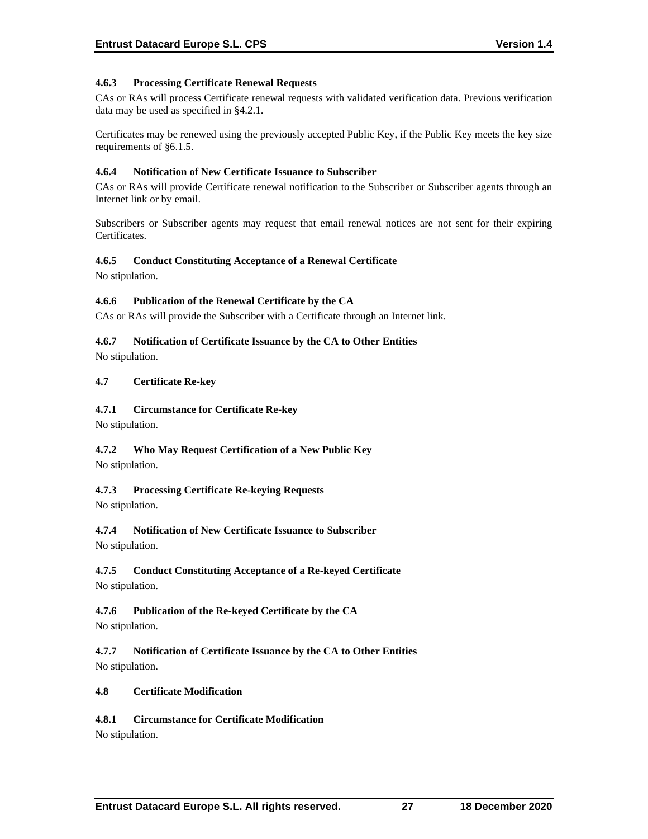# **4.6.3 Processing Certificate Renewal Requests**

CAs or RAs will process Certificate renewal requests with validated verification data. Previous verification data may be used as specified in §4.2.1.

Certificates may be renewed using the previously accepted Public Key, if the Public Key meets the key size requirements of §6.1.5.

#### **4.6.4 Notification of New Certificate Issuance to Subscriber**

CAs or RAs will provide Certificate renewal notification to the Subscriber or Subscriber agents through an Internet link or by email.

Subscribers or Subscriber agents may request that email renewal notices are not sent for their expiring Certificates.

## **4.6.5 Conduct Constituting Acceptance of a Renewal Certificate**

No stipulation.

## **4.6.6 Publication of the Renewal Certificate by the CA**

CAs or RAs will provide the Subscriber with a Certificate through an Internet link.

## **4.6.7 Notification of Certificate Issuance by the CA to Other Entities**

No stipulation.

## **4.7 Certificate Re-key**

## **4.7.1 Circumstance for Certificate Re-key**

No stipulation.

# **4.7.2 Who May Request Certification of a New Public Key**

No stipulation.

# **4.7.3 Processing Certificate Re-keying Requests**

No stipulation.

# **4.7.4 Notification of New Certificate Issuance to Subscriber**

No stipulation.

# **4.7.5 Conduct Constituting Acceptance of a Re-keyed Certificate**

No stipulation.

# **4.7.6 Publication of the Re-keyed Certificate by the CA**

No stipulation.

**4.7.7 Notification of Certificate Issuance by the CA to Other Entities** No stipulation.

# **4.8 Certificate Modification**

# **4.8.1 Circumstance for Certificate Modification**

No stipulation.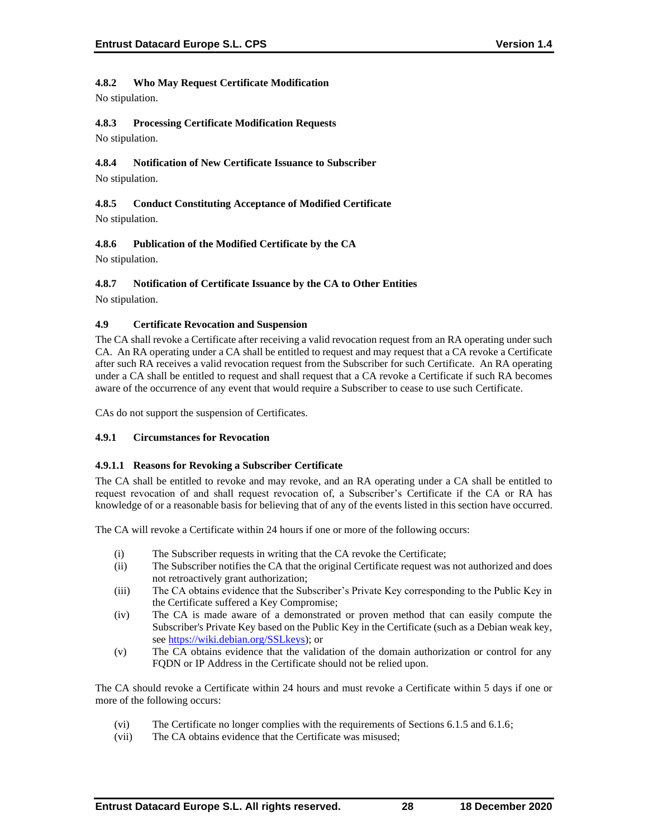# **4.8.2 Who May Request Certificate Modification**

No stipulation.

# **4.8.3 Processing Certificate Modification Requests**

No stipulation.

# **4.8.4 Notification of New Certificate Issuance to Subscriber**

No stipulation.

# **4.8.5 Conduct Constituting Acceptance of Modified Certificate** No stipulation.

# **4.8.6 Publication of the Modified Certificate by the CA**

No stipulation.

# **4.8.7 Notification of Certificate Issuance by the CA to Other Entities**

No stipulation.

# **4.9 Certificate Revocation and Suspension**

The CA shall revoke a Certificate after receiving a valid revocation request from an RA operating under such CA. An RA operating under a CA shall be entitled to request and may request that a CA revoke a Certificate after such RA receives a valid revocation request from the Subscriber for such Certificate. An RA operating under a CA shall be entitled to request and shall request that a CA revoke a Certificate if such RA becomes aware of the occurrence of any event that would require a Subscriber to cease to use such Certificate.

CAs do not support the suspension of Certificates.

# **4.9.1 Circumstances for Revocation**

# **4.9.1.1 Reasons for Revoking a Subscriber Certificate**

The CA shall be entitled to revoke and may revoke, and an RA operating under a CA shall be entitled to request revocation of and shall request revocation of, a Subscriber's Certificate if the CA or RA has knowledge of or a reasonable basis for believing that of any of the events listed in this section have occurred.

The CA will revoke a Certificate within 24 hours if one or more of the following occurs:

- (i) The Subscriber requests in writing that the CA revoke the Certificate;
- (ii) The Subscriber notifies the CA that the original Certificate request was not authorized and does not retroactively grant authorization;
- (iii) The CA obtains evidence that the Subscriber's Private Key corresponding to the Public Key in the Certificate suffered a Key Compromise;
- (iv) The CA is made aware of a demonstrated or proven method that can easily compute the Subscriber's Private Key based on the Public Key in the Certificate (such as a Debian weak key, see [https://wiki.debian.org/SSLkeys\)](https://wiki.debian.org/SSLkeys); or
- (v) The CA obtains evidence that the validation of the domain authorization or control for any FQDN or IP Address in the Certificate should not be relied upon.

The CA should revoke a Certificate within 24 hours and must revoke a Certificate within 5 days if one or more of the following occurs:

- (vi) The Certificate no longer complies with the requirements of Sections 6.1.5 and 6.1.6;
- (vii) The CA obtains evidence that the Certificate was misused;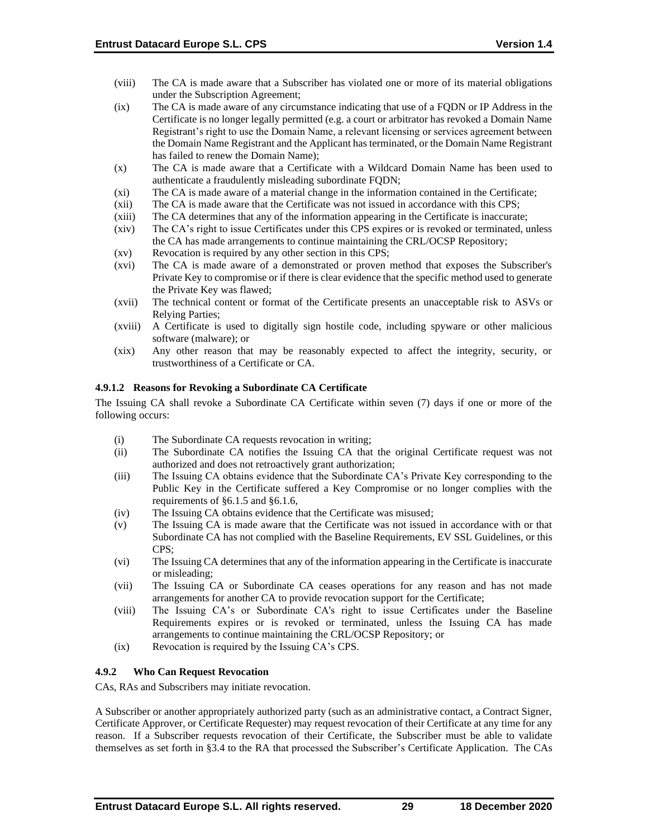- (viii) The CA is made aware that a Subscriber has violated one or more of its material obligations under the Subscription Agreement;
- (ix) The CA is made aware of any circumstance indicating that use of a FQDN or IP Address in the Certificate is no longer legally permitted (e.g. a court or arbitrator has revoked a Domain Name Registrant's right to use the Domain Name, a relevant licensing or services agreement between the Domain Name Registrant and the Applicant has terminated, or the Domain Name Registrant has failed to renew the Domain Name);
- (x) The CA is made aware that a Certificate with a Wildcard Domain Name has been used to authenticate a fraudulently misleading subordinate FQDN;
- (xi) The CA is made aware of a material change in the information contained in the Certificate;
- (xii) The CA is made aware that the Certificate was not issued in accordance with this CPS;
- (xiii) The CA determines that any of the information appearing in the Certificate is inaccurate;
- (xiv) The CA's right to issue Certificates under this CPS expires or is revoked or terminated, unless the CA has made arrangements to continue maintaining the CRL/OCSP Repository;
- (xv) Revocation is required by any other section in this CPS;
- (xvi) The CA is made aware of a demonstrated or proven method that exposes the Subscriber's Private Key to compromise or if there is clear evidence that the specific method used to generate the Private Key was flawed;
- (xvii) The technical content or format of the Certificate presents an unacceptable risk to ASVs or Relying Parties;
- (xviii) A Certificate is used to digitally sign hostile code, including spyware or other malicious software (malware); or
- (xix) Any other reason that may be reasonably expected to affect the integrity, security, or trustworthiness of a Certificate or CA.

#### **4.9.1.2 Reasons for Revoking a Subordinate CA Certificate**

The Issuing CA shall revoke a Subordinate CA Certificate within seven (7) days if one or more of the following occurs:

- (i) The Subordinate CA requests revocation in writing;
- (ii) The Subordinate CA notifies the Issuing CA that the original Certificate request was not authorized and does not retroactively grant authorization;
- (iii) The Issuing CA obtains evidence that the Subordinate CA's Private Key corresponding to the Public Key in the Certificate suffered a Key Compromise or no longer complies with the requirements of §6.1.5 and §6.1.6,
- (iv) The Issuing CA obtains evidence that the Certificate was misused;
- (v) The Issuing CA is made aware that the Certificate was not issued in accordance with or that Subordinate CA has not complied with the Baseline Requirements, EV SSL Guidelines, or this CPS;
- (vi) The Issuing CA determines that any of the information appearing in the Certificate is inaccurate or misleading;
- (vii) The Issuing CA or Subordinate CA ceases operations for any reason and has not made arrangements for another CA to provide revocation support for the Certificate;
- (viii) The Issuing CA's or Subordinate CA's right to issue Certificates under the Baseline Requirements expires or is revoked or terminated, unless the Issuing CA has made arrangements to continue maintaining the CRL/OCSP Repository; or
- (ix) Revocation is required by the Issuing CA's CPS.

#### **4.9.2 Who Can Request Revocation**

CAs, RAs and Subscribers may initiate revocation.

A Subscriber or another appropriately authorized party (such as an administrative contact, a Contract Signer, Certificate Approver, or Certificate Requester) may request revocation of their Certificate at any time for any reason. If a Subscriber requests revocation of their Certificate, the Subscriber must be able to validate themselves as set forth in §3.4 to the RA that processed the Subscriber's Certificate Application. The CAs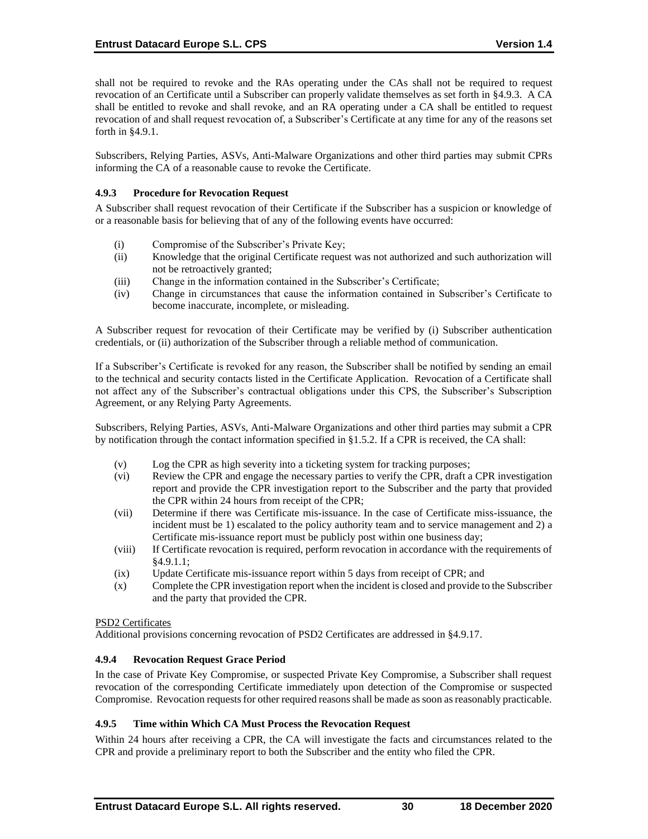shall not be required to revoke and the RAs operating under the CAs shall not be required to request revocation of an Certificate until a Subscriber can properly validate themselves as set forth in §4.9.3. A CA shall be entitled to revoke and shall revoke, and an RA operating under a CA shall be entitled to request revocation of and shall request revocation of, a Subscriber's Certificate at any time for any of the reasons set forth in §4.9.1.

Subscribers, Relying Parties, ASVs, Anti-Malware Organizations and other third parties may submit CPRs informing the CA of a reasonable cause to revoke the Certificate.

### **4.9.3 Procedure for Revocation Request**

A Subscriber shall request revocation of their Certificate if the Subscriber has a suspicion or knowledge of or a reasonable basis for believing that of any of the following events have occurred:

- (i) Compromise of the Subscriber's Private Key;
- (ii) Knowledge that the original Certificate request was not authorized and such authorization will not be retroactively granted;
- (iii) Change in the information contained in the Subscriber's Certificate;
- (iv) Change in circumstances that cause the information contained in Subscriber's Certificate to become inaccurate, incomplete, or misleading.

A Subscriber request for revocation of their Certificate may be verified by (i) Subscriber authentication credentials, or (ii) authorization of the Subscriber through a reliable method of communication.

If a Subscriber's Certificate is revoked for any reason, the Subscriber shall be notified by sending an email to the technical and security contacts listed in the Certificate Application. Revocation of a Certificate shall not affect any of the Subscriber's contractual obligations under this CPS, the Subscriber's Subscription Agreement, or any Relying Party Agreements.

Subscribers, Relying Parties, ASVs, Anti-Malware Organizations and other third parties may submit a CPR by notification through the contact information specified in §1.5.2. If a CPR is received, the CA shall:

- (v) Log the CPR as high severity into a ticketing system for tracking purposes;
- (vi) Review the CPR and engage the necessary parties to verify the CPR, draft a CPR investigation report and provide the CPR investigation report to the Subscriber and the party that provided the CPR within 24 hours from receipt of the CPR;
- (vii) Determine if there was Certificate mis-issuance. In the case of Certificate miss-issuance, the incident must be 1) escalated to the policy authority team and to service management and 2) a Certificate mis-issuance report must be publicly post within one business day;
- (viii) If Certificate revocation is required, perform revocation in accordance with the requirements of §4.9.1.1;
- (ix) Update Certificate mis-issuance report within 5 days from receipt of CPR; and
- (x) Complete the CPR investigation report when the incident is closed and provide to the Subscriber and the party that provided the CPR.

#### PSD2 Certificates

Additional provisions concerning revocation of PSD2 Certificates are addressed in §4.9.17.

#### **4.9.4 Revocation Request Grace Period**

In the case of Private Key Compromise, or suspected Private Key Compromise, a Subscriber shall request revocation of the corresponding Certificate immediately upon detection of the Compromise or suspected Compromise. Revocation requests for other required reasons shall be made as soon as reasonably practicable.

#### **4.9.5 Time within Which CA Must Process the Revocation Request**

Within 24 hours after receiving a CPR, the CA will investigate the facts and circumstances related to the CPR and provide a preliminary report to both the Subscriber and the entity who filed the CPR.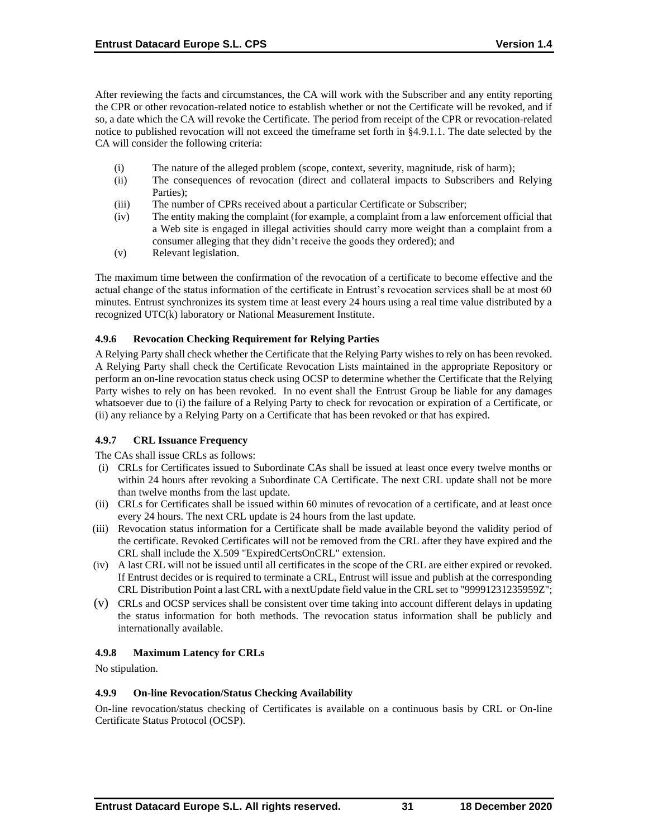After reviewing the facts and circumstances, the CA will work with the Subscriber and any entity reporting the CPR or other revocation-related notice to establish whether or not the Certificate will be revoked, and if so, a date which the CA will revoke the Certificate. The period from receipt of the CPR or revocation-related notice to published revocation will not exceed the timeframe set forth in §4.9.1.1. The date selected by the CA will consider the following criteria:

- (i) The nature of the alleged problem (scope, context, severity, magnitude, risk of harm);
- (ii) The consequences of revocation (direct and collateral impacts to Subscribers and Relying Parties);
- (iii) The number of CPRs received about a particular Certificate or Subscriber;
- (iv) The entity making the complaint (for example, a complaint from a law enforcement official that a Web site is engaged in illegal activities should carry more weight than a complaint from a consumer alleging that they didn't receive the goods they ordered); and
- (v) Relevant legislation.

The maximum time between the confirmation of the revocation of a certificate to become effective and the actual change of the status information of the certificate in Entrust's revocation services shall be at most 60 minutes. Entrust synchronizes its system time at least every 24 hours using a real time value distributed by a recognized UTC(k) laboratory or National Measurement Institute.

# **4.9.6 Revocation Checking Requirement for Relying Parties**

A Relying Party shall check whether the Certificate that the Relying Party wishes to rely on has been revoked. A Relying Party shall check the Certificate Revocation Lists maintained in the appropriate Repository or perform an on-line revocation status check using OCSP to determine whether the Certificate that the Relying Party wishes to rely on has been revoked. In no event shall the Entrust Group be liable for any damages whatsoever due to (i) the failure of a Relying Party to check for revocation or expiration of a Certificate, or (ii) any reliance by a Relying Party on a Certificate that has been revoked or that has expired.

# **4.9.7 CRL Issuance Frequency**

The CAs shall issue CRLs as follows:

- (i) CRLs for Certificates issued to Subordinate CAs shall be issued at least once every twelve months or within 24 hours after revoking a Subordinate CA Certificate. The next CRL update shall not be more than twelve months from the last update.
- (ii) CRLs for Certificates shall be issued within 60 minutes of revocation of a certificate, and at least once every 24 hours. The next CRL update is 24 hours from the last update.
- (iii) Revocation status information for a Certificate shall be made available beyond the validity period of the certificate. Revoked Certificates will not be removed from the CRL after they have expired and the CRL shall include the X.509 "ExpiredCertsOnCRL" extension.
- (iv) A last CRL will not be issued until all certificates in the scope of the CRL are either expired or revoked. If Entrust decides or is required to terminate a CRL, Entrust will issue and publish at the corresponding CRL Distribution Point a last CRL with a nextUpdate field value in the CRL set to "99991231235959Z";
- (v) CRLs and OCSP services shall be consistent over time taking into account different delays in updating the status information for both methods. The revocation status information shall be publicly and internationally available.

# **4.9.8 Maximum Latency for CRLs**

No stipulation.

# **4.9.9 On-line Revocation/Status Checking Availability**

On-line revocation/status checking of Certificates is available on a continuous basis by CRL or On-line Certificate Status Protocol (OCSP).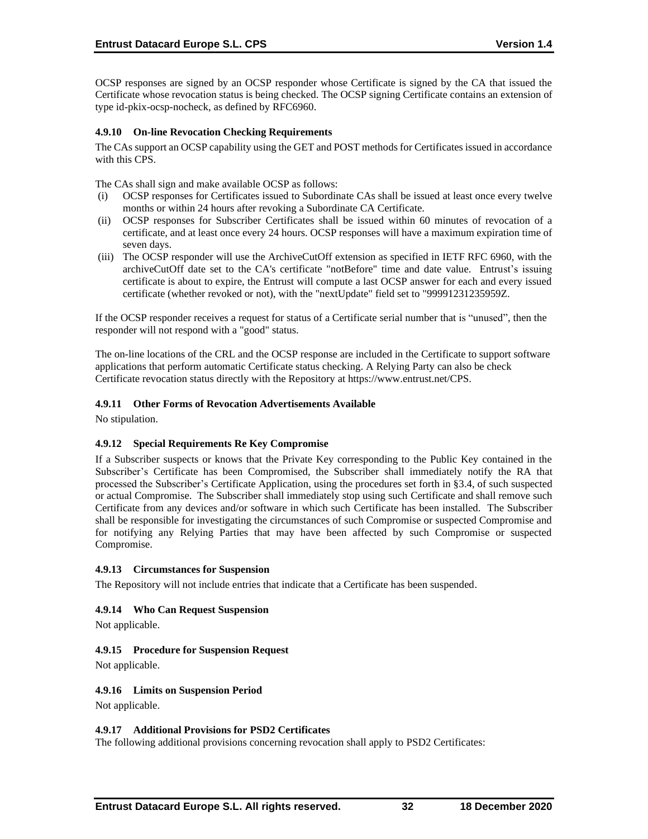OCSP responses are signed by an OCSP responder whose Certificate is signed by the CA that issued the Certificate whose revocation status is being checked. The OCSP signing Certificate contains an extension of type id-pkix-ocsp-nocheck, as defined by RFC6960.

### **4.9.10 On-line Revocation Checking Requirements**

The CAs support an OCSP capability using the GET and POST methods for Certificates issued in accordance with this CPS.

The CAs shall sign and make available OCSP as follows:

- (i) OCSP responses for Certificates issued to Subordinate CAs shall be issued at least once every twelve months or within 24 hours after revoking a Subordinate CA Certificate.
- (ii) OCSP responses for Subscriber Certificates shall be issued within 60 minutes of revocation of a certificate, and at least once every 24 hours. OCSP responses will have a maximum expiration time of seven days.
- (iii) The OCSP responder will use the ArchiveCutOff extension as specified in IETF RFC 6960, with the archiveCutOff date set to the CA's certificate "notBefore" time and date value. Entrust's issuing certificate is about to expire, the Entrust will compute a last OCSP answer for each and every issued certificate (whether revoked or not), with the "nextUpdate" field set to "99991231235959Z.

If the OCSP responder receives a request for status of a Certificate serial number that is "unused", then the responder will not respond with a "good" status.

The on-line locations of the CRL and the OCSP response are included in the Certificate to support software applications that perform automatic Certificate status checking. A Relying Party can also be check Certificate revocation status directly with the Repository at [https://www.entrust.net/CPS.](https://www.entrust.net/CPS) 

#### **4.9.11 Other Forms of Revocation Advertisements Available**

No stipulation.

#### **4.9.12 Special Requirements Re Key Compromise**

If a Subscriber suspects or knows that the Private Key corresponding to the Public Key contained in the Subscriber's Certificate has been Compromised, the Subscriber shall immediately notify the RA that processed the Subscriber's Certificate Application, using the procedures set forth in §3.4, of such suspected or actual Compromise. The Subscriber shall immediately stop using such Certificate and shall remove such Certificate from any devices and/or software in which such Certificate has been installed. The Subscriber shall be responsible for investigating the circumstances of such Compromise or suspected Compromise and for notifying any Relying Parties that may have been affected by such Compromise or suspected Compromise.

#### **4.9.13 Circumstances for Suspension**

The Repository will not include entries that indicate that a Certificate has been suspended.

#### **4.9.14 Who Can Request Suspension**

Not applicable.

#### **4.9.15 Procedure for Suspension Request**

Not applicable.

#### **4.9.16 Limits on Suspension Period**

Not applicable.

#### **4.9.17 Additional Provisions for PSD2 Certificates**

The following additional provisions concerning revocation shall apply to PSD2 Certificates: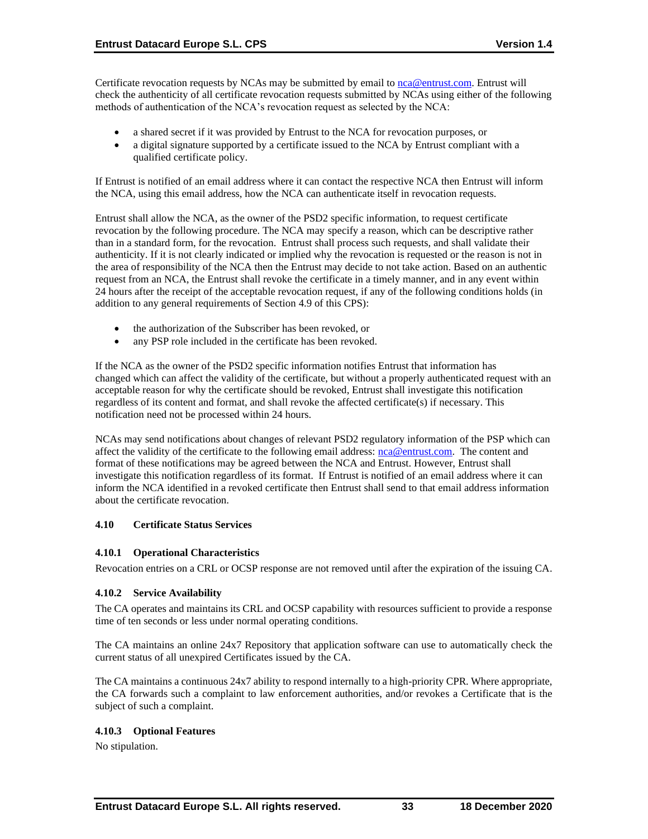Certificate revocation requests by NCAs may be submitted by email to [nca@entrust.com.](mailto:nca@entrustdatacard.com) Entrust will check the authenticity of all certificate revocation requests submitted by NCAs using either of the following methods of authentication of the NCA's revocation request as selected by the NCA:

- a shared secret if it was provided by Entrust to the NCA for revocation purposes, or
- a digital signature supported by a certificate issued to the NCA by Entrust compliant with a qualified certificate policy.

If Entrust is notified of an email address where it can contact the respective NCA then Entrust will inform the NCA, using this email address, how the NCA can authenticate itself in revocation requests.

Entrust shall allow the NCA, as the owner of the PSD2 specific information, to request certificate revocation by the following procedure. The NCA may specify a reason, which can be descriptive rather than in a standard form, for the revocation. Entrust shall process such requests, and shall validate their authenticity. If it is not clearly indicated or implied why the revocation is requested or the reason is not in the area of responsibility of the NCA then the Entrust may decide to not take action. Based on an authentic request from an NCA, the Entrust shall revoke the certificate in a timely manner, and in any event within 24 hours after the receipt of the acceptable revocation request, if any of the following conditions holds (in addition to any general requirements of Section 4.9 of this CPS):

- the authorization of the Subscriber has been revoked, or
- any PSP role included in the certificate has been revoked.

If the NCA as the owner of the PSD2 specific information notifies Entrust that information has changed which can affect the validity of the certificate, but without a properly authenticated request with an acceptable reason for why the certificate should be revoked, Entrust shall investigate this notification regardless of its content and format, and shall revoke the affected certificate(s) if necessary. This notification need not be processed within 24 hours.

NCAs may send notifications about changes of relevant PSD2 regulatory information of the PSP which can affect the validity of the certificate to the following email address: [nca@entrust.com.](mailto:nca@entrust.com) The content and format of these notifications may be agreed between the NCA and Entrust. However, Entrust shall investigate this notification regardless of its format. If Entrust is notified of an email address where it can inform the NCA identified in a revoked certificate then Entrust shall send to that email address information about the certificate revocation.

# **4.10 Certificate Status Services**

#### **4.10.1 Operational Characteristics**

Revocation entries on a CRL or OCSP response are not removed until after the expiration of the issuing CA.

#### **4.10.2 Service Availability**

The CA operates and maintains its CRL and OCSP capability with resources sufficient to provide a response time of ten seconds or less under normal operating conditions.

The CA maintains an online 24x7 Repository that application software can use to automatically check the current status of all unexpired Certificates issued by the CA.

The CA maintains a continuous 24x7 ability to respond internally to a high-priority CPR. Where appropriate, the CA forwards such a complaint to law enforcement authorities, and/or revokes a Certificate that is the subject of such a complaint.

# **4.10.3 Optional Features**

No stipulation.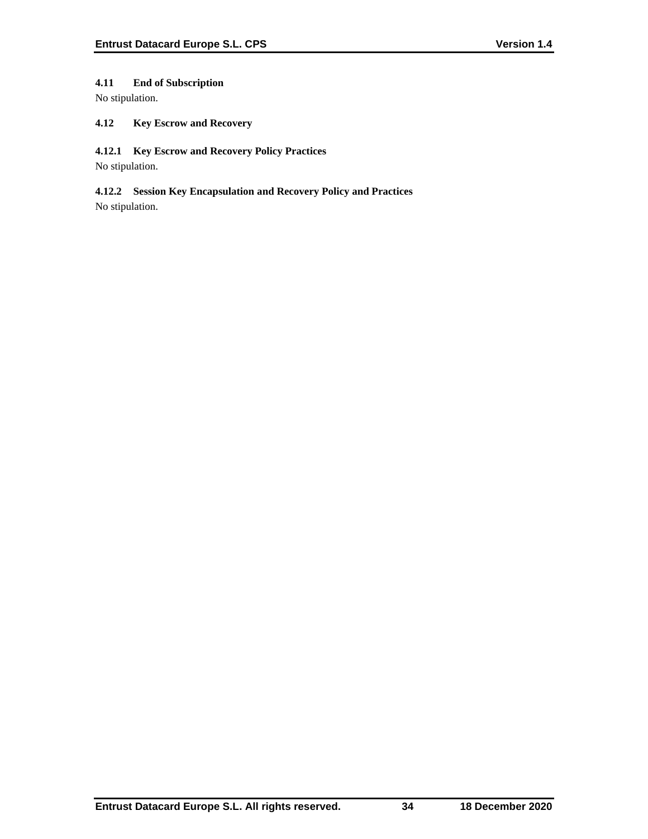# **4.11 End of Subscription**

No stipulation.

# **4.12 Key Escrow and Recovery**

### **4.12.1 Key Escrow and Recovery Policy Practices**

No stipulation.

# **4.12.2 Session Key Encapsulation and Recovery Policy and Practices**

No stipulation.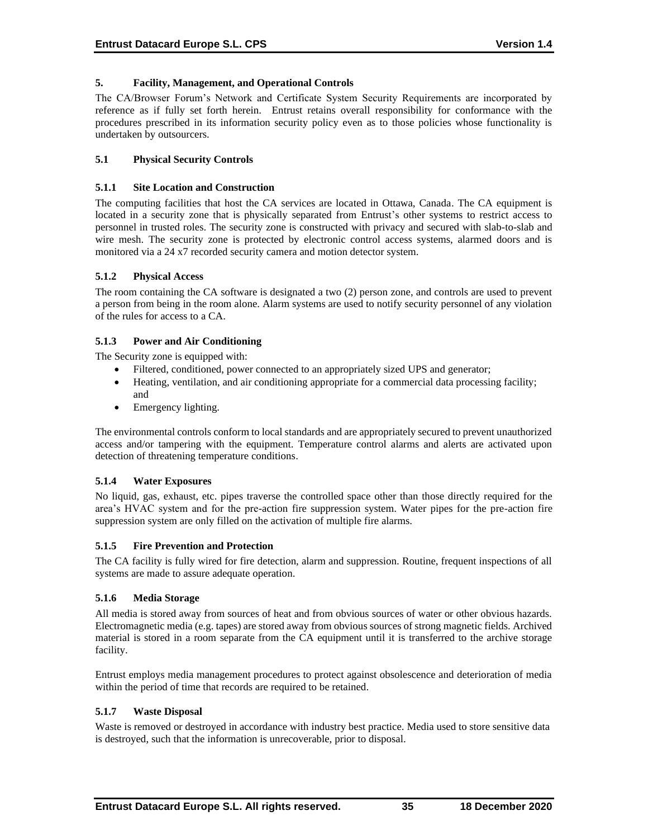### **5. Facility, Management, and Operational Controls**

The CA/Browser Forum's Network and Certificate System Security Requirements are incorporated by reference as if fully set forth herein. Entrust retains overall responsibility for conformance with the procedures prescribed in its information security policy even as to those policies whose functionality is undertaken by outsourcers.

### **5.1 Physical Security Controls**

#### **5.1.1 Site Location and Construction**

The computing facilities that host the CA services are located in Ottawa, Canada. The CA equipment is located in a security zone that is physically separated from Entrust's other systems to restrict access to personnel in trusted roles. The security zone is constructed with privacy and secured with slab-to-slab and wire mesh. The security zone is protected by electronic control access systems, alarmed doors and is monitored via a 24 x7 recorded security camera and motion detector system.

### **5.1.2 Physical Access**

The room containing the CA software is designated a two (2) person zone, and controls are used to prevent a person from being in the room alone. Alarm systems are used to notify security personnel of any violation of the rules for access to a CA.

### **5.1.3 Power and Air Conditioning**

The Security zone is equipped with:

- Filtered, conditioned, power connected to an appropriately sized UPS and generator;
- Heating, ventilation, and air conditioning appropriate for a commercial data processing facility; and
- Emergency lighting.

The environmental controls conform to local standards and are appropriately secured to prevent unauthorized access and/or tampering with the equipment. Temperature control alarms and alerts are activated upon detection of threatening temperature conditions.

# **5.1.4 Water Exposures**

No liquid, gas, exhaust, etc. pipes traverse the controlled space other than those directly required for the area's HVAC system and for the pre-action fire suppression system. Water pipes for the pre-action fire suppression system are only filled on the activation of multiple fire alarms.

#### **5.1.5 Fire Prevention and Protection**

The CA facility is fully wired for fire detection, alarm and suppression. Routine, frequent inspections of all systems are made to assure adequate operation.

#### **5.1.6 Media Storage**

All media is stored away from sources of heat and from obvious sources of water or other obvious hazards. Electromagnetic media (e.g. tapes) are stored away from obvious sources of strong magnetic fields. Archived material is stored in a room separate from the CA equipment until it is transferred to the archive storage facility.

Entrust employs media management procedures to protect against obsolescence and deterioration of media within the period of time that records are required to be retained.

#### **5.1.7 Waste Disposal**

Waste is removed or destroyed in accordance with industry best practice. Media used to store sensitive data is destroyed, such that the information is unrecoverable, prior to disposal.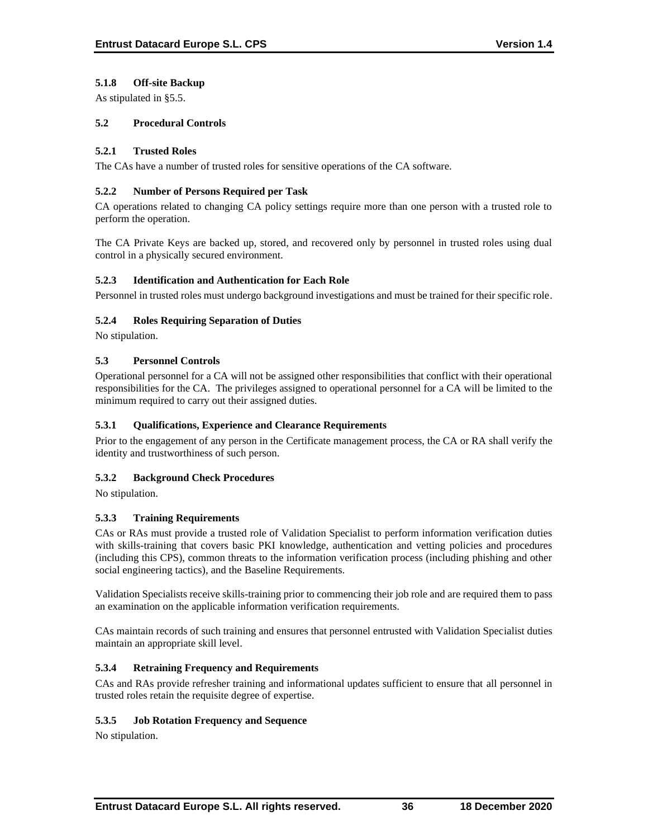# **5.1.8 Off-site Backup**

As stipulated in §5.5.

# **5.2 Procedural Controls**

### **5.2.1 Trusted Roles**

The CAs have a number of trusted roles for sensitive operations of the CA software.

### **5.2.2 Number of Persons Required per Task**

CA operations related to changing CA policy settings require more than one person with a trusted role to perform the operation.

The CA Private Keys are backed up, stored, and recovered only by personnel in trusted roles using dual control in a physically secured environment.

# **5.2.3 Identification and Authentication for Each Role**

Personnel in trusted roles must undergo background investigations and must be trained for their specific role.

# **5.2.4 Roles Requiring Separation of Duties**

No stipulation.

# **5.3 Personnel Controls**

Operational personnel for a CA will not be assigned other responsibilities that conflict with their operational responsibilities for the CA. The privileges assigned to operational personnel for a CA will be limited to the minimum required to carry out their assigned duties.

# **5.3.1 Qualifications, Experience and Clearance Requirements**

Prior to the engagement of any person in the Certificate management process, the CA or RA shall verify the identity and trustworthiness of such person.

# **5.3.2 Background Check Procedures**

No stipulation.

# **5.3.3 Training Requirements**

CAs or RAs must provide a trusted role of Validation Specialist to perform information verification duties with skills-training that covers basic PKI knowledge, authentication and vetting policies and procedures (including this CPS), common threats to the information verification process (including phishing and other social engineering tactics), and the Baseline Requirements.

Validation Specialists receive skills-training prior to commencing their job role and are required them to pass an examination on the applicable information verification requirements.

CAs maintain records of such training and ensures that personnel entrusted with Validation Specialist duties maintain an appropriate skill level.

# **5.3.4 Retraining Frequency and Requirements**

CAs and RAs provide refresher training and informational updates sufficient to ensure that all personnel in trusted roles retain the requisite degree of expertise.

# **5.3.5 Job Rotation Frequency and Sequence**

No stipulation.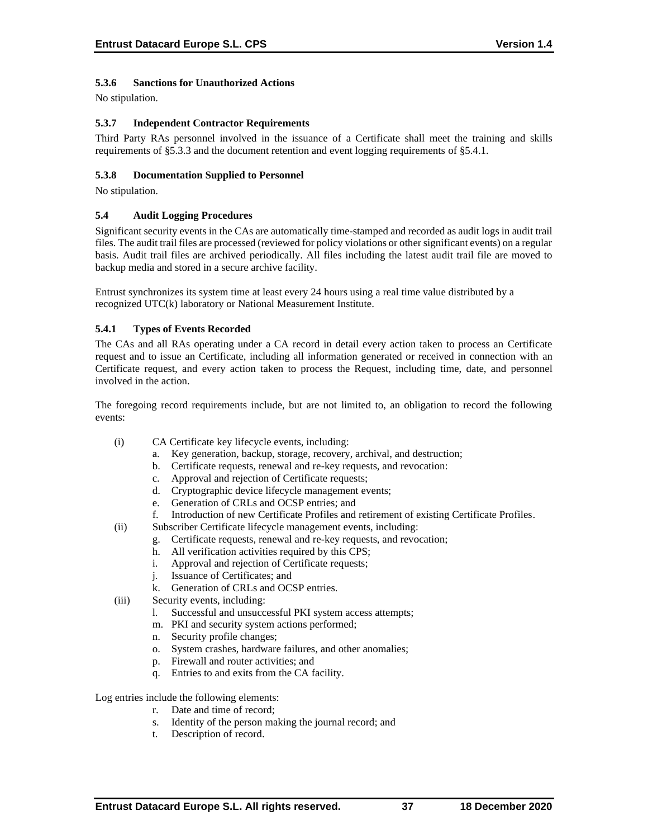# **5.3.6 Sanctions for Unauthorized Actions**

No stipulation.

### **5.3.7 Independent Contractor Requirements**

Third Party RAs personnel involved in the issuance of a Certificate shall meet the training and skills requirements of §5.3.3 and the document retention and event logging requirements of §5.4.1.

### **5.3.8 Documentation Supplied to Personnel**

No stipulation.

### **5.4 Audit Logging Procedures**

Significant security events in the CAs are automatically time-stamped and recorded as audit logs in audit trail files. The audit trail files are processed (reviewed for policy violations or other significant events) on a regular basis. Audit trail files are archived periodically. All files including the latest audit trail file are moved to backup media and stored in a secure archive facility.

Entrust synchronizes its system time at least every 24 hours using a real time value distributed by a recognized UTC(k) laboratory or National Measurement Institute.

### **5.4.1 Types of Events Recorded**

The CAs and all RAs operating under a CA record in detail every action taken to process an Certificate request and to issue an Certificate, including all information generated or received in connection with an Certificate request, and every action taken to process the Request, including time, date, and personnel involved in the action.

The foregoing record requirements include, but are not limited to, an obligation to record the following events:

- (i) CA Certificate key lifecycle events, including:
	- a. Key generation, backup, storage, recovery, archival, and destruction;
	- b. Certificate requests, renewal and re-key requests, and revocation:
	- c. Approval and rejection of Certificate requests;
	- d. Cryptographic device lifecycle management events;
	- e. Generation of CRLs and OCSP entries; and
	- f. Introduction of new Certificate Profiles and retirement of existing Certificate Profiles.
- (ii) Subscriber Certificate lifecycle management events, including:
	- g. Certificate requests, renewal and re-key requests, and revocation;
	- h. All verification activities required by this CPS;
	- i. Approval and rejection of Certificate requests;
	- j. Issuance of Certificates; and
	- k. Generation of CRLs and OCSP entries.
- (iii) Security events, including:
	- l. Successful and unsuccessful PKI system access attempts;
	- m. PKI and security system actions performed;
	- n. Security profile changes;
	- o. System crashes, hardware failures, and other anomalies;
	- p. Firewall and router activities; and
	- q. Entries to and exits from the CA facility.

Log entries include the following elements:

- r. Date and time of record;
- s. Identity of the person making the journal record; and
- t. Description of record.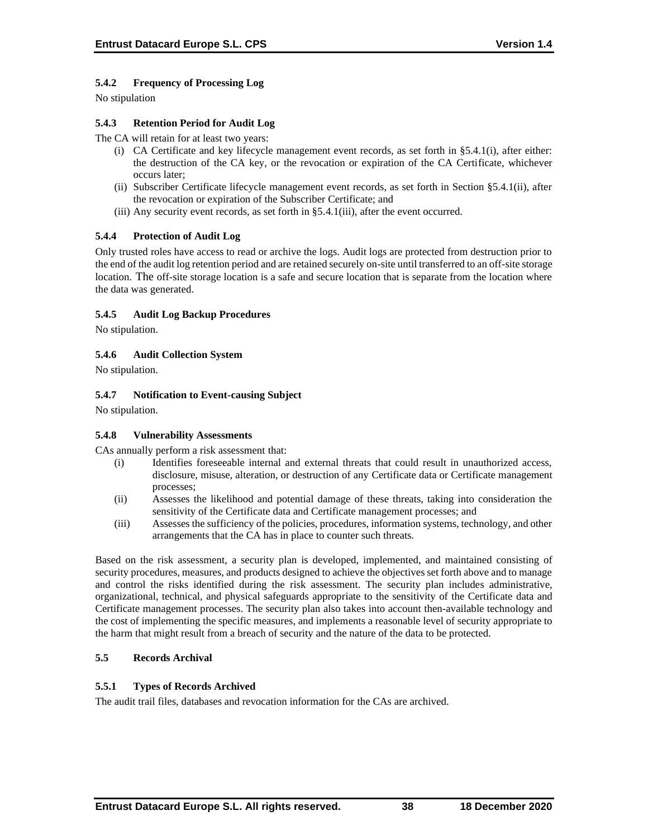# **5.4.2 Frequency of Processing Log**

No stipulation

# **5.4.3 Retention Period for Audit Log**

The CA will retain for at least two years:

- (i) CA Certificate and key lifecycle management event records, as set forth in §5.4.1(i), after either: the destruction of the CA key, or the revocation or expiration of the CA Certificate, whichever occurs later;
- (ii) Subscriber Certificate lifecycle management event records, as set forth in Section §5.4.1(ii), after the revocation or expiration of the Subscriber Certificate; and
- (iii) Any security event records, as set forth in §5.4.1(iii), after the event occurred.

# **5.4.4 Protection of Audit Log**

Only trusted roles have access to read or archive the logs. Audit logs are protected from destruction prior to the end of the audit log retention period and are retained securely on-site until transferred to an off-site storage location. The off-site storage location is a safe and secure location that is separate from the location where the data was generated.

### **5.4.5 Audit Log Backup Procedures**

No stipulation.

# **5.4.6 Audit Collection System**

No stipulation.

### **5.4.7 Notification to Event-causing Subject**

No stipulation.

#### **5.4.8 Vulnerability Assessments**

CAs annually perform a risk assessment that:

- (i) Identifies foreseeable internal and external threats that could result in unauthorized access, disclosure, misuse, alteration, or destruction of any Certificate data or Certificate management processes;
- (ii) Assesses the likelihood and potential damage of these threats, taking into consideration the sensitivity of the Certificate data and Certificate management processes; and
- (iii) Assesses the sufficiency of the policies, procedures, information systems, technology, and other arrangements that the CA has in place to counter such threats.

Based on the risk assessment, a security plan is developed, implemented, and maintained consisting of security procedures, measures, and products designed to achieve the objectives set forth above and to manage and control the risks identified during the risk assessment. The security plan includes administrative, organizational, technical, and physical safeguards appropriate to the sensitivity of the Certificate data and Certificate management processes. The security plan also takes into account then-available technology and the cost of implementing the specific measures, and implements a reasonable level of security appropriate to the harm that might result from a breach of security and the nature of the data to be protected.

# **5.5 Records Archival**

#### **5.5.1 Types of Records Archived**

The audit trail files, databases and revocation information for the CAs are archived.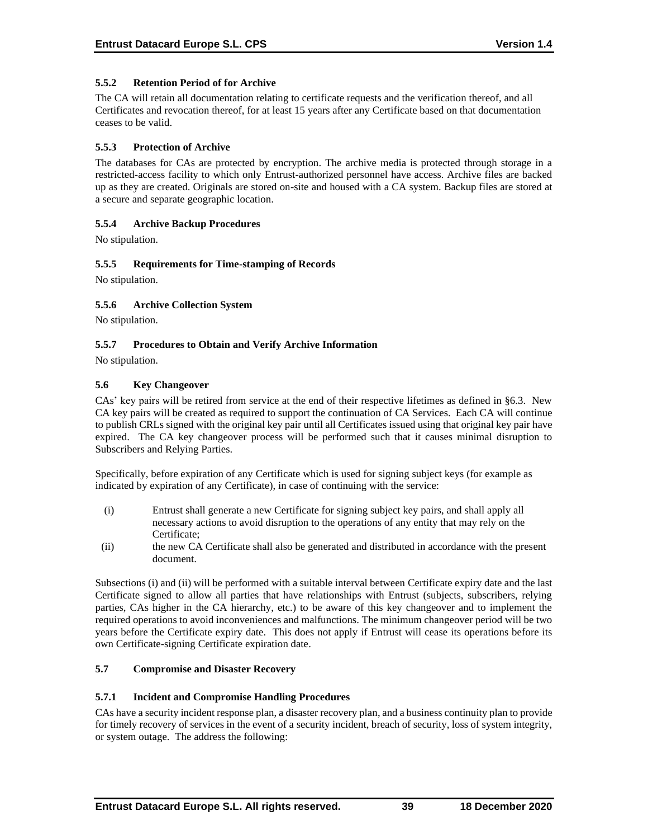### **5.5.2 Retention Period of for Archive**

The CA will retain all documentation relating to certificate requests and the verification thereof, and all Certificates and revocation thereof, for at least 15 years after any Certificate based on that documentation ceases to be valid.

### **5.5.3 Protection of Archive**

The databases for CAs are protected by encryption. The archive media is protected through storage in a restricted-access facility to which only Entrust-authorized personnel have access. Archive files are backed up as they are created. Originals are stored on-site and housed with a CA system. Backup files are stored at a secure and separate geographic location.

# **5.5.4 Archive Backup Procedures**

No stipulation.

### **5.5.5 Requirements for Time-stamping of Records**

No stipulation.

### **5.5.6 Archive Collection System**

No stipulation.

### **5.5.7 Procedures to Obtain and Verify Archive Information**

No stipulation.

### **5.6 Key Changeover**

CAs' key pairs will be retired from service at the end of their respective lifetimes as defined in §6.3. New CA key pairs will be created as required to support the continuation of CA Services. Each CA will continue to publish CRLs signed with the original key pair until all Certificates issued using that original key pair have expired. The CA key changeover process will be performed such that it causes minimal disruption to Subscribers and Relying Parties.

Specifically, before expiration of any Certificate which is used for signing subject keys (for example as indicated by expiration of any Certificate), in case of continuing with the service:

- (i) Entrust shall generate a new Certificate for signing subject key pairs, and shall apply all necessary actions to avoid disruption to the operations of any entity that may rely on the Certificate;
- (ii) the new CA Certificate shall also be generated and distributed in accordance with the present document.

Subsections (i) and (ii) will be performed with a suitable interval between Certificate expiry date and the last Certificate signed to allow all parties that have relationships with Entrust (subjects, subscribers, relying parties, CAs higher in the CA hierarchy, etc.) to be aware of this key changeover and to implement the required operations to avoid inconveniences and malfunctions. The minimum changeover period will be two years before the Certificate expiry date. This does not apply if Entrust will cease its operations before its own Certificate-signing Certificate expiration date.

#### **5.7 Compromise and Disaster Recovery**

#### **5.7.1 Incident and Compromise Handling Procedures**

CAs have a security incident response plan, a disaster recovery plan, and a business continuity plan to provide for timely recovery of services in the event of a security incident, breach of security, loss of system integrity, or system outage. The address the following: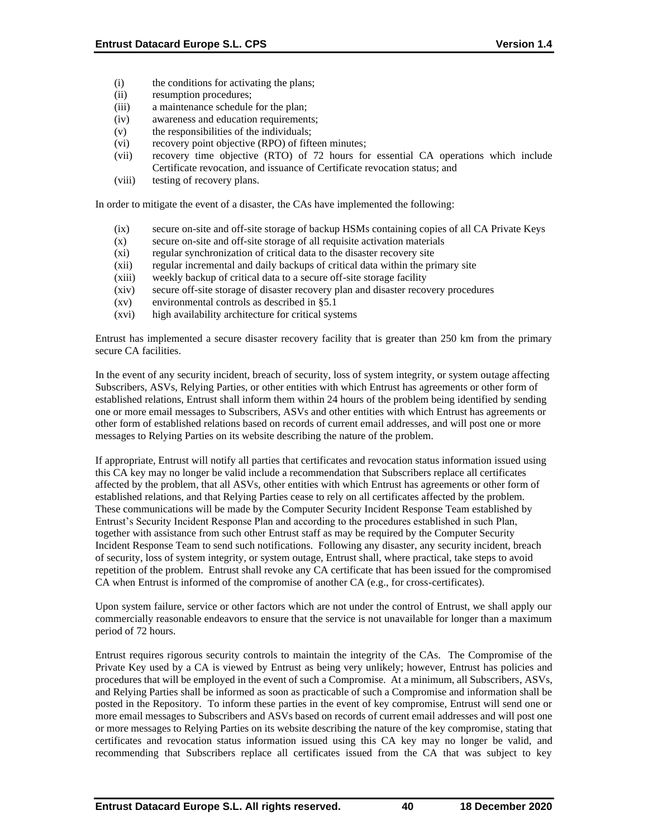- (i) the conditions for activating the plans;
- (ii) resumption procedures;
- (iii) a maintenance schedule for the plan;
- (iv) awareness and education requirements;
- (v) the responsibilities of the individuals;
- (vi) recovery point objective (RPO) of fifteen minutes;
- (vii) recovery time objective (RTO) of 72 hours for essential CA operations which include Certificate revocation, and issuance of Certificate revocation status; and
- (viii) testing of recovery plans.

In order to mitigate the event of a disaster, the CAs have implemented the following:

- (ix) secure on-site and off-site storage of backup HSMs containing copies of all CA Private Keys
- (x) secure on-site and off-site storage of all requisite activation materials
- (xi) regular synchronization of critical data to the disaster recovery site
- (xii) regular incremental and daily backups of critical data within the primary site
- (xiii) weekly backup of critical data to a secure off-site storage facility
- (xiv) secure off-site storage of disaster recovery plan and disaster recovery procedures
- (xv) environmental controls as described in §5.1
- (xvi) high availability architecture for critical systems

Entrust has implemented a secure disaster recovery facility that is greater than 250 km from the primary secure CA facilities.

In the event of any security incident, breach of security, loss of system integrity, or system outage affecting Subscribers, ASVs, Relying Parties, or other entities with which Entrust has agreements or other form of established relations, Entrust shall inform them within 24 hours of the problem being identified by sending one or more email messages to Subscribers, ASVs and other entities with which Entrust has agreements or other form of established relations based on records of current email addresses, and will post one or more messages to Relying Parties on its website describing the nature of the problem.

If appropriate, Entrust will notify all parties that certificates and revocation status information issued using this CA key may no longer be valid include a recommendation that Subscribers replace all certificates affected by the problem, that all ASVs, other entities with which Entrust has agreements or other form of established relations, and that Relying Parties cease to rely on all certificates affected by the problem. These communications will be made by the Computer Security Incident Response Team established by Entrust's Security Incident Response Plan and according to the procedures established in such Plan, together with assistance from such other Entrust staff as may be required by the Computer Security Incident Response Team to send such notifications. Following any disaster, any security incident, breach of security, loss of system integrity, or system outage, Entrust shall, where practical, take steps to avoid repetition of the problem. Entrust shall revoke any CA certificate that has been issued for the compromised CA when Entrust is informed of the compromise of another CA (e.g., for cross-certificates).

Upon system failure, service or other factors which are not under the control of Entrust, we shall apply our commercially reasonable endeavors to ensure that the service is not unavailable for longer than a maximum period of 72 hours.

Entrust requires rigorous security controls to maintain the integrity of the CAs. The Compromise of the Private Key used by a CA is viewed by Entrust as being very unlikely; however, Entrust has policies and procedures that will be employed in the event of such a Compromise. At a minimum, all Subscribers, ASVs, and Relying Parties shall be informed as soon as practicable of such a Compromise and information shall be posted in the Repository. To inform these parties in the event of key compromise, Entrust will send one or more email messages to Subscribers and ASVs based on records of current email addresses and will post one or more messages to Relying Parties on its website describing the nature of the key compromise, stating that certificates and revocation status information issued using this CA key may no longer be valid, and recommending that Subscribers replace all certificates issued from the CA that was subject to key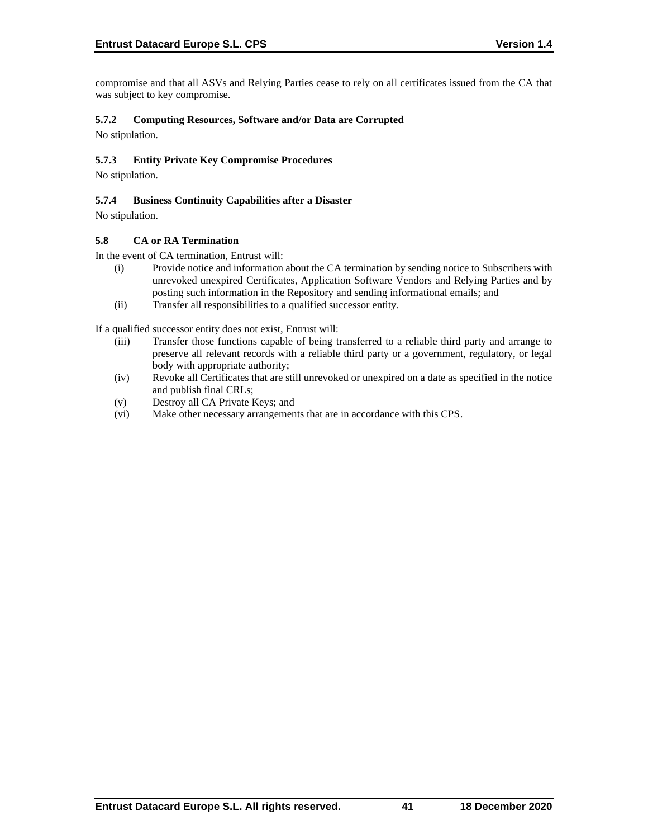compromise and that all ASVs and Relying Parties cease to rely on all certificates issued from the CA that was subject to key compromise.

# **5.7.2 Computing Resources, Software and/or Data are Corrupted**

No stipulation.

# **5.7.3 Entity Private Key Compromise Procedures**

No stipulation.

# **5.7.4 Business Continuity Capabilities after a Disaster**

No stipulation.

### **5.8 CA or RA Termination**

In the event of CA termination, Entrust will:

- (i) Provide notice and information about the CA termination by sending notice to Subscribers with unrevoked unexpired Certificates, Application Software Vendors and Relying Parties and by posting such information in the Repository and sending informational emails; and
- (ii) Transfer all responsibilities to a qualified successor entity.

If a qualified successor entity does not exist, Entrust will:

- (iii) Transfer those functions capable of being transferred to a reliable third party and arrange to preserve all relevant records with a reliable third party or a government, regulatory, or legal body with appropriate authority;
- (iv) Revoke all Certificates that are still unrevoked or unexpired on a date as specified in the notice and publish final CRLs;
- (v) Destroy all CA Private Keys; and
- (vi) Make other necessary arrangements that are in accordance with this CPS.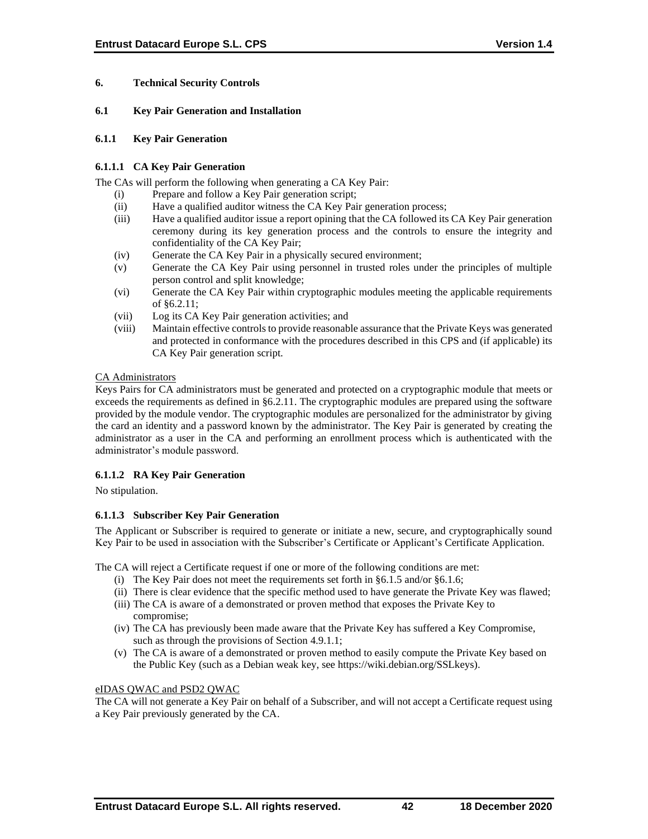# **6. Technical Security Controls**

### **6.1 Key Pair Generation and Installation**

#### **6.1.1 Key Pair Generation**

### **6.1.1.1 CA Key Pair Generation**

The CAs will perform the following when generating a CA Key Pair:

- (i) Prepare and follow a Key Pair generation script;
- (ii) Have a qualified auditor witness the CA Key Pair generation process;
- (iii) Have a qualified auditor issue a report opining that the CA followed its CA Key Pair generation ceremony during its key generation process and the controls to ensure the integrity and confidentiality of the CA Key Pair;
- (iv) Generate the CA Key Pair in a physically secured environment;
- (v) Generate the CA Key Pair using personnel in trusted roles under the principles of multiple person control and split knowledge;
- (vi) Generate the CA Key Pair within cryptographic modules meeting the applicable requirements of §6.2.11;
- (vii) Log its CA Key Pair generation activities; and
- (viii) Maintain effective controls to provide reasonable assurance that the Private Keys was generated and protected in conformance with the procedures described in this CPS and (if applicable) its CA Key Pair generation script.

### CA Administrators

Keys Pairs for CA administrators must be generated and protected on a cryptographic module that meets or exceeds the requirements as defined in §6.2.11. The cryptographic modules are prepared using the software provided by the module vendor. The cryptographic modules are personalized for the administrator by giving the card an identity and a password known by the administrator. The Key Pair is generated by creating the administrator as a user in the CA and performing an enrollment process which is authenticated with the administrator's module password.

# **6.1.1.2 RA Key Pair Generation**

No stipulation.

# **6.1.1.3 Subscriber Key Pair Generation**

The Applicant or Subscriber is required to generate or initiate a new, secure, and cryptographically sound Key Pair to be used in association with the Subscriber's Certificate or Applicant's Certificate Application.

The CA will reject a Certificate request if one or more of the following conditions are met:

- (i) The Key Pair does not meet the requirements set forth in §6.1.5 and/or §6.1.6;
- (ii) There is clear evidence that the specific method used to have generate the Private Key was flawed;
- (iii) The CA is aware of a demonstrated or proven method that exposes the Private Key to compromise;
- (iv) The CA has previously been made aware that the Private Key has suffered a Key Compromise, such as through the provisions of Section 4.9.1.1;
- (v) The CA is aware of a demonstrated or proven method to easily compute the Private Key based on the Public Key (such as a Debian weak key, see https://wiki.debian.org/SSLkeys).

# eIDAS QWAC and PSD2 QWAC

The CA will not generate a Key Pair on behalf of a Subscriber, and will not accept a Certificate request using a Key Pair previously generated by the CA.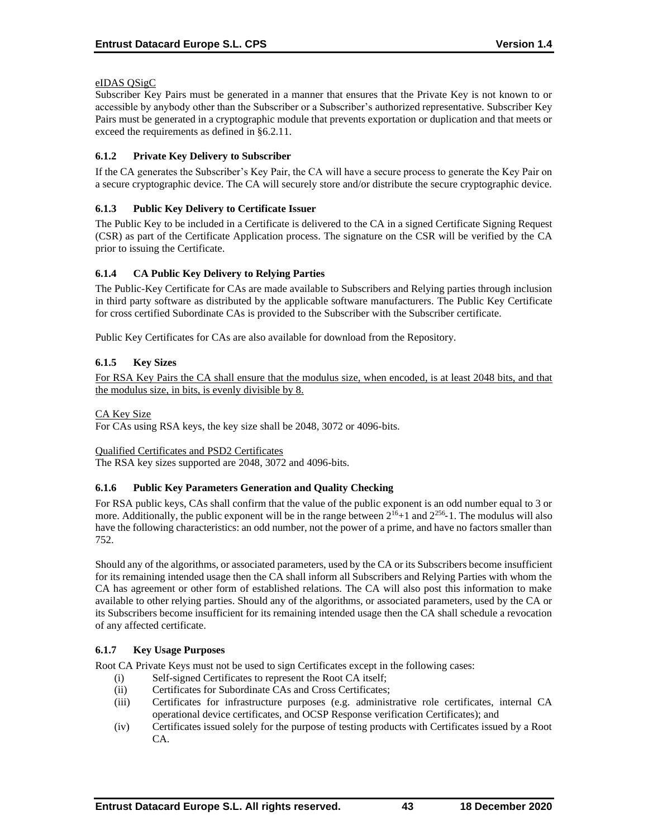### eIDAS QSigC

Subscriber Key Pairs must be generated in a manner that ensures that the Private Key is not known to or accessible by anybody other than the Subscriber or a Subscriber's authorized representative. Subscriber Key Pairs must be generated in a cryptographic module that prevents exportation or duplication and that meets or exceed the requirements as defined in §6.2.11.

# **6.1.2 Private Key Delivery to Subscriber**

If the CA generates the Subscriber's Key Pair, the CA will have a secure process to generate the Key Pair on a secure cryptographic device. The CA will securely store and/or distribute the secure cryptographic device.

### **6.1.3 Public Key Delivery to Certificate Issuer**

The Public Key to be included in a Certificate is delivered to the CA in a signed Certificate Signing Request (CSR) as part of the Certificate Application process. The signature on the CSR will be verified by the CA prior to issuing the Certificate.

### **6.1.4 CA Public Key Delivery to Relying Parties**

The Public-Key Certificate for CAs are made available to Subscribers and Relying parties through inclusion in third party software as distributed by the applicable software manufacturers. The Public Key Certificate for cross certified Subordinate CAs is provided to the Subscriber with the Subscriber certificate.

Public Key Certificates for CAs are also available for download from the Repository.

# **6.1.5 Key Sizes**

For RSA Key Pairs the CA shall ensure that the modulus size, when encoded, is at least 2048 bits, and that the modulus size, in bits, is evenly divisible by 8.

### CA Key Size

For CAs using RSA keys, the key size shall be 2048, 3072 or 4096-bits.

#### Qualified Certificates and PSD2 Certificates

The RSA key sizes supported are 2048, 3072 and 4096-bits.

# **6.1.6 Public Key Parameters Generation and Quality Checking**

For RSA public keys, CAs shall confirm that the value of the public exponent is an odd number equal to 3 or more. Additionally, the public exponent will be in the range between  $2^{16}+1$  and  $2^{256}-1$ . The modulus will also have the following characteristics: an odd number, not the power of a prime, and have no factors smaller than 752.

Should any of the algorithms, or associated parameters, used by the CA or its Subscribers become insufficient for its remaining intended usage then the CA shall inform all Subscribers and Relying Parties with whom the CA has agreement or other form of established relations. The CA will also post this information to make available to other relying parties. Should any of the algorithms, or associated parameters, used by the CA or its Subscribers become insufficient for its remaining intended usage then the CA shall schedule a revocation of any affected certificate.

# **6.1.7 Key Usage Purposes**

Root CA Private Keys must not be used to sign Certificates except in the following cases:

- (i) Self-signed Certificates to represent the Root CA itself;
- (ii) Certificates for Subordinate CAs and Cross Certificates;
- (iii) Certificates for infrastructure purposes (e.g. administrative role certificates, internal CA operational device certificates, and OCSP Response verification Certificates); and
- (iv) Certificates issued solely for the purpose of testing products with Certificates issued by a Root CA.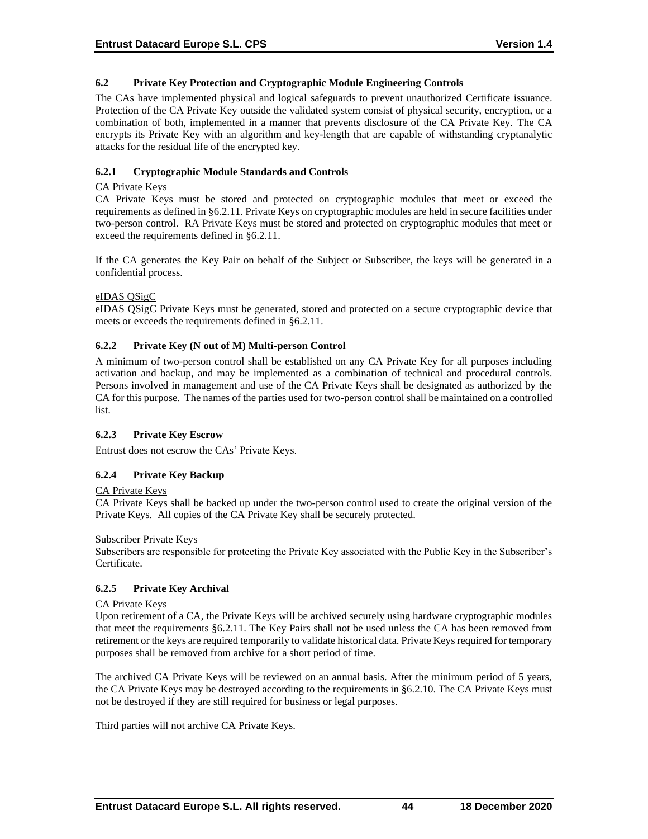### **6.2 Private Key Protection and Cryptographic Module Engineering Controls**

The CAs have implemented physical and logical safeguards to prevent unauthorized Certificate issuance. Protection of the CA Private Key outside the validated system consist of physical security, encryption, or a combination of both, implemented in a manner that prevents disclosure of the CA Private Key. The CA encrypts its Private Key with an algorithm and key-length that are capable of withstanding cryptanalytic attacks for the residual life of the encrypted key.

# **6.2.1 Cryptographic Module Standards and Controls**

#### CA Private Keys

CA Private Keys must be stored and protected on cryptographic modules that meet or exceed the requirements as defined in §6.2.11. Private Keys on cryptographic modules are held in secure facilities under two-person control. RA Private Keys must be stored and protected on cryptographic modules that meet or exceed the requirements defined in §6.2.11.

If the CA generates the Key Pair on behalf of the Subject or Subscriber, the keys will be generated in a confidential process.

### eIDAS QSigC

eIDAS QSigC Private Keys must be generated, stored and protected on a secure cryptographic device that meets or exceeds the requirements defined in §6.2.11.

### **6.2.2 Private Key (N out of M) Multi-person Control**

A minimum of two-person control shall be established on any CA Private Key for all purposes including activation and backup, and may be implemented as a combination of technical and procedural controls. Persons involved in management and use of the CA Private Keys shall be designated as authorized by the CA for this purpose. The names of the parties used for two-person control shall be maintained on a controlled list.

#### **6.2.3 Private Key Escrow**

Entrust does not escrow the CAs' Private Keys.

# **6.2.4 Private Key Backup**

# CA Private Keys

CA Private Keys shall be backed up under the two-person control used to create the original version of the Private Keys. All copies of the CA Private Key shall be securely protected.

#### Subscriber Private Keys

Subscribers are responsible for protecting the Private Key associated with the Public Key in the Subscriber's Certificate.

# **6.2.5 Private Key Archival**

#### CA Private Keys

Upon retirement of a CA, the Private Keys will be archived securely using hardware cryptographic modules that meet the requirements §6.2.11. The Key Pairs shall not be used unless the CA has been removed from retirement or the keys are required temporarily to validate historical data. Private Keys required for temporary purposes shall be removed from archive for a short period of time.

The archived CA Private Keys will be reviewed on an annual basis. After the minimum period of 5 years, the CA Private Keys may be destroyed according to the requirements in §6.2.10. The CA Private Keys must not be destroyed if they are still required for business or legal purposes.

Third parties will not archive CA Private Keys.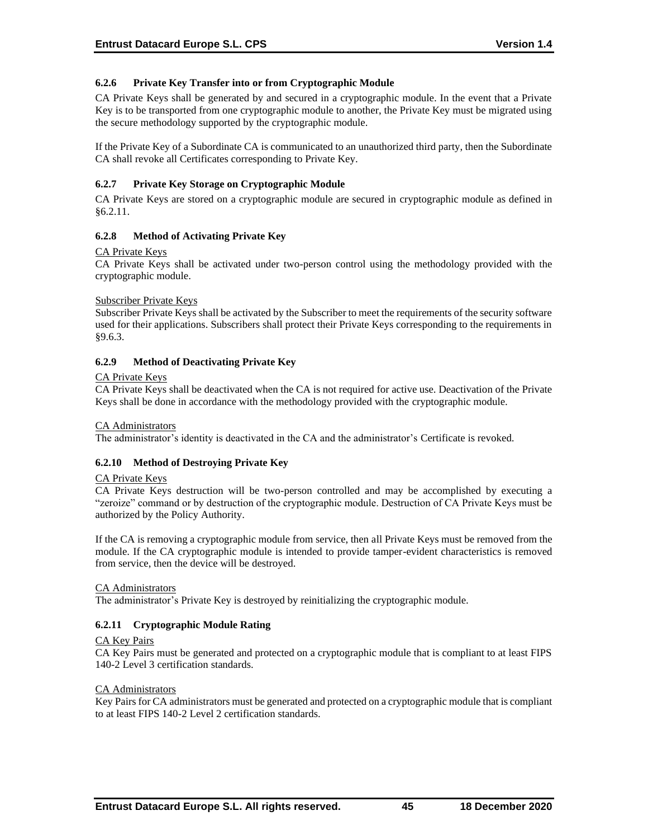# **6.2.6 Private Key Transfer into or from Cryptographic Module**

CA Private Keys shall be generated by and secured in a cryptographic module. In the event that a Private Key is to be transported from one cryptographic module to another, the Private Key must be migrated using the secure methodology supported by the cryptographic module.

If the Private Key of a Subordinate CA is communicated to an unauthorized third party, then the Subordinate CA shall revoke all Certificates corresponding to Private Key.

### **6.2.7 Private Key Storage on Cryptographic Module**

CA Private Keys are stored on a cryptographic module are secured in cryptographic module as defined in §6.2.11.

### **6.2.8 Method of Activating Private Key**

#### CA Private Keys

CA Private Keys shall be activated under two-person control using the methodology provided with the cryptographic module.

#### Subscriber Private Keys

Subscriber Private Keys shall be activated by the Subscriber to meet the requirements of the security software used for their applications. Subscribers shall protect their Private Keys corresponding to the requirements in §9.6.3.

# **6.2.9 Method of Deactivating Private Key**

#### CA Private Keys

CA Private Keys shall be deactivated when the CA is not required for active use. Deactivation of the Private Keys shall be done in accordance with the methodology provided with the cryptographic module.

#### CA Administrators

The administrator's identity is deactivated in the CA and the administrator's Certificate is revoked.

# **6.2.10 Method of Destroying Private Key**

#### CA Private Keys

CA Private Keys destruction will be two-person controlled and may be accomplished by executing a "zeroize" command or by destruction of the cryptographic module. Destruction of CA Private Keys must be authorized by the Policy Authority.

If the CA is removing a cryptographic module from service, then all Private Keys must be removed from the module. If the CA cryptographic module is intended to provide tamper-evident characteristics is removed from service, then the device will be destroyed.

#### CA Administrators

The administrator's Private Key is destroyed by reinitializing the cryptographic module.

# **6.2.11 Cryptographic Module Rating**

#### CA Key Pairs

CA Key Pairs must be generated and protected on a cryptographic module that is compliant to at least FIPS 140-2 Level 3 certification standards.

#### CA Administrators

Key Pairs for CA administrators must be generated and protected on a cryptographic module that is compliant to at least FIPS 140-2 Level 2 certification standards.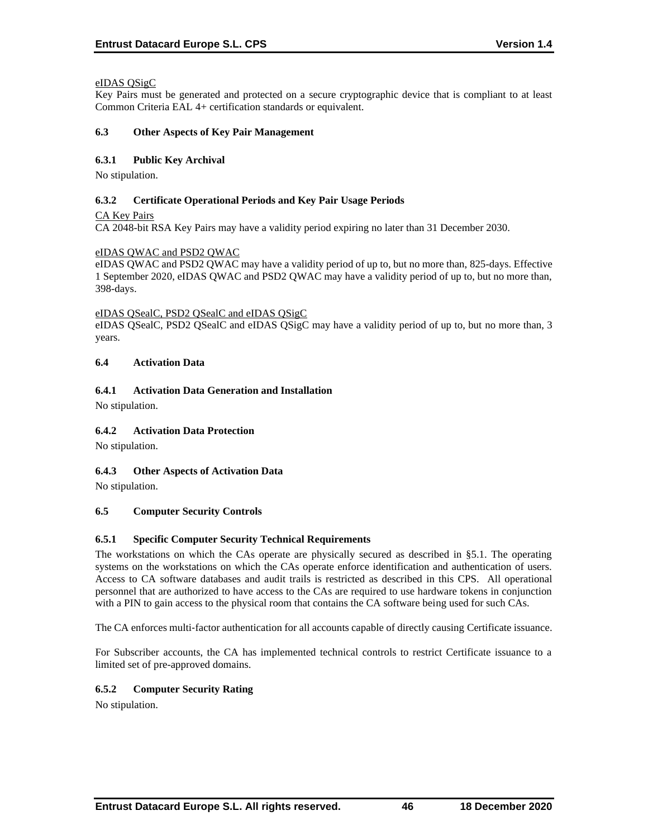### eIDAS QSigC

Key Pairs must be generated and protected on a secure cryptographic device that is compliant to at least Common Criteria EAL 4+ certification standards or equivalent.

#### **6.3 Other Aspects of Key Pair Management**

### **6.3.1 Public Key Archival**

No stipulation.

### **6.3.2 Certificate Operational Periods and Key Pair Usage Periods**

CA Key Pairs

CA 2048-bit RSA Key Pairs may have a validity period expiring no later than 31 December 2030.

### eIDAS QWAC and PSD2 QWAC

eIDAS QWAC and PSD2 QWAC may have a validity period of up to, but no more than, 825-days. Effective 1 September 2020, eIDAS QWAC and PSD2 QWAC may have a validity period of up to, but no more than, 398-days.

#### eIDAS QSealC, PSD2 QSealC and eIDAS QSigC

eIDAS QSealC, PSD2 QSealC and eIDAS QSigC may have a validity period of up to, but no more than, 3 years.

### **6.4 Activation Data**

# **6.4.1 Activation Data Generation and Installation**

No stipulation.

# **6.4.2 Activation Data Protection**

No stipulation.

# **6.4.3 Other Aspects of Activation Data**

No stipulation.

# **6.5 Computer Security Controls**

# **6.5.1 Specific Computer Security Technical Requirements**

The workstations on which the CAs operate are physically secured as described in §5.1. The operating systems on the workstations on which the CAs operate enforce identification and authentication of users. Access to CA software databases and audit trails is restricted as described in this CPS. All operational personnel that are authorized to have access to the CAs are required to use hardware tokens in conjunction with a PIN to gain access to the physical room that contains the CA software being used for such CAs.

The CA enforces multi-factor authentication for all accounts capable of directly causing Certificate issuance.

For Subscriber accounts, the CA has implemented technical controls to restrict Certificate issuance to a limited set of pre-approved domains.

# **6.5.2 Computer Security Rating**

No stipulation.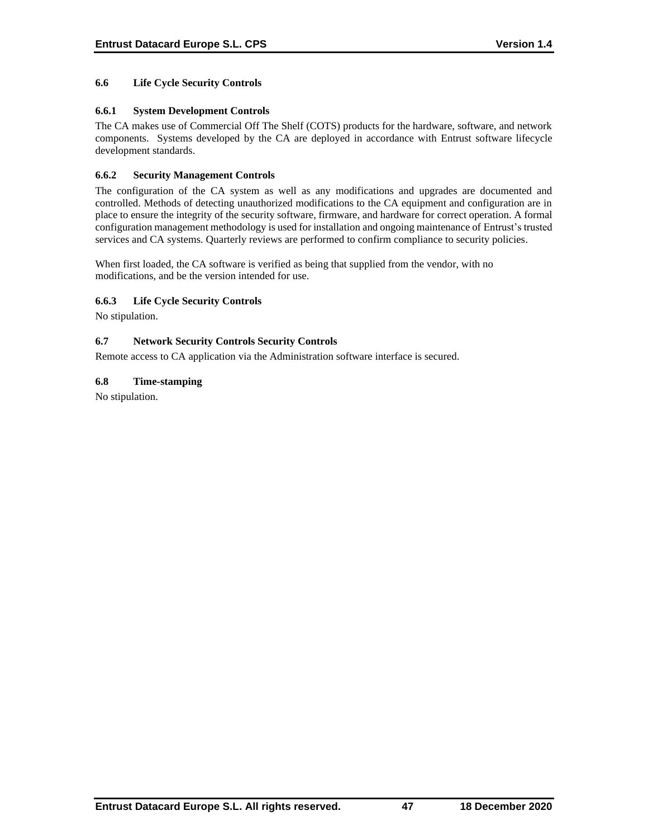### **6.6 Life Cycle Security Controls**

### **6.6.1 System Development Controls**

The CA makes use of Commercial Off The Shelf (COTS) products for the hardware, software, and network components. Systems developed by the CA are deployed in accordance with Entrust software lifecycle development standards.

### **6.6.2 Security Management Controls**

The configuration of the CA system as well as any modifications and upgrades are documented and controlled. Methods of detecting unauthorized modifications to the CA equipment and configuration are in place to ensure the integrity of the security software, firmware, and hardware for correct operation. A formal configuration management methodology is used for installation and ongoing maintenance of Entrust's trusted services and CA systems. Quarterly reviews are performed to confirm compliance to security policies.

When first loaded, the CA software is verified as being that supplied from the vendor, with no modifications, and be the version intended for use.

### **6.6.3 Life Cycle Security Controls**

No stipulation.

### **6.7 Network Security Controls Security Controls**

Remote access to CA application via the Administration software interface is secured.

### **6.8 Time-stamping**

No stipulation.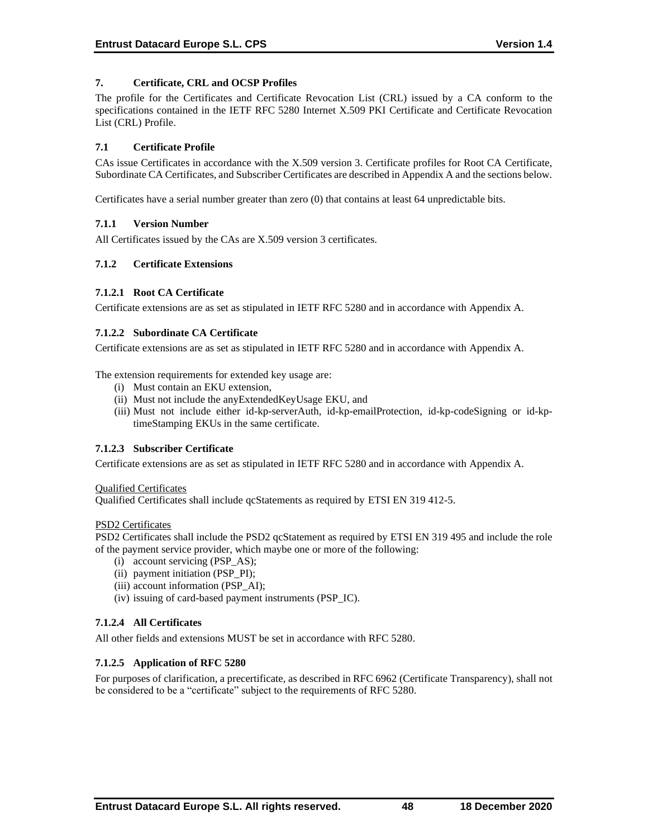### **7. Certificate, CRL and OCSP Profiles**

The profile for the Certificates and Certificate Revocation List (CRL) issued by a CA conform to the specifications contained in the IETF RFC 5280 Internet X.509 PKI Certificate and Certificate Revocation List (CRL) Profile.

### **7.1 Certificate Profile**

CAs issue Certificates in accordance with the X.509 version 3. Certificate profiles for Root CA Certificate, Subordinate CA Certificates, and Subscriber Certificates are described in Appendix A and the sections below.

Certificates have a serial number greater than zero (0) that contains at least 64 unpredictable bits.

### **7.1.1 Version Number**

All Certificates issued by the CAs are X.509 version 3 certificates.

### **7.1.2 Certificate Extensions**

### **7.1.2.1 Root CA Certificate**

Certificate extensions are as set as stipulated in IETF RFC 5280 and in accordance with Appendix A.

### **7.1.2.2 Subordinate CA Certificate**

Certificate extensions are as set as stipulated in IETF RFC 5280 and in accordance with Appendix A.

The extension requirements for extended key usage are:

- (i) Must contain an EKU extension,
- (ii) Must not include the anyExtendedKeyUsage EKU, and
- (iii) Must not include either id-kp-serverAuth, id-kp-emailProtection, id-kp-codeSigning or id-kptimeStamping EKUs in the same certificate.

# **7.1.2.3 Subscriber Certificate**

Certificate extensions are as set as stipulated in IETF RFC 5280 and in accordance with Appendix A.

#### Qualified Certificates

Qualified Certificates shall include qcStatements as required by ETSI EN 319 412-5.

#### PSD2 Certificates

PSD2 Certificates shall include the PSD2 qcStatement as required by ETSI EN 319 495 and include the role of the payment service provider, which maybe one or more of the following:

- (i) account servicing (PSP\_AS);
- (ii) payment initiation (PSP\_PI);
- (iii) account information (PSP\_AI);
- (iv) issuing of card-based payment instruments (PSP\_IC).

# **7.1.2.4 All Certificates**

All other fields and extensions MUST be set in accordance with RFC 5280.

# **7.1.2.5 Application of RFC 5280**

For purposes of clarification, a precertificate, as described in RFC 6962 (Certificate Transparency), shall not be considered to be a "certificate" subject to the requirements of RFC 5280.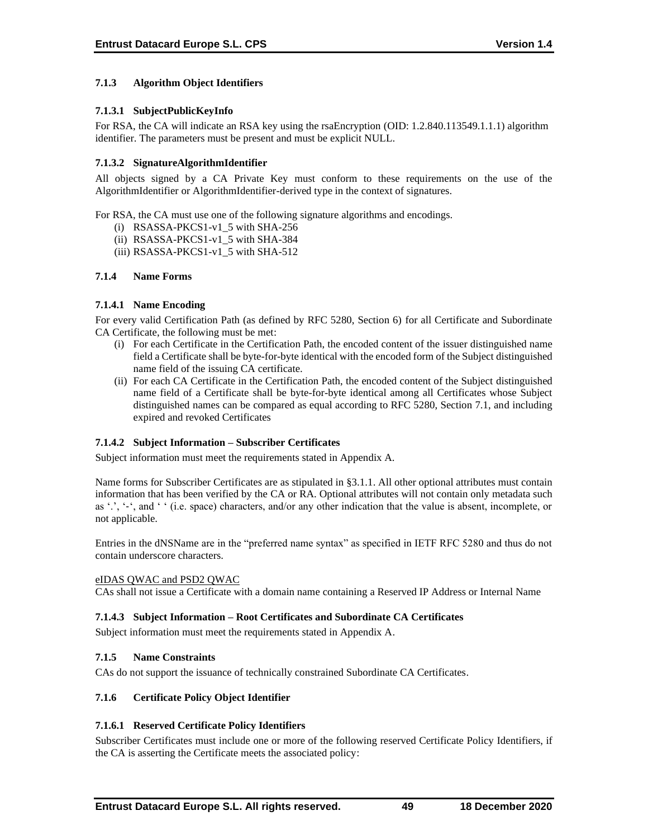# **7.1.3 Algorithm Object Identifiers**

# **7.1.3.1 SubjectPublicKeyInfo**

For RSA, the CA will indicate an RSA key using the rsaEncryption (OID: 1.2.840.113549.1.1.1) algorithm identifier. The parameters must be present and must be explicit NULL.

# **7.1.3.2 SignatureAlgorithmIdentifier**

All objects signed by a CA Private Key must conform to these requirements on the use of the AlgorithmIdentifier or AlgorithmIdentifier-derived type in the context of signatures.

For RSA, the CA must use one of the following signature algorithms and encodings.

- (i) RSASSA-PKCS1-v1\_5 with SHA-256
- (ii) RSASSA-PKCS1-v1\_5 with SHA-384
- (iii) RSASSA-PKCS1-v1\_5 with SHA-512

# **7.1.4 Name Forms**

### **7.1.4.1 Name Encoding**

For every valid Certification Path (as defined by RFC 5280, Section 6) for all Certificate and Subordinate CA Certificate, the following must be met:

- (i) For each Certificate in the Certification Path, the encoded content of the issuer distinguished name field a Certificate shall be byte-for-byte identical with the encoded form of the Subject distinguished name field of the issuing CA certificate.
- (ii) For each CA Certificate in the Certification Path, the encoded content of the Subject distinguished name field of a Certificate shall be byte-for-byte identical among all Certificates whose Subject distinguished names can be compared as equal according to RFC 5280, Section 7.1, and including expired and revoked Certificates

# **7.1.4.2 Subject Information – Subscriber Certificates**

Subject information must meet the requirements stated in Appendix A.

Name forms for Subscriber Certificates are as stipulated in §3.1.1. All other optional attributes must contain information that has been verified by the CA or RA. Optional attributes will not contain only metadata such as '.', '-', and ' ' (i.e. space) characters, and/or any other indication that the value is absent, incomplete, or not applicable.

Entries in the dNSName are in the "preferred name syntax" as specified in IETF RFC 5280 and thus do not contain underscore characters.

# eIDAS QWAC and PSD2 QWAC

CAs shall not issue a Certificate with a domain name containing a Reserved IP Address or Internal Name

# **7.1.4.3 Subject Information – Root Certificates and Subordinate CA Certificates**

Subject information must meet the requirements stated in Appendix A.

#### **7.1.5 Name Constraints**

CAs do not support the issuance of technically constrained Subordinate CA Certificates.

# **7.1.6 Certificate Policy Object Identifier**

# **7.1.6.1 Reserved Certificate Policy Identifiers**

Subscriber Certificates must include one or more of the following reserved Certificate Policy Identifiers, if the CA is asserting the Certificate meets the associated policy: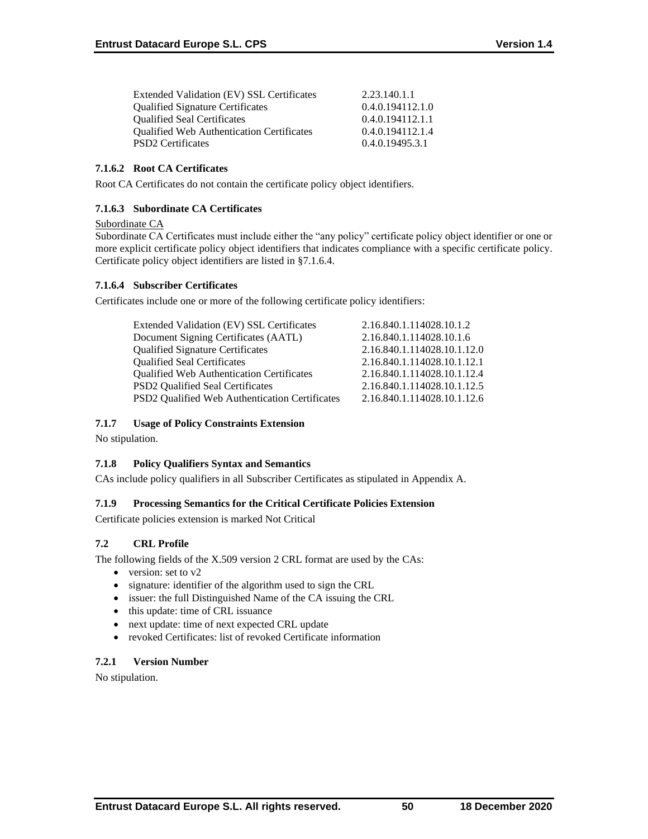| Extended Validation (EV) SSL Certificates        | 2.23.140.1.1     |
|--------------------------------------------------|------------------|
| <b>Qualified Signature Certificates</b>          | 0.4.0.194112.1.0 |
| <b>Oualified Seal Certificates</b>               | 0.4.0.194112.1.1 |
| <b>Qualified Web Authentication Certificates</b> | 0.4.0.194112.1.4 |
| <b>PSD2</b> Certificates                         | 0.4.0.19495.3.1  |

### **7.1.6.2 Root CA Certificates**

Root CA Certificates do not contain the certificate policy object identifiers.

# **7.1.6.3 Subordinate CA Certificates**

### Subordinate CA

Subordinate CA Certificates must include either the "any policy" certificate policy object identifier or one or more explicit certificate policy object identifiers that indicates compliance with a specific certificate policy. Certificate policy object identifiers are listed in §7.1.6.4.

# **7.1.6.4 Subscriber Certificates**

Certificates include one or more of the following certificate policy identifiers:

| Extended Validation (EV) SSL Certificates      | 2.16.840.1.114028.10.1.2    |
|------------------------------------------------|-----------------------------|
| Document Signing Certificates (AATL)           | 2.16.840.1.114028.10.1.6    |
| <b>Qualified Signature Certificates</b>        | 2.16.840.1.114028.10.1.12.0 |
| <b>Qualified Seal Certificates</b>             | 2.16.840.1.114028.10.1.12.1 |
| Qualified Web Authentication Certificates      | 2.16.840.1.114028.10.1.12.4 |
| <b>PSD2</b> Qualified Seal Certificates        | 2.16.840.1.114028.10.1.12.5 |
| PSD2 Qualified Web Authentication Certificates | 2.16.840.1.114028.10.1.12.6 |
|                                                |                             |

### **7.1.7 Usage of Policy Constraints Extension**

No stipulation.

# **7.1.8 Policy Qualifiers Syntax and Semantics**

CAs include policy qualifiers in all Subscriber Certificates as stipulated in Appendix A.

# **7.1.9 Processing Semantics for the Critical Certificate Policies Extension**

Certificate policies extension is marked Not Critical

# **7.2 CRL Profile**

The following fields of the X.509 version 2 CRL format are used by the CAs:

- version: set to v2
- signature: identifier of the algorithm used to sign the CRL
- issuer: the full Distinguished Name of the CA issuing the CRL
- this update: time of CRL issuance
- next update: time of next expected CRL update
- revoked Certificates: list of revoked Certificate information

# **7.2.1 Version Number**

No stipulation.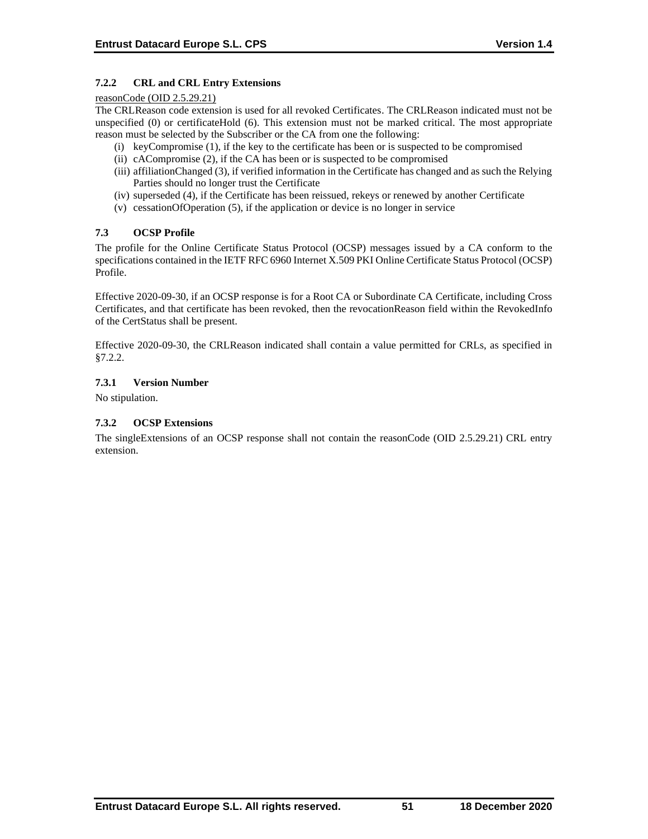# **7.2.2 CRL and CRL Entry Extensions**

#### reasonCode (OID 2.5.29.21)

The CRLReason code extension is used for all revoked Certificates. The CRLReason indicated must not be unspecified (0) or certificateHold (6). This extension must not be marked critical. The most appropriate reason must be selected by the Subscriber or the CA from one the following:

- (i) keyCompromise (1), if the key to the certificate has been or is suspected to be compromised
- (ii) cACompromise (2), if the CA has been or is suspected to be compromised
- (iii) affiliationChanged (3), if verified information in the Certificate has changed and as such the Relying Parties should no longer trust the Certificate
- (iv) superseded (4), if the Certificate has been reissued, rekeys or renewed by another Certificate
- (v) cessationOfOperation (5), if the application or device is no longer in service

# **7.3 OCSP Profile**

The profile for the Online Certificate Status Protocol (OCSP) messages issued by a CA conform to the specifications contained in the IETF RFC 6960 Internet X.509 PKI Online Certificate Status Protocol (OCSP) Profile.

Effective 2020-09-30, if an OCSP response is for a Root CA or Subordinate CA Certificate, including Cross Certificates, and that certificate has been revoked, then the revocationReason field within the RevokedInfo of the CertStatus shall be present.

Effective 2020-09-30, the CRLReason indicated shall contain a value permitted for CRLs, as specified in §7.2.2.

### **7.3.1 Version Number**

No stipulation.

### **7.3.2 OCSP Extensions**

The singleExtensions of an OCSP response shall not contain the reasonCode (OID 2.5.29.21) CRL entry extension.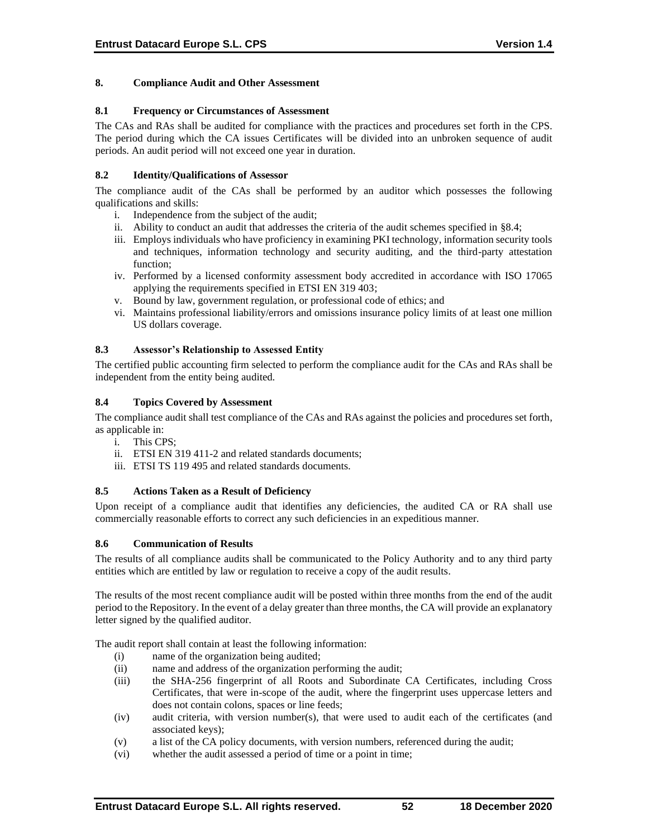### **8. Compliance Audit and Other Assessment**

#### **8.1 Frequency or Circumstances of Assessment**

The CAs and RAs shall be audited for compliance with the practices and procedures set forth in the CPS. The period during which the CA issues Certificates will be divided into an unbroken sequence of audit periods. An audit period will not exceed one year in duration.

### **8.2 Identity/Qualifications of Assessor**

The compliance audit of the CAs shall be performed by an auditor which possesses the following qualifications and skills:

- i. Independence from the subject of the audit;
- ii. Ability to conduct an audit that addresses the criteria of the audit schemes specified in §8.4;
- iii. Employs individuals who have proficiency in examining PKI technology, information security tools and techniques, information technology and security auditing, and the third-party attestation function;
- iv. Performed by a licensed conformity assessment body accredited in accordance with ISO 17065 applying the requirements specified in ETSI EN 319 403;
- v. Bound by law, government regulation, or professional code of ethics; and
- vi. Maintains professional liability/errors and omissions insurance policy limits of at least one million US dollars coverage.

### **8.3 Assessor's Relationship to Assessed Entity**

The certified public accounting firm selected to perform the compliance audit for the CAs and RAs shall be independent from the entity being audited.

### **8.4 Topics Covered by Assessment**

The compliance audit shall test compliance of the CAs and RAs against the policies and procedures set forth, as applicable in:

- i. This CPS;
- ii. ETSI EN 319 411-2 and related standards documents;
- iii. ETSI TS 119 495 and related standards documents.

### **8.5 Actions Taken as a Result of Deficiency**

Upon receipt of a compliance audit that identifies any deficiencies, the audited CA or RA shall use commercially reasonable efforts to correct any such deficiencies in an expeditious manner.

#### **8.6 Communication of Results**

The results of all compliance audits shall be communicated to the Policy Authority and to any third party entities which are entitled by law or regulation to receive a copy of the audit results.

The results of the most recent compliance audit will be posted within three months from the end of the audit period to the Repository. In the event of a delay greater than three months, the CA will provide an explanatory letter signed by the qualified auditor.

The audit report shall contain at least the following information:

- (i) name of the organization being audited;
- (ii) name and address of the organization performing the audit;
- (iii) the SHA-256 fingerprint of all Roots and Subordinate CA Certificates, including Cross Certificates, that were in-scope of the audit, where the fingerprint uses uppercase letters and does not contain colons, spaces or line feeds;
- (iv) audit criteria, with version number(s), that were used to audit each of the certificates (and associated keys);
- (v) a list of the CA policy documents, with version numbers, referenced during the audit;
- (vi) whether the audit assessed a period of time or a point in time;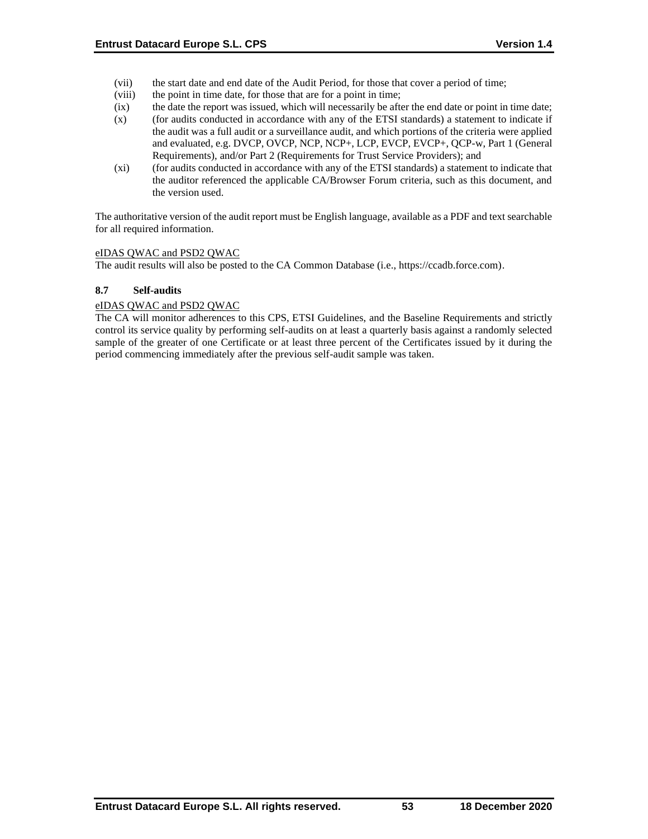- (vii) the start date and end date of the Audit Period, for those that cover a period of time;
- (viii) the point in time date, for those that are for a point in time;
- (ix) the date the report was issued, which will necessarily be after the end date or point in time date;
- (x) (for audits conducted in accordance with any of the ETSI standards) a statement to indicate if the audit was a full audit or a surveillance audit, and which portions of the criteria were applied and evaluated, e.g. DVCP, OVCP, NCP, NCP+, LCP, EVCP, EVCP+, QCP-w, Part 1 (General Requirements), and/or Part 2 (Requirements for Trust Service Providers); and
- (xi) (for audits conducted in accordance with any of the ETSI standards) a statement to indicate that the auditor referenced the applicable CA/Browser Forum criteria, such as this document, and the version used.

The authoritative version of the audit report must be English language, available as a PDF and text searchable for all required information.

### eIDAS QWAC and PSD2 QWAC

The audit results will also be posted to the CA Common Database (i.e., https://ccadb.force.com).

### **8.7 Self-audits**

### eIDAS QWAC and PSD2 QWAC

The CA will monitor adherences to this CPS, ETSI Guidelines, and the Baseline Requirements and strictly control its service quality by performing self-audits on at least a quarterly basis against a randomly selected sample of the greater of one Certificate or at least three percent of the Certificates issued by it during the period commencing immediately after the previous self-audit sample was taken.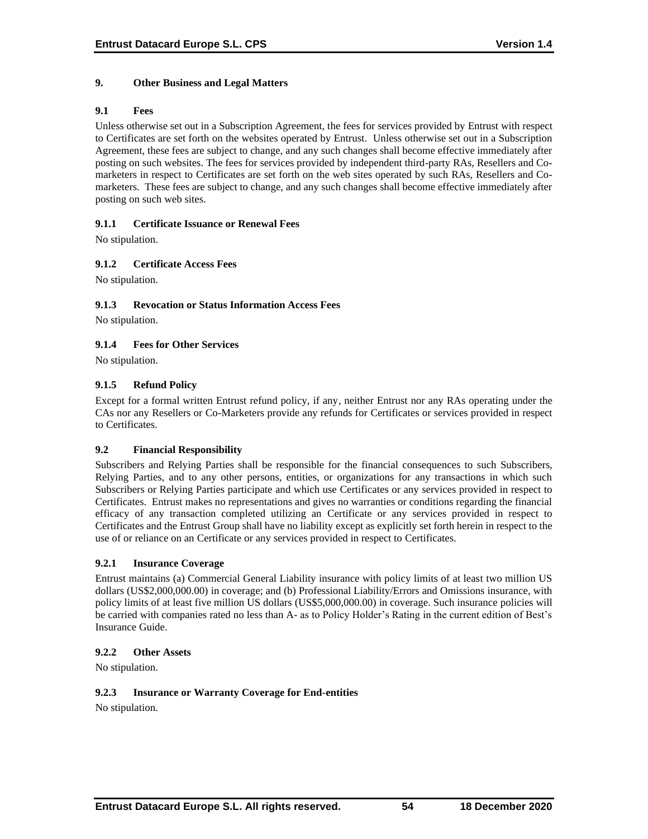### **9. Other Business and Legal Matters**

#### **9.1 Fees**

Unless otherwise set out in a Subscription Agreement, the fees for services provided by Entrust with respect to Certificates are set forth on the websites operated by Entrust. Unless otherwise set out in a Subscription Agreement, these fees are subject to change, and any such changes shall become effective immediately after posting on such websites. The fees for services provided by independent third-party RAs, Resellers and Comarketers in respect to Certificates are set forth on the web sites operated by such RAs, Resellers and Comarketers. These fees are subject to change, and any such changes shall become effective immediately after posting on such web sites.

### **9.1.1 Certificate Issuance or Renewal Fees**

No stipulation.

# **9.1.2 Certificate Access Fees**

No stipulation.

### **9.1.3 Revocation or Status Information Access Fees**

No stipulation.

# **9.1.4 Fees for Other Services**

No stipulation.

### **9.1.5 Refund Policy**

Except for a formal written Entrust refund policy, if any, neither Entrust nor any RAs operating under the CAs nor any Resellers or Co-Marketers provide any refunds for Certificates or services provided in respect to Certificates.

#### **9.2 Financial Responsibility**

Subscribers and Relying Parties shall be responsible for the financial consequences to such Subscribers, Relying Parties, and to any other persons, entities, or organizations for any transactions in which such Subscribers or Relying Parties participate and which use Certificates or any services provided in respect to Certificates. Entrust makes no representations and gives no warranties or conditions regarding the financial efficacy of any transaction completed utilizing an Certificate or any services provided in respect to Certificates and the Entrust Group shall have no liability except as explicitly set forth herein in respect to the use of or reliance on an Certificate or any services provided in respect to Certificates.

#### **9.2.1 Insurance Coverage**

Entrust maintains (a) Commercial General Liability insurance with policy limits of at least two million US dollars (US\$2,000,000.00) in coverage; and (b) Professional Liability/Errors and Omissions insurance, with policy limits of at least five million US dollars (US\$5,000,000.00) in coverage. Such insurance policies will be carried with companies rated no less than A- as to Policy Holder's Rating in the current edition of Best's Insurance Guide.

#### **9.2.2 Other Assets**

No stipulation.

#### **9.2.3 Insurance or Warranty Coverage for End-entities**

No stipulation.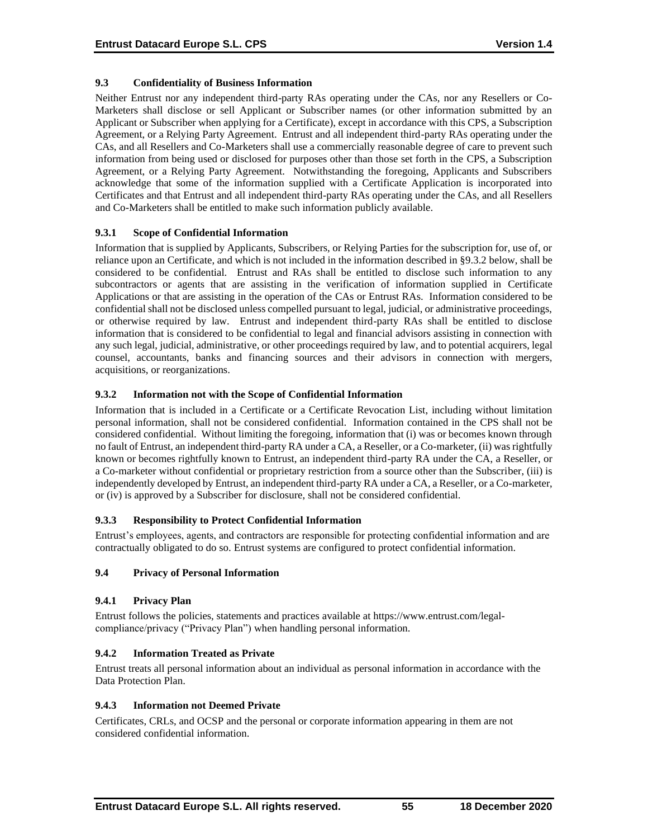# **9.3 Confidentiality of Business Information**

Neither Entrust nor any independent third-party RAs operating under the CAs, nor any Resellers or Co-Marketers shall disclose or sell Applicant or Subscriber names (or other information submitted by an Applicant or Subscriber when applying for a Certificate), except in accordance with this CPS, a Subscription Agreement, or a Relying Party Agreement. Entrust and all independent third-party RAs operating under the CAs, and all Resellers and Co-Marketers shall use a commercially reasonable degree of care to prevent such information from being used or disclosed for purposes other than those set forth in the CPS, a Subscription Agreement, or a Relying Party Agreement. Notwithstanding the foregoing, Applicants and Subscribers acknowledge that some of the information supplied with a Certificate Application is incorporated into Certificates and that Entrust and all independent third-party RAs operating under the CAs, and all Resellers and Co-Marketers shall be entitled to make such information publicly available.

### **9.3.1 Scope of Confidential Information**

Information that is supplied by Applicants, Subscribers, or Relying Parties for the subscription for, use of, or reliance upon an Certificate, and which is not included in the information described in §9.3.2 below, shall be considered to be confidential. Entrust and RAs shall be entitled to disclose such information to any subcontractors or agents that are assisting in the verification of information supplied in Certificate Applications or that are assisting in the operation of the CAs or Entrust RAs. Information considered to be confidential shall not be disclosed unless compelled pursuant to legal, judicial, or administrative proceedings, or otherwise required by law. Entrust and independent third-party RAs shall be entitled to disclose information that is considered to be confidential to legal and financial advisors assisting in connection with any such legal, judicial, administrative, or other proceedings required by law, and to potential acquirers, legal counsel, accountants, banks and financing sources and their advisors in connection with mergers, acquisitions, or reorganizations.

### **9.3.2 Information not with the Scope of Confidential Information**

Information that is included in a Certificate or a Certificate Revocation List, including without limitation personal information, shall not be considered confidential. Information contained in the CPS shall not be considered confidential. Without limiting the foregoing, information that (i) was or becomes known through no fault of Entrust, an independent third-party RA under a CA, a Reseller, or a Co-marketer, (ii) was rightfully known or becomes rightfully known to Entrust, an independent third-party RA under the CA, a Reseller, or a Co-marketer without confidential or proprietary restriction from a source other than the Subscriber, (iii) is independently developed by Entrust, an independent third-party RA under a CA, a Reseller, or a Co-marketer, or (iv) is approved by a Subscriber for disclosure, shall not be considered confidential.

# **9.3.3 Responsibility to Protect Confidential Information**

Entrust's employees, agents, and contractors are responsible for protecting confidential information and are contractually obligated to do so. Entrust systems are configured to protect confidential information.

#### **9.4 Privacy of Personal Information**

# **9.4.1 Privacy Plan**

Entrust follows the policies, statements and practices available at https://www.entrust.com/legalcompliance/privacy ("Privacy Plan") when handling personal information.

# **9.4.2 Information Treated as Private**

Entrust treats all personal information about an individual as personal information in accordance with the Data Protection Plan.

#### **9.4.3 Information not Deemed Private**

Certificates, CRLs, and OCSP and the personal or corporate information appearing in them are not considered confidential information.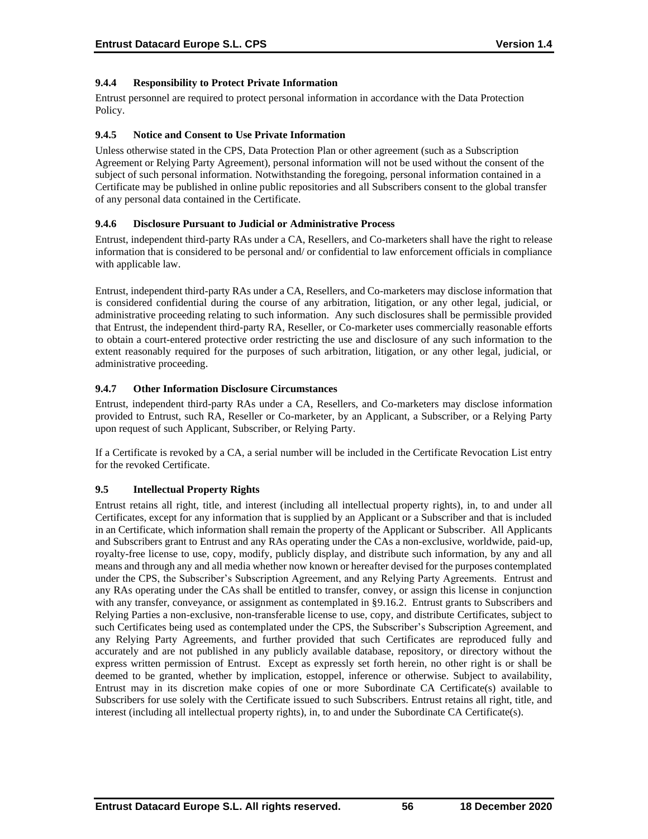# **9.4.4 Responsibility to Protect Private Information**

Entrust personnel are required to protect personal information in accordance with the Data Protection Policy.

### **9.4.5 Notice and Consent to Use Private Information**

Unless otherwise stated in the CPS, Data Protection Plan or other agreement (such as a Subscription Agreement or Relying Party Agreement), personal information will not be used without the consent of the subject of such personal information. Notwithstanding the foregoing, personal information contained in a Certificate may be published in online public repositories and all Subscribers consent to the global transfer of any personal data contained in the Certificate.

### **9.4.6 Disclosure Pursuant to Judicial or Administrative Process**

Entrust, independent third-party RAs under a CA, Resellers, and Co-marketers shall have the right to release information that is considered to be personal and/ or confidential to law enforcement officials in compliance with applicable law.

Entrust, independent third-party RAs under a CA, Resellers, and Co-marketers may disclose information that is considered confidential during the course of any arbitration, litigation, or any other legal, judicial, or administrative proceeding relating to such information. Any such disclosures shall be permissible provided that Entrust, the independent third-party RA, Reseller, or Co-marketer uses commercially reasonable efforts to obtain a court-entered protective order restricting the use and disclosure of any such information to the extent reasonably required for the purposes of such arbitration, litigation, or any other legal, judicial, or administrative proceeding.

### **9.4.7 Other Information Disclosure Circumstances**

Entrust, independent third-party RAs under a CA, Resellers, and Co-marketers may disclose information provided to Entrust, such RA, Reseller or Co-marketer, by an Applicant, a Subscriber, or a Relying Party upon request of such Applicant, Subscriber, or Relying Party.

If a Certificate is revoked by a CA, a serial number will be included in the Certificate Revocation List entry for the revoked Certificate.

# **9.5 Intellectual Property Rights**

Entrust retains all right, title, and interest (including all intellectual property rights), in, to and under all Certificates, except for any information that is supplied by an Applicant or a Subscriber and that is included in an Certificate, which information shall remain the property of the Applicant or Subscriber. All Applicants and Subscribers grant to Entrust and any RAs operating under the CAs a non-exclusive, worldwide, paid-up, royalty-free license to use, copy, modify, publicly display, and distribute such information, by any and all means and through any and all media whether now known or hereafter devised for the purposes contemplated under the CPS, the Subscriber's Subscription Agreement, and any Relying Party Agreements. Entrust and any RAs operating under the CAs shall be entitled to transfer, convey, or assign this license in conjunction with any transfer, conveyance, or assignment as contemplated in §9.16.2. Entrust grants to Subscribers and Relying Parties a non-exclusive, non-transferable license to use, copy, and distribute Certificates, subject to such Certificates being used as contemplated under the CPS, the Subscriber's Subscription Agreement, and any Relying Party Agreements, and further provided that such Certificates are reproduced fully and accurately and are not published in any publicly available database, repository, or directory without the express written permission of Entrust. Except as expressly set forth herein, no other right is or shall be deemed to be granted, whether by implication, estoppel, inference or otherwise. Subject to availability, Entrust may in its discretion make copies of one or more Subordinate CA Certificate(s) available to Subscribers for use solely with the Certificate issued to such Subscribers. Entrust retains all right, title, and interest (including all intellectual property rights), in, to and under the Subordinate CA Certificate(s).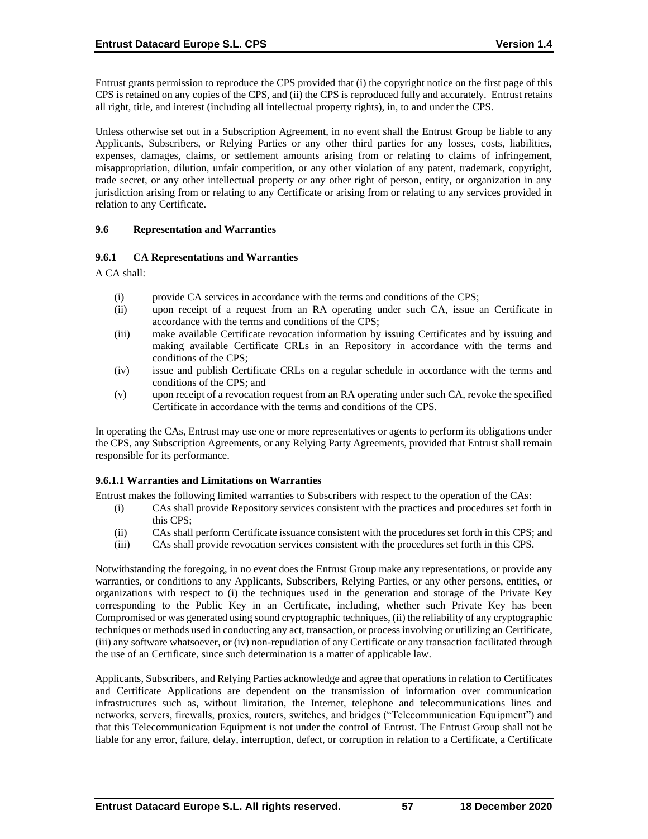Entrust grants permission to reproduce the CPS provided that (i) the copyright notice on the first page of this CPS is retained on any copies of the CPS, and (ii) the CPS is reproduced fully and accurately. Entrust retains all right, title, and interest (including all intellectual property rights), in, to and under the CPS.

Unless otherwise set out in a Subscription Agreement, in no event shall the Entrust Group be liable to any Applicants, Subscribers, or Relying Parties or any other third parties for any losses, costs, liabilities, expenses, damages, claims, or settlement amounts arising from or relating to claims of infringement, misappropriation, dilution, unfair competition, or any other violation of any patent, trademark, copyright, trade secret, or any other intellectual property or any other right of person, entity, or organization in any jurisdiction arising from or relating to any Certificate or arising from or relating to any services provided in relation to any Certificate.

### **9.6 Representation and Warranties**

### **9.6.1 CA Representations and Warranties**

A CA shall:

- (i) provide CA services in accordance with the terms and conditions of the CPS;
- (ii) upon receipt of a request from an RA operating under such CA, issue an Certificate in accordance with the terms and conditions of the CPS;
- (iii) make available Certificate revocation information by issuing Certificates and by issuing and making available Certificate CRLs in an Repository in accordance with the terms and conditions of the CPS;
- (iv) issue and publish Certificate CRLs on a regular schedule in accordance with the terms and conditions of the CPS; and
- (v) upon receipt of a revocation request from an RA operating under such CA, revoke the specified Certificate in accordance with the terms and conditions of the CPS.

In operating the CAs, Entrust may use one or more representatives or agents to perform its obligations under the CPS, any Subscription Agreements, or any Relying Party Agreements, provided that Entrust shall remain responsible for its performance.

# **9.6.1.1 Warranties and Limitations on Warranties**

Entrust makes the following limited warranties to Subscribers with respect to the operation of the CAs:

- (i) CAs shall provide Repository services consistent with the practices and procedures set forth in this CPS;
- (ii) CAs shall perform Certificate issuance consistent with the procedures set forth in this CPS; and
- (iii) CAs shall provide revocation services consistent with the procedures set forth in this CPS.

Notwithstanding the foregoing, in no event does the Entrust Group make any representations, or provide any warranties, or conditions to any Applicants, Subscribers, Relying Parties, or any other persons, entities, or organizations with respect to (i) the techniques used in the generation and storage of the Private Key corresponding to the Public Key in an Certificate, including, whether such Private Key has been Compromised or was generated using sound cryptographic techniques, (ii) the reliability of any cryptographic techniques or methods used in conducting any act, transaction, or process involving or utilizing an Certificate, (iii) any software whatsoever, or (iv) non-repudiation of any Certificate or any transaction facilitated through the use of an Certificate, since such determination is a matter of applicable law.

Applicants, Subscribers, and Relying Parties acknowledge and agree that operations in relation to Certificates and Certificate Applications are dependent on the transmission of information over communication infrastructures such as, without limitation, the Internet, telephone and telecommunications lines and networks, servers, firewalls, proxies, routers, switches, and bridges ("Telecommunication Equipment") and that this Telecommunication Equipment is not under the control of Entrust. The Entrust Group shall not be liable for any error, failure, delay, interruption, defect, or corruption in relation to a Certificate, a Certificate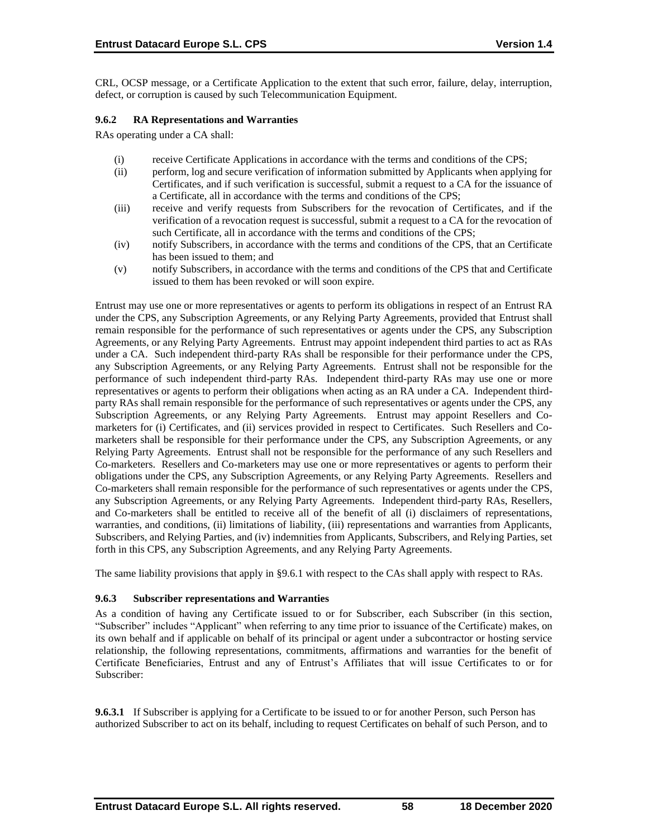CRL, OCSP message, or a Certificate Application to the extent that such error, failure, delay, interruption, defect, or corruption is caused by such Telecommunication Equipment.

### **9.6.2 RA Representations and Warranties**

RAs operating under a CA shall:

- (i) receive Certificate Applications in accordance with the terms and conditions of the CPS;
- (ii) perform, log and secure verification of information submitted by Applicants when applying for Certificates, and if such verification is successful, submit a request to a CA for the issuance of a Certificate, all in accordance with the terms and conditions of the CPS;
- (iii) receive and verify requests from Subscribers for the revocation of Certificates, and if the verification of a revocation request is successful, submit a request to a CA for the revocation of such Certificate, all in accordance with the terms and conditions of the CPS;
- (iv) notify Subscribers, in accordance with the terms and conditions of the CPS, that an Certificate has been issued to them; and
- (v) notify Subscribers, in accordance with the terms and conditions of the CPS that and Certificate issued to them has been revoked or will soon expire.

Entrust may use one or more representatives or agents to perform its obligations in respect of an Entrust RA under the CPS, any Subscription Agreements, or any Relying Party Agreements, provided that Entrust shall remain responsible for the performance of such representatives or agents under the CPS, any Subscription Agreements, or any Relying Party Agreements. Entrust may appoint independent third parties to act as RAs under a CA. Such independent third-party RAs shall be responsible for their performance under the CPS, any Subscription Agreements, or any Relying Party Agreements. Entrust shall not be responsible for the performance of such independent third-party RAs. Independent third-party RAs may use one or more representatives or agents to perform their obligations when acting as an RA under a CA. Independent thirdparty RAs shall remain responsible for the performance of such representatives or agents under the CPS, any Subscription Agreements, or any Relying Party Agreements. Entrust may appoint Resellers and Comarketers for (i) Certificates, and (ii) services provided in respect to Certificates. Such Resellers and Comarketers shall be responsible for their performance under the CPS, any Subscription Agreements, or any Relying Party Agreements. Entrust shall not be responsible for the performance of any such Resellers and Co-marketers. Resellers and Co-marketers may use one or more representatives or agents to perform their obligations under the CPS, any Subscription Agreements, or any Relying Party Agreements. Resellers and Co-marketers shall remain responsible for the performance of such representatives or agents under the CPS, any Subscription Agreements, or any Relying Party Agreements. Independent third-party RAs, Resellers, and Co-marketers shall be entitled to receive all of the benefit of all (i) disclaimers of representations, warranties, and conditions, (ii) limitations of liability, (iii) representations and warranties from Applicants, Subscribers, and Relying Parties, and (iv) indemnities from Applicants, Subscribers, and Relying Parties, set forth in this CPS, any Subscription Agreements, and any Relying Party Agreements.

The same liability provisions that apply in §9.6.1 with respect to the CAs shall apply with respect to RAs.

# **9.6.3 Subscriber representations and Warranties**

As a condition of having any Certificate issued to or for Subscriber, each Subscriber (in this section, "Subscriber" includes "Applicant" when referring to any time prior to issuance of the Certificate) makes, on its own behalf and if applicable on behalf of its principal or agent under a subcontractor or hosting service relationship, the following representations, commitments, affirmations and warranties for the benefit of Certificate Beneficiaries, Entrust and any of Entrust's Affiliates that will issue Certificates to or for Subscriber:

**9.6.3.1** If Subscriber is applying for a Certificate to be issued to or for another Person, such Person has authorized Subscriber to act on its behalf, including to request Certificates on behalf of such Person, and to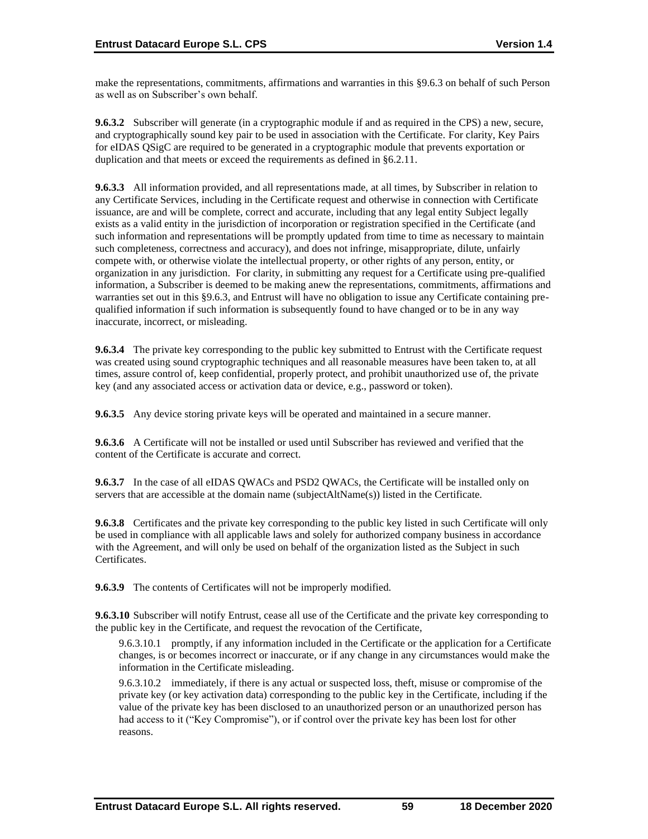make the representations, commitments, affirmations and warranties in this §9.6.3 on behalf of such Person as well as on Subscriber's own behalf.

**9.6.3.2** Subscriber will generate (in a cryptographic module if and as required in the CPS) a new, secure, and cryptographically sound key pair to be used in association with the Certificate. For clarity, Key Pairs for eIDAS QSigC are required to be generated in a cryptographic module that prevents exportation or duplication and that meets or exceed the requirements as defined in §6.2.11.

**9.6.3.3** All information provided, and all representations made, at all times, by Subscriber in relation to any Certificate Services, including in the Certificate request and otherwise in connection with Certificate issuance, are and will be complete, correct and accurate, including that any legal entity Subject legally exists as a valid entity in the jurisdiction of incorporation or registration specified in the Certificate (and such information and representations will be promptly updated from time to time as necessary to maintain such completeness, correctness and accuracy), and does not infringe, misappropriate, dilute, unfairly compete with, or otherwise violate the intellectual property, or other rights of any person, entity, or organization in any jurisdiction. For clarity, in submitting any request for a Certificate using pre-qualified information, a Subscriber is deemed to be making anew the representations, commitments, affirmations and warranties set out in this §9.6.3, and Entrust will have no obligation to issue any Certificate containing prequalified information if such information is subsequently found to have changed or to be in any way inaccurate, incorrect, or misleading.

**9.6.3.4** The private key corresponding to the public key submitted to Entrust with the Certificate request was created using sound cryptographic techniques and all reasonable measures have been taken to, at all times, assure control of, keep confidential, properly protect, and prohibit unauthorized use of, the private key (and any associated access or activation data or device, e.g., password or token).

**9.6.3.5** Any device storing private keys will be operated and maintained in a secure manner.

**9.6.3.6** A Certificate will not be installed or used until Subscriber has reviewed and verified that the content of the Certificate is accurate and correct.

**9.6.3.7** In the case of all eIDAS QWACs and PSD2 QWACs, the Certificate will be installed only on servers that are accessible at the domain name (subjectAltName(s)) listed in the Certificate.

**9.6.3.8** Certificates and the private key corresponding to the public key listed in such Certificate will only be used in compliance with all applicable laws and solely for authorized company business in accordance with the Agreement, and will only be used on behalf of the organization listed as the Subject in such Certificates.

**9.6.3.9** The contents of Certificates will not be improperly modified.

**9.6.3.10** Subscriber will notify Entrust, cease all use of the Certificate and the private key corresponding to the public key in the Certificate, and request the revocation of the Certificate,

9.6.3.10.1 promptly, if any information included in the Certificate or the application for a Certificate changes, is or becomes incorrect or inaccurate, or if any change in any circumstances would make the information in the Certificate misleading.

9.6.3.10.2 immediately, if there is any actual or suspected loss, theft, misuse or compromise of the private key (or key activation data) corresponding to the public key in the Certificate, including if the value of the private key has been disclosed to an unauthorized person or an unauthorized person has had access to it ("Key Compromise"), or if control over the private key has been lost for other reasons.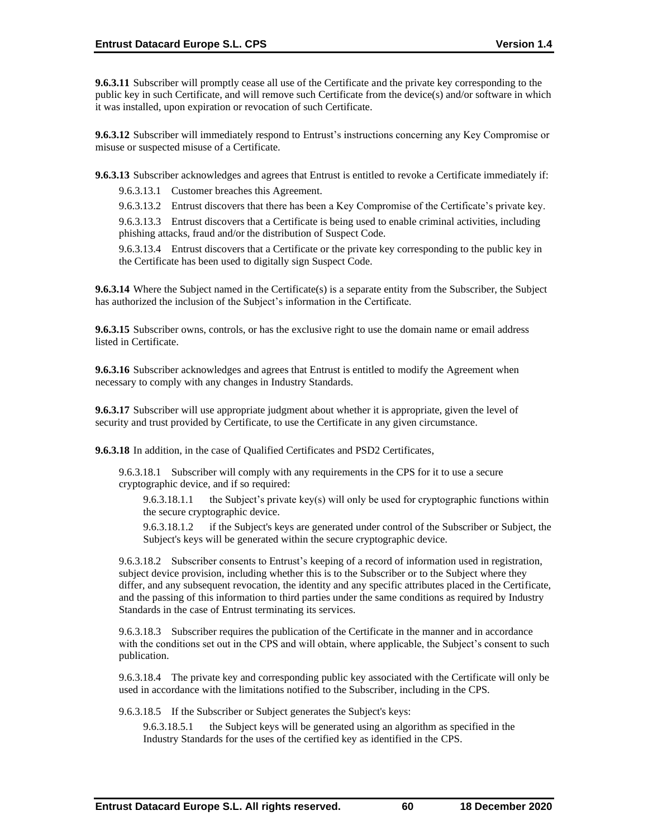**9.6.3.11** Subscriber will promptly cease all use of the Certificate and the private key corresponding to the public key in such Certificate, and will remove such Certificate from the device(s) and/or software in which it was installed, upon expiration or revocation of such Certificate.

**9.6.3.12** Subscriber will immediately respond to Entrust's instructions concerning any Key Compromise or misuse or suspected misuse of a Certificate.

**9.6.3.13** Subscriber acknowledges and agrees that Entrust is entitled to revoke a Certificate immediately if:

9.6.3.13.1 Customer breaches this Agreement.

9.6.3.13.2 Entrust discovers that there has been a Key Compromise of the Certificate's private key.

9.6.3.13.3 Entrust discovers that a Certificate is being used to enable criminal activities, including phishing attacks, fraud and/or the distribution of Suspect Code.

9.6.3.13.4 Entrust discovers that a Certificate or the private key corresponding to the public key in the Certificate has been used to digitally sign Suspect Code.

**9.6.3.14** Where the Subject named in the Certificate(s) is a separate entity from the Subscriber, the Subject has authorized the inclusion of the Subject's information in the Certificate.

**9.6.3.15** Subscriber owns, controls, or has the exclusive right to use the domain name or email address listed in Certificate.

**9.6.3.16** Subscriber acknowledges and agrees that Entrust is entitled to modify the Agreement when necessary to comply with any changes in Industry Standards.

**9.6.3.17** Subscriber will use appropriate judgment about whether it is appropriate, given the level of security and trust provided by Certificate, to use the Certificate in any given circumstance.

**9.6.3.18** In addition, in the case of Qualified Certificates and PSD2 Certificates,

9.6.3.18.1 Subscriber will comply with any requirements in the CPS for it to use a secure cryptographic device, and if so required:

9.6.3.18.1.1 the Subject's private key(s) will only be used for cryptographic functions within the secure cryptographic device.

9.6.3.18.1.2 if the Subject's keys are generated under control of the Subscriber or Subject, the Subject's keys will be generated within the secure cryptographic device.

9.6.3.18.2 Subscriber consents to Entrust's keeping of a record of information used in registration, subject device provision, including whether this is to the Subscriber or to the Subject where they differ, and any subsequent revocation, the identity and any specific attributes placed in the Certificate, and the passing of this information to third parties under the same conditions as required by Industry Standards in the case of Entrust terminating its services.

9.6.3.18.3 Subscriber requires the publication of the Certificate in the manner and in accordance with the conditions set out in the CPS and will obtain, where applicable, the Subject's consent to such publication.

9.6.3.18.4 The private key and corresponding public key associated with the Certificate will only be used in accordance with the limitations notified to the Subscriber, including in the CPS.

9.6.3.18.5 If the Subscriber or Subject generates the Subject's keys:

9.6.3.18.5.1 the Subject keys will be generated using an algorithm as specified in the Industry Standards for the uses of the certified key as identified in the CPS.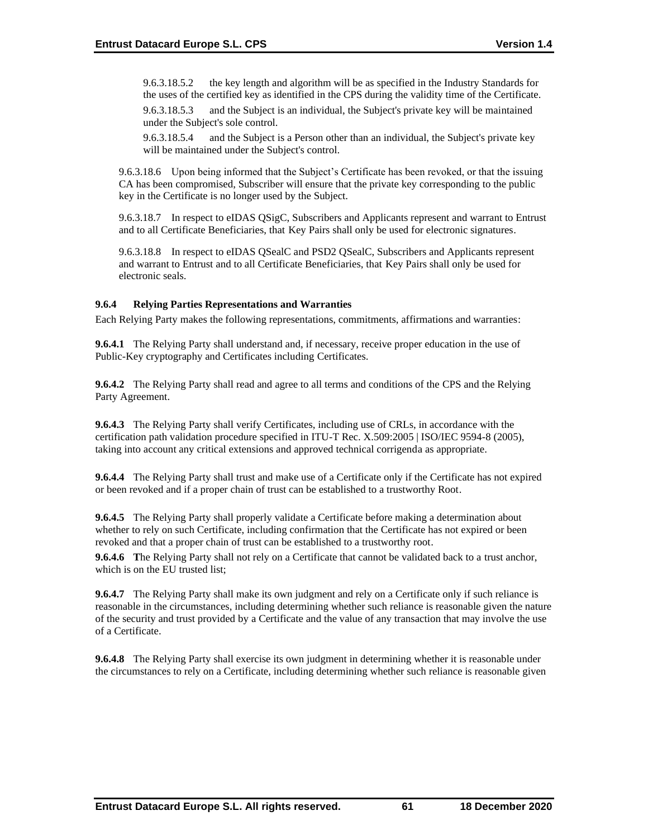9.6.3.18.5.2 the key length and algorithm will be as specified in the Industry Standards for the uses of the certified key as identified in the CPS during the validity time of the Certificate. 9.6.3.18.5.3 and the Subject is an individual, the Subject's private key will be maintained

under the Subject's sole control. 9.6.3.18.5.4 and the Subject is a Person other than an individual, the Subject's private key

will be maintained under the Subject's control.

9.6.3.18.6 Upon being informed that the Subject's Certificate has been revoked, or that the issuing CA has been compromised, Subscriber will ensure that the private key corresponding to the public key in the Certificate is no longer used by the Subject.

9.6.3.18.7 In respect to eIDAS QSigC, Subscribers and Applicants represent and warrant to Entrust and to all Certificate Beneficiaries, that Key Pairs shall only be used for electronic signatures.

9.6.3.18.8 In respect to eIDAS QSealC and PSD2 QSealC, Subscribers and Applicants represent and warrant to Entrust and to all Certificate Beneficiaries, that Key Pairs shall only be used for electronic seals.

### **9.6.4 Relying Parties Representations and Warranties**

Each Relying Party makes the following representations, commitments, affirmations and warranties:

**9.6.4.1** The Relying Party shall understand and, if necessary, receive proper education in the use of Public-Key cryptography and Certificates including Certificates.

**9.6.4.2** The Relying Party shall read and agree to all terms and conditions of the CPS and the Relying Party Agreement.

**9.6.4.3** The Relying Party shall verify Certificates, including use of CRLs, in accordance with the certification path validation procedure specified in ITU-T Rec. X.509:2005 | ISO/IEC 9594-8 (2005), taking into account any critical extensions and approved technical corrigenda as appropriate.

**9.6.4.4** The Relying Party shall trust and make use of a Certificate only if the Certificate has not expired or been revoked and if a proper chain of trust can be established to a trustworthy Root.

**9.6.4.5** The Relying Party shall properly validate a Certificate before making a determination about whether to rely on such Certificate, including confirmation that the Certificate has not expired or been revoked and that a proper chain of trust can be established to a trustworthy root.

**9.6.4.6 T**he Relying Party shall not rely on a Certificate that cannot be validated back to a trust anchor, which is on the EU trusted list;

**9.6.4.7** The Relying Party shall make its own judgment and rely on a Certificate only if such reliance is reasonable in the circumstances, including determining whether such reliance is reasonable given the nature of the security and trust provided by a Certificate and the value of any transaction that may involve the use of a Certificate.

**9.6.4.8** The Relying Party shall exercise its own judgment in determining whether it is reasonable under the circumstances to rely on a Certificate, including determining whether such reliance is reasonable given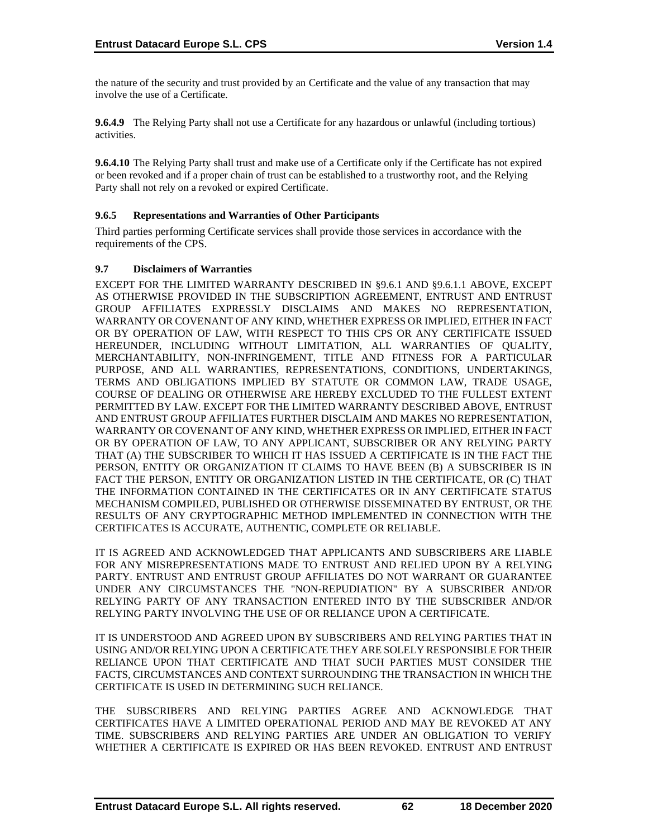the nature of the security and trust provided by an Certificate and the value of any transaction that may involve the use of a Certificate.

**9.6.4.9** The Relying Party shall not use a Certificate for any hazardous or unlawful (including tortious) activities.

**9.6.4.10** The Relying Party shall trust and make use of a Certificate only if the Certificate has not expired or been revoked and if a proper chain of trust can be established to a trustworthy root, and the Relying Party shall not rely on a revoked or expired Certificate.

# **9.6.5 Representations and Warranties of Other Participants**

Third parties performing Certificate services shall provide those services in accordance with the requirements of the CPS.

### **9.7 Disclaimers of Warranties**

EXCEPT FOR THE LIMITED WARRANTY DESCRIBED IN §9.6.1 AND §9.6.1.1 ABOVE, EXCEPT AS OTHERWISE PROVIDED IN THE SUBSCRIPTION AGREEMENT, ENTRUST AND ENTRUST GROUP AFFILIATES EXPRESSLY DISCLAIMS AND MAKES NO REPRESENTATION, WARRANTY OR COVENANT OF ANY KIND, WHETHER EXPRESS OR IMPLIED, EITHER IN FACT OR BY OPERATION OF LAW, WITH RESPECT TO THIS CPS OR ANY CERTIFICATE ISSUED HEREUNDER, INCLUDING WITHOUT LIMITATION, ALL WARRANTIES OF QUALITY, MERCHANTABILITY, NON-INFRINGEMENT, TITLE AND FITNESS FOR A PARTICULAR PURPOSE, AND ALL WARRANTIES, REPRESENTATIONS, CONDITIONS, UNDERTAKINGS, TERMS AND OBLIGATIONS IMPLIED BY STATUTE OR COMMON LAW, TRADE USAGE, COURSE OF DEALING OR OTHERWISE ARE HEREBY EXCLUDED TO THE FULLEST EXTENT PERMITTED BY LAW. EXCEPT FOR THE LIMITED WARRANTY DESCRIBED ABOVE, ENTRUST AND ENTRUST GROUP AFFILIATES FURTHER DISCLAIM AND MAKES NO REPRESENTATION, WARRANTY OR COVENANT OF ANY KIND, WHETHER EXPRESS OR IMPLIED, EITHER IN FACT OR BY OPERATION OF LAW, TO ANY APPLICANT, SUBSCRIBER OR ANY RELYING PARTY THAT (A) THE SUBSCRIBER TO WHICH IT HAS ISSUED A CERTIFICATE IS IN THE FACT THE PERSON, ENTITY OR ORGANIZATION IT CLAIMS TO HAVE BEEN (B) A SUBSCRIBER IS IN FACT THE PERSON, ENTITY OR ORGANIZATION LISTED IN THE CERTIFICATE, OR (C) THAT THE INFORMATION CONTAINED IN THE CERTIFICATES OR IN ANY CERTIFICATE STATUS MECHANISM COMPILED, PUBLISHED OR OTHERWISE DISSEMINATED BY ENTRUST, OR THE RESULTS OF ANY CRYPTOGRAPHIC METHOD IMPLEMENTED IN CONNECTION WITH THE CERTIFICATES IS ACCURATE, AUTHENTIC, COMPLETE OR RELIABLE.

IT IS AGREED AND ACKNOWLEDGED THAT APPLICANTS AND SUBSCRIBERS ARE LIABLE FOR ANY MISREPRESENTATIONS MADE TO ENTRUST AND RELIED UPON BY A RELYING PARTY. ENTRUST AND ENTRUST GROUP AFFILIATES DO NOT WARRANT OR GUARANTEE UNDER ANY CIRCUMSTANCES THE "NON-REPUDIATION" BY A SUBSCRIBER AND/OR RELYING PARTY OF ANY TRANSACTION ENTERED INTO BY THE SUBSCRIBER AND/OR RELYING PARTY INVOLVING THE USE OF OR RELIANCE UPON A CERTIFICATE.

IT IS UNDERSTOOD AND AGREED UPON BY SUBSCRIBERS AND RELYING PARTIES THAT IN USING AND/OR RELYING UPON A CERTIFICATE THEY ARE SOLELY RESPONSIBLE FOR THEIR RELIANCE UPON THAT CERTIFICATE AND THAT SUCH PARTIES MUST CONSIDER THE FACTS, CIRCUMSTANCES AND CONTEXT SURROUNDING THE TRANSACTION IN WHICH THE CERTIFICATE IS USED IN DETERMINING SUCH RELIANCE.

THE SUBSCRIBERS AND RELYING PARTIES AGREE AND ACKNOWLEDGE THAT CERTIFICATES HAVE A LIMITED OPERATIONAL PERIOD AND MAY BE REVOKED AT ANY TIME. SUBSCRIBERS AND RELYING PARTIES ARE UNDER AN OBLIGATION TO VERIFY WHETHER A CERTIFICATE IS EXPIRED OR HAS BEEN REVOKED. ENTRUST AND ENTRUST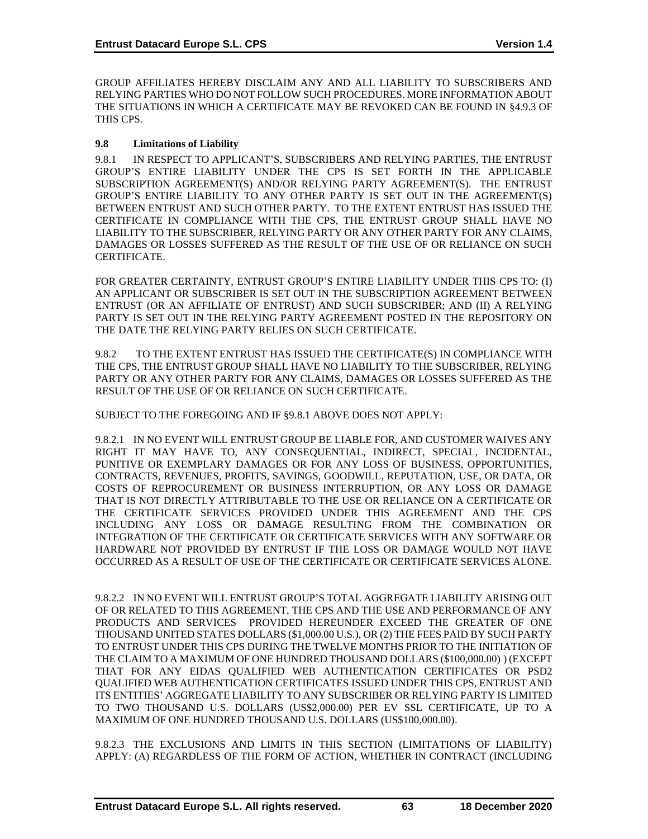GROUP AFFILIATES HEREBY DISCLAIM ANY AND ALL LIABILITY TO SUBSCRIBERS AND RELYING PARTIES WHO DO NOT FOLLOW SUCH PROCEDURES. MORE INFORMATION ABOUT THE SITUATIONS IN WHICH A CERTIFICATE MAY BE REVOKED CAN BE FOUND IN §4.9.3 OF THIS CPS.

### **9.8 Limitations of Liability**

9.8.1 IN RESPECT TO APPLICANT'S, SUBSCRIBERS AND RELYING PARTIES, THE ENTRUST GROUP'S ENTIRE LIABILITY UNDER THE CPS IS SET FORTH IN THE APPLICABLE SUBSCRIPTION AGREEMENT(S) AND/OR RELYING PARTY AGREEMENT(S). THE ENTRUST GROUP'S ENTIRE LIABILITY TO ANY OTHER PARTY IS SET OUT IN THE AGREEMENT(S) BETWEEN ENTRUST AND SUCH OTHER PARTY. TO THE EXTENT ENTRUST HAS ISSUED THE CERTIFICATE IN COMPLIANCE WITH THE CPS, THE ENTRUST GROUP SHALL HAVE NO LIABILITY TO THE SUBSCRIBER, RELYING PARTY OR ANY OTHER PARTY FOR ANY CLAIMS, DAMAGES OR LOSSES SUFFERED AS THE RESULT OF THE USE OF OR RELIANCE ON SUCH CERTIFICATE.

FOR GREATER CERTAINTY, ENTRUST GROUP'S ENTIRE LIABILITY UNDER THIS CPS TO: (I) AN APPLICANT OR SUBSCRIBER IS SET OUT IN THE SUBSCRIPTION AGREEMENT BETWEEN ENTRUST (OR AN AFFILIATE OF ENTRUST) AND SUCH SUBSCRIBER; AND (II) A RELYING PARTY IS SET OUT IN THE RELYING PARTY AGREEMENT POSTED IN THE REPOSITORY ON THE DATE THE RELYING PARTY RELIES ON SUCH CERTIFICATE.

9.8.2 TO THE EXTENT ENTRUST HAS ISSUED THE CERTIFICATE(S) IN COMPLIANCE WITH THE CPS, THE ENTRUST GROUP SHALL HAVE NO LIABILITY TO THE SUBSCRIBER, RELYING PARTY OR ANY OTHER PARTY FOR ANY CLAIMS, DAMAGES OR LOSSES SUFFERED AS THE RESULT OF THE USE OF OR RELIANCE ON SUCH CERTIFICATE.

SUBJECT TO THE FOREGOING AND IF §9.8.1 ABOVE DOES NOT APPLY:

9.8.2.1 IN NO EVENT WILL ENTRUST GROUP BE LIABLE FOR, AND CUSTOMER WAIVES ANY RIGHT IT MAY HAVE TO, ANY CONSEQUENTIAL, INDIRECT, SPECIAL, INCIDENTAL, PUNITIVE OR EXEMPLARY DAMAGES OR FOR ANY LOSS OF BUSINESS, OPPORTUNITIES, CONTRACTS, REVENUES, PROFITS, SAVINGS, GOODWILL, REPUTATION, USE, OR DATA, OR COSTS OF REPROCUREMENT OR BUSINESS INTERRUPTION, OR ANY LOSS OR DAMAGE THAT IS NOT DIRECTLY ATTRIBUTABLE TO THE USE OR RELIANCE ON A CERTIFICATE OR THE CERTIFICATE SERVICES PROVIDED UNDER THIS AGREEMENT AND THE CPS INCLUDING ANY LOSS OR DAMAGE RESULTING FROM THE COMBINATION OR INTEGRATION OF THE CERTIFICATE OR CERTIFICATE SERVICES WITH ANY SOFTWARE OR HARDWARE NOT PROVIDED BY ENTRUST IF THE LOSS OR DAMAGE WOULD NOT HAVE OCCURRED AS A RESULT OF USE OF THE CERTIFICATE OR CERTIFICATE SERVICES ALONE.

9.8.2.2 IN NO EVENT WILL ENTRUST GROUP'S TOTAL AGGREGATE LIABILITY ARISING OUT OF OR RELATED TO THIS AGREEMENT, THE CPS AND THE USE AND PERFORMANCE OF ANY PRODUCTS AND SERVICES PROVIDED HEREUNDER EXCEED THE GREATER OF ONE THOUSAND UNITED STATES DOLLARS (\$1,000.00 U.S.), OR (2) THE FEES PAID BY SUCH PARTY TO ENTRUST UNDER THIS CPS DURING THE TWELVE MONTHS PRIOR TO THE INITIATION OF THE CLAIM TO A MAXIMUM OF ONE HUNDRED THOUSAND DOLLARS (\$100,000.00) ) (EXCEPT THAT FOR ANY EIDAS QUALIFIED WEB AUTHENTICATION CERTIFICATES OR PSD2 QUALIFIED WEB AUTHENTICATION CERTIFICATES ISSUED UNDER THIS CPS, ENTRUST AND ITS ENTITIES' AGGREGATE LIABILITY TO ANY SUBSCRIBER OR RELYING PARTY IS LIMITED TO TWO THOUSAND U.S. DOLLARS (US\$2,000.00) PER EV SSL CERTIFICATE, UP TO A MAXIMUM OF ONE HUNDRED THOUSAND U.S. DOLLARS (US\$100,000.00).

9.8.2.3 THE EXCLUSIONS AND LIMITS IN THIS SECTION (LIMITATIONS OF LIABILITY) APPLY: (A) REGARDLESS OF THE FORM OF ACTION, WHETHER IN CONTRACT (INCLUDING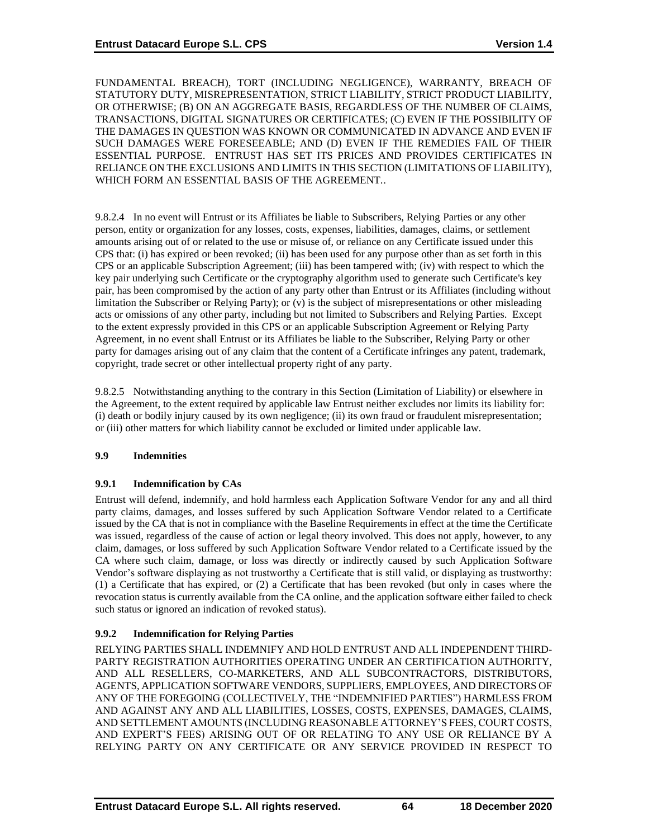FUNDAMENTAL BREACH), TORT (INCLUDING NEGLIGENCE), WARRANTY, BREACH OF STATUTORY DUTY, MISREPRESENTATION, STRICT LIABILITY, STRICT PRODUCT LIABILITY, OR OTHERWISE; (B) ON AN AGGREGATE BASIS, REGARDLESS OF THE NUMBER OF CLAIMS, TRANSACTIONS, DIGITAL SIGNATURES OR CERTIFICATES; (C) EVEN IF THE POSSIBILITY OF THE DAMAGES IN QUESTION WAS KNOWN OR COMMUNICATED IN ADVANCE AND EVEN IF SUCH DAMAGES WERE FORESEEABLE; AND (D) EVEN IF THE REMEDIES FAIL OF THEIR ESSENTIAL PURPOSE. ENTRUST HAS SET ITS PRICES AND PROVIDES CERTIFICATES IN RELIANCE ON THE EXCLUSIONS AND LIMITS IN THIS SECTION (LIMITATIONS OF LIABILITY), WHICH FORM AN ESSENTIAL BASIS OF THE AGREEMENT..

9.8.2.4 In no event will Entrust or its Affiliates be liable to Subscribers, Relying Parties or any other person, entity or organization for any losses, costs, expenses, liabilities, damages, claims, or settlement amounts arising out of or related to the use or misuse of, or reliance on any Certificate issued under this CPS that: (i) has expired or been revoked; (ii) has been used for any purpose other than as set forth in this CPS or an applicable Subscription Agreement; (iii) has been tampered with; (iv) with respect to which the key pair underlying such Certificate or the cryptography algorithm used to generate such Certificate's key pair, has been compromised by the action of any party other than Entrust or its Affiliates (including without limitation the Subscriber or Relying Party); or (v) is the subject of misrepresentations or other misleading acts or omissions of any other party, including but not limited to Subscribers and Relying Parties. Except to the extent expressly provided in this CPS or an applicable Subscription Agreement or Relying Party Agreement, in no event shall Entrust or its Affiliates be liable to the Subscriber, Relying Party or other party for damages arising out of any claim that the content of a Certificate infringes any patent, trademark, copyright, trade secret or other intellectual property right of any party.

9.8.2.5 Notwithstanding anything to the contrary in this Section (Limitation of Liability) or elsewhere in the Agreement, to the extent required by applicable law Entrust neither excludes nor limits its liability for: (i) death or bodily injury caused by its own negligence; (ii) its own fraud or fraudulent misrepresentation; or (iii) other matters for which liability cannot be excluded or limited under applicable law.

## **9.9 Indemnities**

## **9.9.1 Indemnification by CAs**

Entrust will defend, indemnify, and hold harmless each Application Software Vendor for any and all third party claims, damages, and losses suffered by such Application Software Vendor related to a Certificate issued by the CA that is not in compliance with the Baseline Requirements in effect at the time the Certificate was issued, regardless of the cause of action or legal theory involved. This does not apply, however, to any claim, damages, or loss suffered by such Application Software Vendor related to a Certificate issued by the CA where such claim, damage, or loss was directly or indirectly caused by such Application Software Vendor's software displaying as not trustworthy a Certificate that is still valid, or displaying as trustworthy: (1) a Certificate that has expired, or (2) a Certificate that has been revoked (but only in cases where the revocation status is currently available from the CA online, and the application software either failed to check such status or ignored an indication of revoked status).

# **9.9.2 Indemnification for Relying Parties**

RELYING PARTIES SHALL INDEMNIFY AND HOLD ENTRUST AND ALL INDEPENDENT THIRD-PARTY REGISTRATION AUTHORITIES OPERATING UNDER AN CERTIFICATION AUTHORITY, AND ALL RESELLERS, CO-MARKETERS, AND ALL SUBCONTRACTORS, DISTRIBUTORS, AGENTS, APPLICATION SOFTWARE VENDORS, SUPPLIERS, EMPLOYEES, AND DIRECTORS OF ANY OF THE FOREGOING (COLLECTIVELY, THE "INDEMNIFIED PARTIES") HARMLESS FROM AND AGAINST ANY AND ALL LIABILITIES, LOSSES, COSTS, EXPENSES, DAMAGES, CLAIMS, AND SETTLEMENT AMOUNTS (INCLUDING REASONABLE ATTORNEY'S FEES, COURT COSTS, AND EXPERT'S FEES) ARISING OUT OF OR RELATING TO ANY USE OR RELIANCE BY A RELYING PARTY ON ANY CERTIFICATE OR ANY SERVICE PROVIDED IN RESPECT TO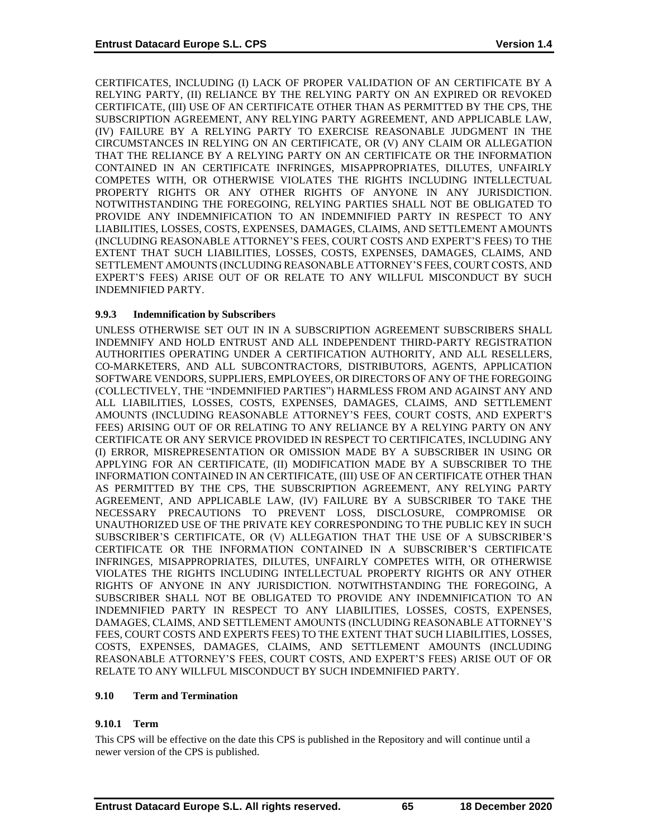CERTIFICATES, INCLUDING (I) LACK OF PROPER VALIDATION OF AN CERTIFICATE BY A RELYING PARTY, (II) RELIANCE BY THE RELYING PARTY ON AN EXPIRED OR REVOKED CERTIFICATE, (III) USE OF AN CERTIFICATE OTHER THAN AS PERMITTED BY THE CPS, THE SUBSCRIPTION AGREEMENT, ANY RELYING PARTY AGREEMENT, AND APPLICABLE LAW, (IV) FAILURE BY A RELYING PARTY TO EXERCISE REASONABLE JUDGMENT IN THE CIRCUMSTANCES IN RELYING ON AN CERTIFICATE, OR (V) ANY CLAIM OR ALLEGATION THAT THE RELIANCE BY A RELYING PARTY ON AN CERTIFICATE OR THE INFORMATION CONTAINED IN AN CERTIFICATE INFRINGES, MISAPPROPRIATES, DILUTES, UNFAIRLY COMPETES WITH, OR OTHERWISE VIOLATES THE RIGHTS INCLUDING INTELLECTUAL PROPERTY RIGHTS OR ANY OTHER RIGHTS OF ANYONE IN ANY JURISDICTION. NOTWITHSTANDING THE FOREGOING, RELYING PARTIES SHALL NOT BE OBLIGATED TO PROVIDE ANY INDEMNIFICATION TO AN INDEMNIFIED PARTY IN RESPECT TO ANY LIABILITIES, LOSSES, COSTS, EXPENSES, DAMAGES, CLAIMS, AND SETTLEMENT AMOUNTS (INCLUDING REASONABLE ATTORNEY'S FEES, COURT COSTS AND EXPERT'S FEES) TO THE EXTENT THAT SUCH LIABILITIES, LOSSES, COSTS, EXPENSES, DAMAGES, CLAIMS, AND SETTLEMENT AMOUNTS (INCLUDING REASONABLE ATTORNEY'S FEES, COURT COSTS, AND EXPERT'S FEES) ARISE OUT OF OR RELATE TO ANY WILLFUL MISCONDUCT BY SUCH INDEMNIFIED PARTY.

## **9.9.3 Indemnification by Subscribers**

UNLESS OTHERWISE SET OUT IN IN A SUBSCRIPTION AGREEMENT SUBSCRIBERS SHALL INDEMNIFY AND HOLD ENTRUST AND ALL INDEPENDENT THIRD-PARTY REGISTRATION AUTHORITIES OPERATING UNDER A CERTIFICATION AUTHORITY, AND ALL RESELLERS, CO-MARKETERS, AND ALL SUBCONTRACTORS, DISTRIBUTORS, AGENTS, APPLICATION SOFTWARE VENDORS, SUPPLIERS, EMPLOYEES, OR DIRECTORS OF ANY OF THE FOREGOING (COLLECTIVELY, THE "INDEMNIFIED PARTIES") HARMLESS FROM AND AGAINST ANY AND ALL LIABILITIES, LOSSES, COSTS, EXPENSES, DAMAGES, CLAIMS, AND SETTLEMENT AMOUNTS (INCLUDING REASONABLE ATTORNEY'S FEES, COURT COSTS, AND EXPERT'S FEES) ARISING OUT OF OR RELATING TO ANY RELIANCE BY A RELYING PARTY ON ANY CERTIFICATE OR ANY SERVICE PROVIDED IN RESPECT TO CERTIFICATES, INCLUDING ANY (I) ERROR, MISREPRESENTATION OR OMISSION MADE BY A SUBSCRIBER IN USING OR APPLYING FOR AN CERTIFICATE, (II) MODIFICATION MADE BY A SUBSCRIBER TO THE INFORMATION CONTAINED IN AN CERTIFICATE, (III) USE OF AN CERTIFICATE OTHER THAN AS PERMITTED BY THE CPS, THE SUBSCRIPTION AGREEMENT, ANY RELYING PARTY AGREEMENT, AND APPLICABLE LAW, (IV) FAILURE BY A SUBSCRIBER TO TAKE THE NECESSARY PRECAUTIONS TO PREVENT LOSS, DISCLOSURE, COMPROMISE OR UNAUTHORIZED USE OF THE PRIVATE KEY CORRESPONDING TO THE PUBLIC KEY IN SUCH SUBSCRIBER'S CERTIFICATE, OR (V) ALLEGATION THAT THE USE OF A SUBSCRIBER'S CERTIFICATE OR THE INFORMATION CONTAINED IN A SUBSCRIBER'S CERTIFICATE INFRINGES, MISAPPROPRIATES, DILUTES, UNFAIRLY COMPETES WITH, OR OTHERWISE VIOLATES THE RIGHTS INCLUDING INTELLECTUAL PROPERTY RIGHTS OR ANY OTHER RIGHTS OF ANYONE IN ANY JURISDICTION. NOTWITHSTANDING THE FOREGOING, A SUBSCRIBER SHALL NOT BE OBLIGATED TO PROVIDE ANY INDEMNIFICATION TO AN INDEMNIFIED PARTY IN RESPECT TO ANY LIABILITIES, LOSSES, COSTS, EXPENSES, DAMAGES, CLAIMS, AND SETTLEMENT AMOUNTS (INCLUDING REASONABLE ATTORNEY'S FEES, COURT COSTS AND EXPERTS FEES) TO THE EXTENT THAT SUCH LIABILITIES, LOSSES, COSTS, EXPENSES, DAMAGES, CLAIMS, AND SETTLEMENT AMOUNTS (INCLUDING REASONABLE ATTORNEY'S FEES, COURT COSTS, AND EXPERT'S FEES) ARISE OUT OF OR RELATE TO ANY WILLFUL MISCONDUCT BY SUCH INDEMNIFIED PARTY.

## **9.10 Term and Termination**

## **9.10.1 Term**

This CPS will be effective on the date this CPS is published in the Repository and will continue until a newer version of the CPS is published.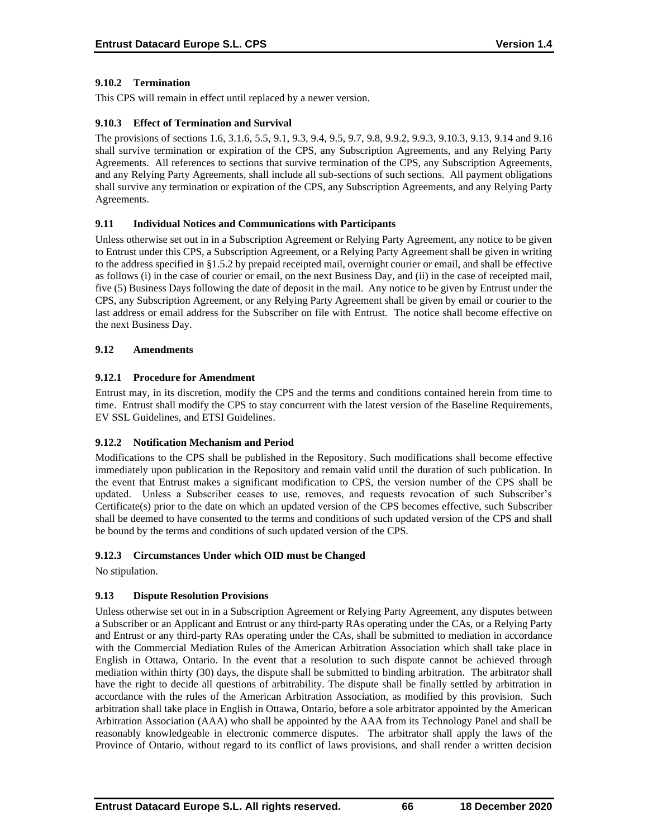## **9.10.2 Termination**

This CPS will remain in effect until replaced by a newer version.

#### **9.10.3 Effect of Termination and Survival**

The provisions of sections 1.6, 3.1.6, 5.5, 9.1, 9.3, 9.4, 9.5, 9.7, 9.8, 9.9.2, 9.9.3, 9.10.3, 9.13, 9.14 and 9.16 shall survive termination or expiration of the CPS, any Subscription Agreements, and any Relying Party Agreements. All references to sections that survive termination of the CPS, any Subscription Agreements, and any Relying Party Agreements, shall include all sub-sections of such sections. All payment obligations shall survive any termination or expiration of the CPS, any Subscription Agreements, and any Relying Party Agreements.

#### **9.11 Individual Notices and Communications with Participants**

Unless otherwise set out in in a Subscription Agreement or Relying Party Agreement, any notice to be given to Entrust under this CPS, a Subscription Agreement, or a Relying Party Agreement shall be given in writing to the address specified in §1.5.2 by prepaid receipted mail, overnight courier or email, and shall be effective as follows (i) in the case of courier or email, on the next Business Day, and (ii) in the case of receipted mail, five (5) Business Days following the date of deposit in the mail. Any notice to be given by Entrust under the CPS, any Subscription Agreement, or any Relying Party Agreement shall be given by email or courier to the last address or email address for the Subscriber on file with Entrust. The notice shall become effective on the next Business Day.

#### **9.12 Amendments**

#### **9.12.1 Procedure for Amendment**

Entrust may, in its discretion, modify the CPS and the terms and conditions contained herein from time to time. Entrust shall modify the CPS to stay concurrent with the latest version of the Baseline Requirements, EV SSL Guidelines, and ETSI Guidelines.

## **9.12.2 Notification Mechanism and Period**

Modifications to the CPS shall be published in the Repository. Such modifications shall become effective immediately upon publication in the Repository and remain valid until the duration of such publication. In the event that Entrust makes a significant modification to CPS, the version number of the CPS shall be updated. Unless a Subscriber ceases to use, removes, and requests revocation of such Subscriber's Certificate(s) prior to the date on which an updated version of the CPS becomes effective, such Subscriber shall be deemed to have consented to the terms and conditions of such updated version of the CPS and shall be bound by the terms and conditions of such updated version of the CPS.

## **9.12.3 Circumstances Under which OID must be Changed**

No stipulation.

## **9.13 Dispute Resolution Provisions**

Unless otherwise set out in in a Subscription Agreement or Relying Party Agreement, any disputes between a Subscriber or an Applicant and Entrust or any third-party RAs operating under the CAs, or a Relying Party and Entrust or any third-party RAs operating under the CAs, shall be submitted to mediation in accordance with the Commercial Mediation Rules of the American Arbitration Association which shall take place in English in Ottawa, Ontario. In the event that a resolution to such dispute cannot be achieved through mediation within thirty (30) days, the dispute shall be submitted to binding arbitration. The arbitrator shall have the right to decide all questions of arbitrability. The dispute shall be finally settled by arbitration in accordance with the rules of the American Arbitration Association, as modified by this provision. Such arbitration shall take place in English in Ottawa, Ontario, before a sole arbitrator appointed by the American Arbitration Association (AAA) who shall be appointed by the AAA from its Technology Panel and shall be reasonably knowledgeable in electronic commerce disputes. The arbitrator shall apply the laws of the Province of Ontario, without regard to its conflict of laws provisions, and shall render a written decision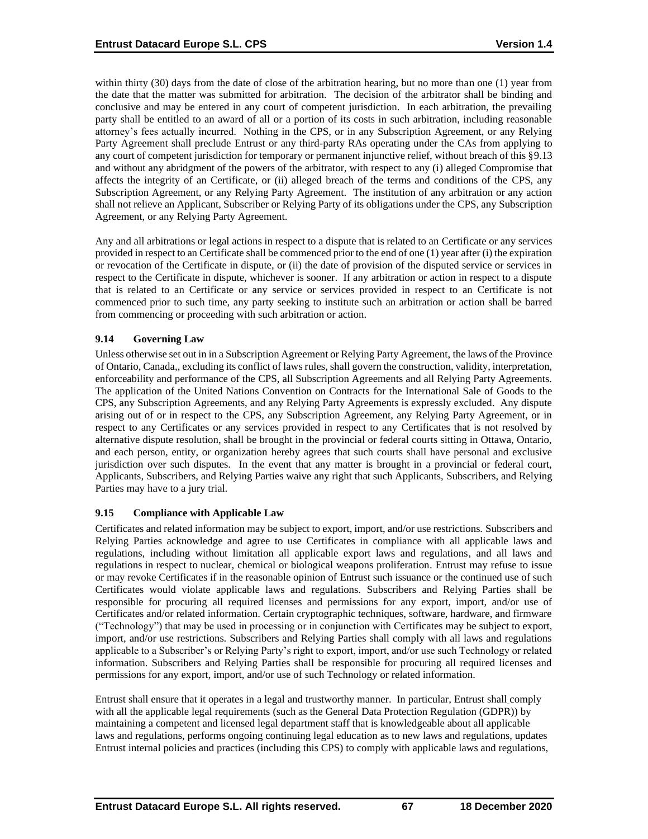within thirty (30) days from the date of close of the arbitration hearing, but no more than one (1) year from the date that the matter was submitted for arbitration. The decision of the arbitrator shall be binding and conclusive and may be entered in any court of competent jurisdiction. In each arbitration, the prevailing party shall be entitled to an award of all or a portion of its costs in such arbitration, including reasonable attorney's fees actually incurred. Nothing in the CPS, or in any Subscription Agreement, or any Relying Party Agreement shall preclude Entrust or any third-party RAs operating under the CAs from applying to any court of competent jurisdiction for temporary or permanent injunctive relief, without breach of this §9.13 and without any abridgment of the powers of the arbitrator, with respect to any (i) alleged Compromise that affects the integrity of an Certificate, or (ii) alleged breach of the terms and conditions of the CPS, any Subscription Agreement, or any Relying Party Agreement. The institution of any arbitration or any action shall not relieve an Applicant, Subscriber or Relying Party of its obligations under the CPS, any Subscription Agreement, or any Relying Party Agreement.

Any and all arbitrations or legal actions in respect to a dispute that is related to an Certificate or any services provided in respect to an Certificate shall be commenced prior to the end of one (1) year after (i) the expiration or revocation of the Certificate in dispute, or (ii) the date of provision of the disputed service or services in respect to the Certificate in dispute, whichever is sooner. If any arbitration or action in respect to a dispute that is related to an Certificate or any service or services provided in respect to an Certificate is not commenced prior to such time, any party seeking to institute such an arbitration or action shall be barred from commencing or proceeding with such arbitration or action.

## **9.14 Governing Law**

Unless otherwise set out in in a Subscription Agreement or Relying Party Agreement, the laws of the Province of Ontario, Canada,, excluding its conflict of laws rules, shall govern the construction, validity, interpretation, enforceability and performance of the CPS, all Subscription Agreements and all Relying Party Agreements. The application of the United Nations Convention on Contracts for the International Sale of Goods to the CPS, any Subscription Agreements, and any Relying Party Agreements is expressly excluded. Any dispute arising out of or in respect to the CPS, any Subscription Agreement, any Relying Party Agreement, or in respect to any Certificates or any services provided in respect to any Certificates that is not resolved by alternative dispute resolution, shall be brought in the provincial or federal courts sitting in Ottawa, Ontario, and each person, entity, or organization hereby agrees that such courts shall have personal and exclusive jurisdiction over such disputes. In the event that any matter is brought in a provincial or federal court, Applicants, Subscribers, and Relying Parties waive any right that such Applicants, Subscribers, and Relying Parties may have to a jury trial.

#### **9.15 Compliance with Applicable Law**

Certificates and related information may be subject to export, import, and/or use restrictions. Subscribers and Relying Parties acknowledge and agree to use Certificates in compliance with all applicable laws and regulations, including without limitation all applicable export laws and regulations, and all laws and regulations in respect to nuclear, chemical or biological weapons proliferation. Entrust may refuse to issue or may revoke Certificates if in the reasonable opinion of Entrust such issuance or the continued use of such Certificates would violate applicable laws and regulations. Subscribers and Relying Parties shall be responsible for procuring all required licenses and permissions for any export, import, and/or use of Certificates and/or related information. Certain cryptographic techniques, software, hardware, and firmware ("Technology") that may be used in processing or in conjunction with Certificates may be subject to export, import, and/or use restrictions. Subscribers and Relying Parties shall comply with all laws and regulations applicable to a Subscriber's or Relying Party's right to export, import, and/or use such Technology or related information. Subscribers and Relying Parties shall be responsible for procuring all required licenses and permissions for any export, import, and/or use of such Technology or related information.

Entrust shall ensure that it operates in a legal and trustworthy manner. In particular, Entrust shall comply with all the applicable legal requirements (such as the General Data Protection Regulation (GDPR)) by maintaining a competent and licensed legal department staff that is knowledgeable about all applicable laws and regulations, performs ongoing continuing legal education as to new laws and regulations, updates Entrust internal policies and practices (including this CPS) to comply with applicable laws and regulations,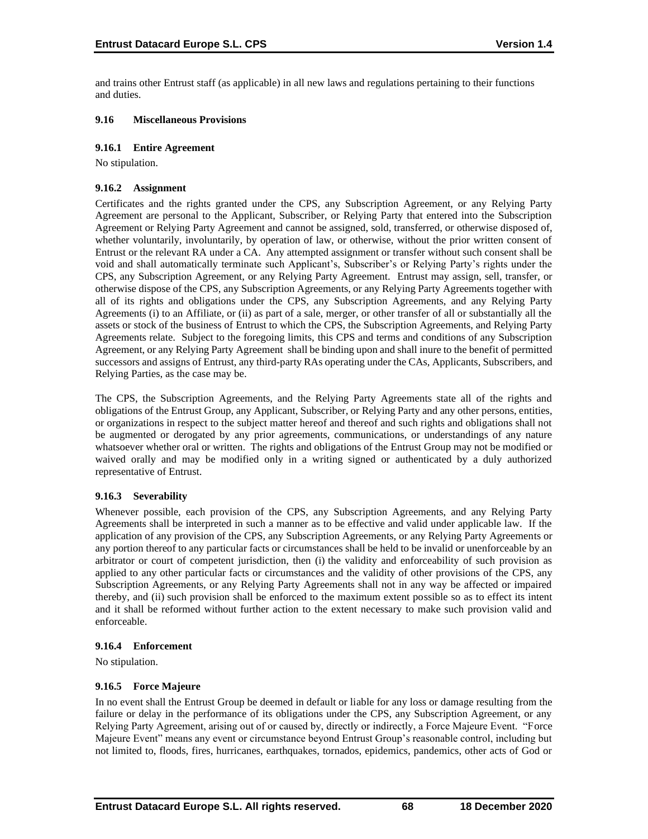and trains other Entrust staff (as applicable) in all new laws and regulations pertaining to their functions and duties.

#### **9.16 Miscellaneous Provisions**

#### **9.16.1 Entire Agreement**

No stipulation.

#### **9.16.2 Assignment**

Certificates and the rights granted under the CPS, any Subscription Agreement, or any Relying Party Agreement are personal to the Applicant, Subscriber, or Relying Party that entered into the Subscription Agreement or Relying Party Agreement and cannot be assigned, sold, transferred, or otherwise disposed of, whether voluntarily, involuntarily, by operation of law, or otherwise, without the prior written consent of Entrust or the relevant RA under a CA. Any attempted assignment or transfer without such consent shall be void and shall automatically terminate such Applicant's, Subscriber's or Relying Party's rights under the CPS, any Subscription Agreement, or any Relying Party Agreement. Entrust may assign, sell, transfer, or otherwise dispose of the CPS, any Subscription Agreements, or any Relying Party Agreements together with all of its rights and obligations under the CPS, any Subscription Agreements, and any Relying Party Agreements (i) to an Affiliate, or (ii) as part of a sale, merger, or other transfer of all or substantially all the assets or stock of the business of Entrust to which the CPS, the Subscription Agreements, and Relying Party Agreements relate. Subject to the foregoing limits, this CPS and terms and conditions of any Subscription Agreement, or any Relying Party Agreement shall be binding upon and shall inure to the benefit of permitted successors and assigns of Entrust, any third-party RAs operating under the CAs, Applicants, Subscribers, and Relying Parties, as the case may be.

The CPS, the Subscription Agreements, and the Relying Party Agreements state all of the rights and obligations of the Entrust Group, any Applicant, Subscriber, or Relying Party and any other persons, entities, or organizations in respect to the subject matter hereof and thereof and such rights and obligations shall not be augmented or derogated by any prior agreements, communications, or understandings of any nature whatsoever whether oral or written. The rights and obligations of the Entrust Group may not be modified or waived orally and may be modified only in a writing signed or authenticated by a duly authorized representative of Entrust.

## **9.16.3 Severability**

Whenever possible, each provision of the CPS, any Subscription Agreements, and any Relying Party Agreements shall be interpreted in such a manner as to be effective and valid under applicable law. If the application of any provision of the CPS, any Subscription Agreements, or any Relying Party Agreements or any portion thereof to any particular facts or circumstances shall be held to be invalid or unenforceable by an arbitrator or court of competent jurisdiction, then (i) the validity and enforceability of such provision as applied to any other particular facts or circumstances and the validity of other provisions of the CPS, any Subscription Agreements, or any Relying Party Agreements shall not in any way be affected or impaired thereby, and (ii) such provision shall be enforced to the maximum extent possible so as to effect its intent and it shall be reformed without further action to the extent necessary to make such provision valid and enforceable.

#### **9.16.4 Enforcement**

No stipulation.

## **9.16.5 Force Majeure**

In no event shall the Entrust Group be deemed in default or liable for any loss or damage resulting from the failure or delay in the performance of its obligations under the CPS, any Subscription Agreement, or any Relying Party Agreement, arising out of or caused by, directly or indirectly, a Force Majeure Event. "Force Majeure Event" means any event or circumstance beyond Entrust Group's reasonable control, including but not limited to, floods, fires, hurricanes, earthquakes, tornados, epidemics, pandemics, other acts of God or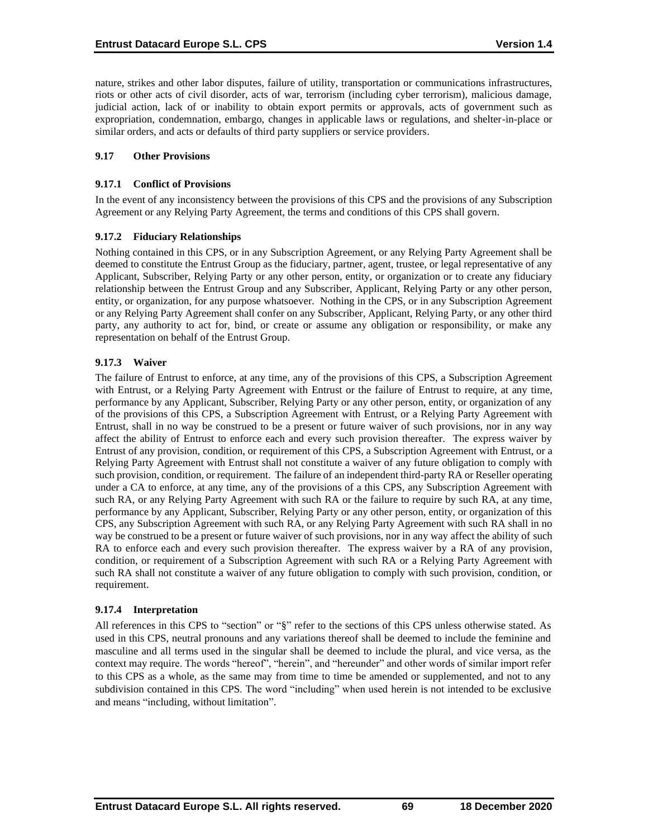nature, strikes and other labor disputes, failure of utility, transportation or communications infrastructures, riots or other acts of civil disorder, acts of war, terrorism (including cyber terrorism), malicious damage, judicial action, lack of or inability to obtain export permits or approvals, acts of government such as expropriation, condemnation, embargo, changes in applicable laws or regulations, and shelter-in-place or similar orders, and acts or defaults of third party suppliers or service providers.

#### **9.17 Other Provisions**

#### **9.17.1 Conflict of Provisions**

In the event of any inconsistency between the provisions of this CPS and the provisions of any Subscription Agreement or any Relying Party Agreement, the terms and conditions of this CPS shall govern.

#### **9.17.2 Fiduciary Relationships**

Nothing contained in this CPS, or in any Subscription Agreement, or any Relying Party Agreement shall be deemed to constitute the Entrust Group as the fiduciary, partner, agent, trustee, or legal representative of any Applicant, Subscriber, Relying Party or any other person, entity, or organization or to create any fiduciary relationship between the Entrust Group and any Subscriber, Applicant, Relying Party or any other person, entity, or organization, for any purpose whatsoever. Nothing in the CPS, or in any Subscription Agreement or any Relying Party Agreement shall confer on any Subscriber, Applicant, Relying Party, or any other third party, any authority to act for, bind, or create or assume any obligation or responsibility, or make any representation on behalf of the Entrust Group.

## **9.17.3 Waiver**

The failure of Entrust to enforce, at any time, any of the provisions of this CPS, a Subscription Agreement with Entrust, or a Relying Party Agreement with Entrust or the failure of Entrust to require, at any time, performance by any Applicant, Subscriber, Relying Party or any other person, entity, or organization of any of the provisions of this CPS, a Subscription Agreement with Entrust, or a Relying Party Agreement with Entrust, shall in no way be construed to be a present or future waiver of such provisions, nor in any way affect the ability of Entrust to enforce each and every such provision thereafter. The express waiver by Entrust of any provision, condition, or requirement of this CPS, a Subscription Agreement with Entrust, or a Relying Party Agreement with Entrust shall not constitute a waiver of any future obligation to comply with such provision, condition, or requirement. The failure of an independent third-party RA or Reseller operating under a CA to enforce, at any time, any of the provisions of a this CPS, any Subscription Agreement with such RA, or any Relying Party Agreement with such RA or the failure to require by such RA, at any time, performance by any Applicant, Subscriber, Relying Party or any other person, entity, or organization of this CPS, any Subscription Agreement with such RA, or any Relying Party Agreement with such RA shall in no way be construed to be a present or future waiver of such provisions, nor in any way affect the ability of such RA to enforce each and every such provision thereafter. The express waiver by a RA of any provision, condition, or requirement of a Subscription Agreement with such RA or a Relying Party Agreement with such RA shall not constitute a waiver of any future obligation to comply with such provision, condition, or requirement.

#### **9.17.4 Interpretation**

All references in this CPS to "section" or "§" refer to the sections of this CPS unless otherwise stated. As used in this CPS, neutral pronouns and any variations thereof shall be deemed to include the feminine and masculine and all terms used in the singular shall be deemed to include the plural, and vice versa, as the context may require. The words "hereof", "herein", and "hereunder" and other words of similar import refer to this CPS as a whole, as the same may from time to time be amended or supplemented, and not to any subdivision contained in this CPS. The word "including" when used herein is not intended to be exclusive and means "including, without limitation".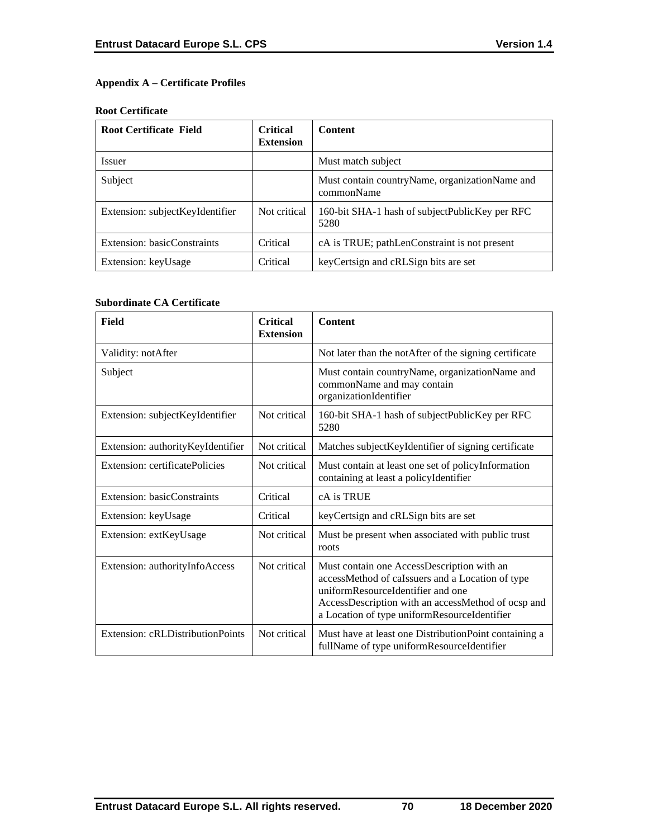# **Appendix A – Certificate Profiles**

#### **Root Certificate**

| <b>Root Certificate Field</b>   | <b>Critical</b><br><b>Extension</b> | <b>Content</b>                                                 |
|---------------------------------|-------------------------------------|----------------------------------------------------------------|
| <b>Issuer</b>                   |                                     | Must match subject                                             |
| Subject                         |                                     | Must contain country Name, organization Name and<br>commonName |
| Extension: subjectKeyIdentifier | Not critical                        | 160-bit SHA-1 hash of subject Public Key per RFC<br>5280       |
| Extension: basicConstraints     | Critical                            | cA is TRUE; pathLenConstraint is not present                   |
| Extension: keyUsage             | Critical                            | key Certsign and cRLSign bits are set                          |

#### **Subordinate CA Certificate**

| Field                             | <b>Critical</b><br><b>Extension</b> | <b>Content</b>                                                                                                                                                                                                                            |
|-----------------------------------|-------------------------------------|-------------------------------------------------------------------------------------------------------------------------------------------------------------------------------------------------------------------------------------------|
| Validity: notAfter                |                                     | Not later than the notAfter of the signing certificate                                                                                                                                                                                    |
| Subject                           |                                     | Must contain countryName, organizationName and<br>commonName and may contain<br>organizationIdentifier                                                                                                                                    |
| Extension: subjectKeyIdentifier   | Not critical                        | 160-bit SHA-1 hash of subjectPublicKey per RFC<br>5280                                                                                                                                                                                    |
| Extension: authorityKeyIdentifier | Not critical                        | Matches subject KeyIdentifier of signing certificate                                                                                                                                                                                      |
| Extension: certificatePolicies    | Not critical                        | Must contain at least one set of policyInformation<br>containing at least a policyIdentifier                                                                                                                                              |
| Extension: basicConstraints       | Critical                            | cA is TRUE                                                                                                                                                                                                                                |
| Extension: keyUsage               | Critical                            | keyCertsign and cRLSign bits are set                                                                                                                                                                                                      |
| Extension: extKeyUsage            | Not critical                        | Must be present when associated with public trust<br>roots                                                                                                                                                                                |
| Extension: authorityInfoAccess    | Not critical                        | Must contain one AccessDescription with an<br>accessMethod of caIssuers and a Location of type<br>uniformResourceIdentifier and one<br>AccessDescription with an accessMethod of ocsp and<br>a Location of type uniformResourceIdentifier |
| Extension: cRLDistributionPoints  | Not critical                        | Must have at least one DistributionPoint containing a<br>fullName of type uniformResourceIdentifier                                                                                                                                       |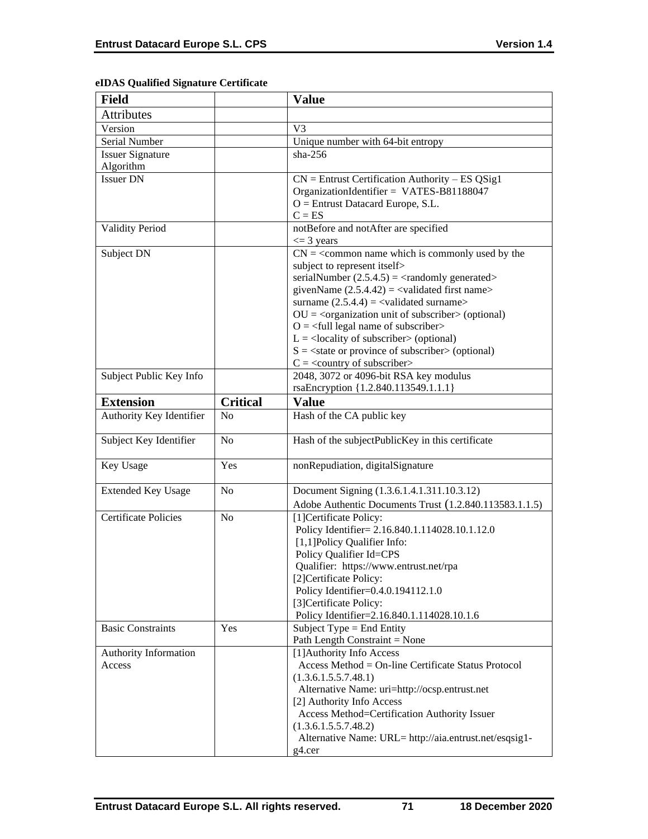| eIDAS Qualified Signature Certificate |  |  |
|---------------------------------------|--|--|
|---------------------------------------|--|--|

| <b>Field</b>                |                 | <b>Value</b>                                                                                             |
|-----------------------------|-----------------|----------------------------------------------------------------------------------------------------------|
| <b>Attributes</b>           |                 |                                                                                                          |
| Version                     |                 | V <sub>3</sub>                                                                                           |
| Serial Number               |                 | Unique number with 64-bit entropy                                                                        |
| <b>Issuer Signature</b>     |                 | $sha-256$                                                                                                |
| Algorithm                   |                 |                                                                                                          |
| <b>Issuer DN</b>            |                 | $CN =$ Entrust Certification Authority – ES QSig1                                                        |
|                             |                 | OrganizationIdentifier = VATES-B81188047                                                                 |
|                             |                 | $O =$ Entrust Datacard Europe, S.L.                                                                      |
|                             |                 | $C = ES$                                                                                                 |
| <b>Validity Period</b>      |                 | notBefore and notAfter are specified                                                                     |
|                             |                 | $\leq$ 3 years                                                                                           |
| Subject DN                  |                 | $CN =$ < common name which is commonly used by the                                                       |
|                             |                 | subject to represent itself>                                                                             |
|                             |                 | serialNumber $(2.5.4.5) = \langle$ randomly generated>                                                   |
|                             |                 | givenName $(2.5.4.42) = \langle$ validated first name>                                                   |
|                             |                 | surname $(2.5.4.4) = \text{{{-}zaldated surname}}$                                                       |
|                             |                 | $OU = corganization unit of subscripter > (optional)$                                                    |
|                             |                 | $O = \left\langle \text{full legal name of subscripter} \right\rangle$                                   |
|                             |                 | $L =$ <locality of="" subscriber=""> (optional)</locality>                                               |
|                             |                 | $S = \text{state or province of subscriber} > \text{(optional)}$<br>$C = \langle$ country of subscriber> |
| Subject Public Key Info     |                 | 2048, 3072 or 4096-bit RSA key modulus                                                                   |
|                             |                 | rsaEncryption {1.2.840.113549.1.1.1}                                                                     |
| <b>Extension</b>            | <b>Critical</b> | <b>Value</b>                                                                                             |
|                             | No              |                                                                                                          |
| Authority Key Identifier    |                 | Hash of the CA public key                                                                                |
| Subject Key Identifier      | N <sub>o</sub>  | Hash of the subjectPublicKey in this certificate                                                         |
| Key Usage                   | Yes             | nonRepudiation, digitalSignature                                                                         |
| <b>Extended Key Usage</b>   | N <sub>o</sub>  | Document Signing (1.3.6.1.4.1.311.10.3.12)                                                               |
|                             |                 | Adobe Authentic Documents Trust (1.2.840.113583.1.1.5)                                                   |
| <b>Certificate Policies</b> | No              | [1]Certificate Policy:                                                                                   |
|                             |                 | Policy Identifier= 2.16.840.1.114028.10.1.12.0                                                           |
|                             |                 | [1,1]Policy Qualifier Info:                                                                              |
|                             |                 | Policy Qualifier Id=CPS                                                                                  |
|                             |                 | Qualifier: https://www.entrust.net/rpa                                                                   |
|                             |                 | [2]Certificate Policy:                                                                                   |
|                             |                 | Policy Identifier=0.4.0.194112.1.0                                                                       |
|                             |                 | [3] Certificate Policy:                                                                                  |
|                             |                 | Policy Identifier=2.16.840.1.114028.10.1.6                                                               |
| <b>Basic Constraints</b>    | Yes             | Subject Type = End Entity<br>Path Length Constraint = None                                               |
| Authority Information       |                 | [1] Authority Info Access                                                                                |
| Access                      |                 | Access Method = On-line Certificate Status Protocol                                                      |
|                             |                 | (1.3.6.1.5.5.7.48.1)                                                                                     |
|                             |                 | Alternative Name: uri=http://ocsp.entrust.net                                                            |
|                             |                 | [2] Authority Info Access                                                                                |
|                             |                 | Access Method=Certification Authority Issuer                                                             |
|                             |                 | (1.3.6.1.5.5.7.48.2)                                                                                     |
|                             |                 | Alternative Name: URL= http://aia.entrust.net/esqsig1-                                                   |
|                             |                 | g4.cer                                                                                                   |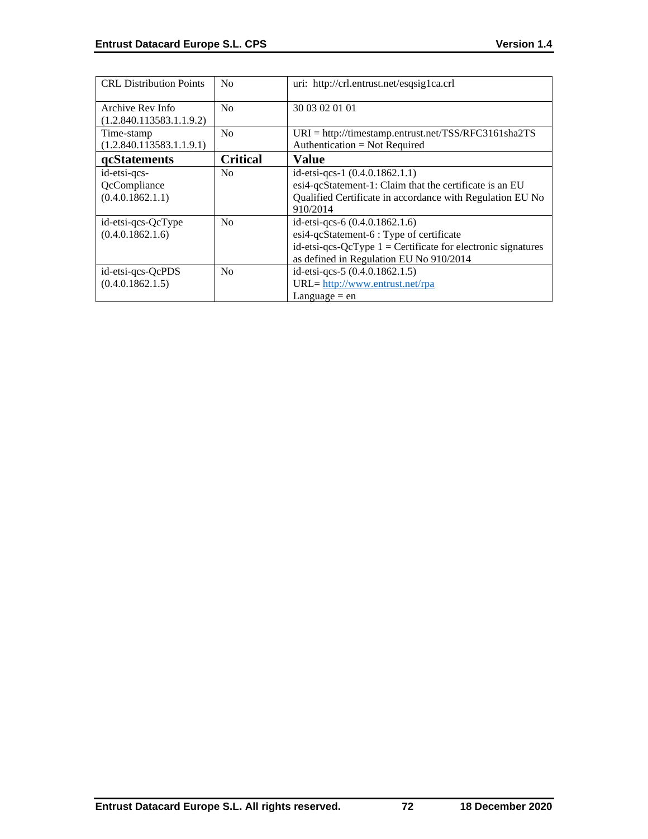| <b>CRL</b> Distribution Points                   | N <sub>0</sub>  | uri: http://crl.entrust.net/esqsig1ca.crl                                                                                                                                               |
|--------------------------------------------------|-----------------|-----------------------------------------------------------------------------------------------------------------------------------------------------------------------------------------|
| Archive Rev Info<br>(1.2.840.113583.1.1.9.2)     | N <sub>0</sub>  | 30 03 02 01 01                                                                                                                                                                          |
| Time-stamp<br>(1.2.840.113583.1.1.9.1)           | No              | $URI = \frac{http://timestamp.entrust.net/TSS/RFC3161sha2TS}{$<br>Authentication = Not Required                                                                                         |
| <b>gcStatements</b>                              | <b>Critical</b> | Value                                                                                                                                                                                   |
| id-etsi-qcs-<br>QcCompliance<br>(0.4.0.1862.1.1) | N <sub>0</sub>  | id-etsi-qcs-1 $(0.4.0.1862.1.1)$<br>esi4-qcStatement-1: Claim that the certificate is an EU<br>Qualified Certificate in accordance with Regulation EU No<br>910/2014                    |
| id-etsi-qcs-QcType<br>(0.4.0.1862.1.6)           | N <sub>0</sub>  | id-etsi-qcs-6 (0.4.0.1862.1.6)<br>esi4-qcStatement-6 : Type of certificate<br>id-etsi-qcs-QcType $1 =$ Certificate for electronic signatures<br>as defined in Regulation EU No 910/2014 |
| id-etsi-qcs-QcPDS<br>(0.4.0.1862.1.5)            | N <sub>0</sub>  | id-etsi-qcs-5 (0.4.0.1862.1.5)<br>URL= http://www.entrust.net/rpa<br>Language $=$ en                                                                                                    |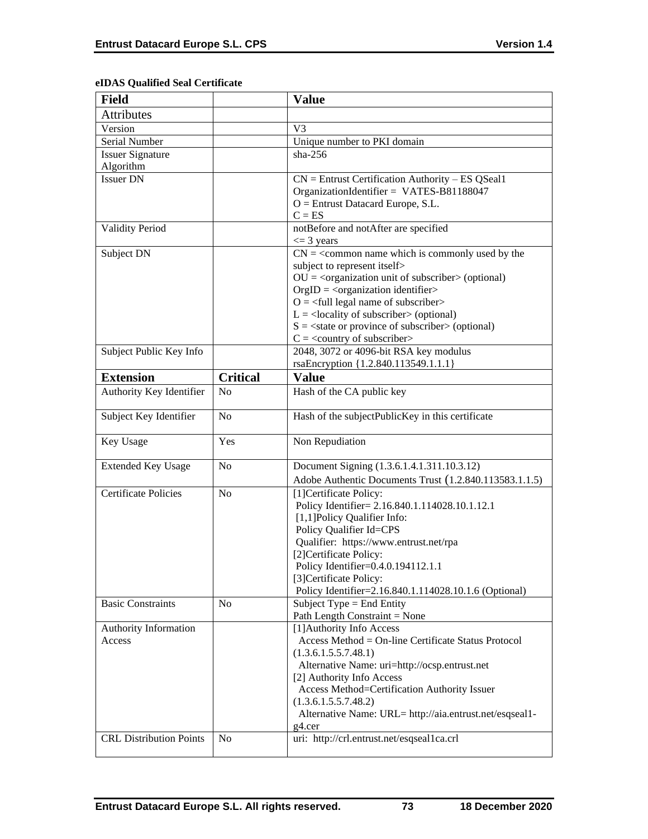# **eIDAS Qualified Seal Certificate**

| <b>Field</b>                   |                 | <b>Value</b>                                                                       |
|--------------------------------|-----------------|------------------------------------------------------------------------------------|
| <b>Attributes</b>              |                 |                                                                                    |
| Version                        |                 | V <sub>3</sub>                                                                     |
| Serial Number                  |                 | Unique number to PKI domain                                                        |
| Issuer Signature               |                 | $sha-256$                                                                          |
| Algorithm                      |                 |                                                                                    |
| <b>Issuer DN</b>               |                 | $CN =$ Entrust Certification Authority – ES QSeal1                                 |
|                                |                 | OrganizationIdentifier = VATES-B81188047                                           |
|                                |                 | O = Entrust Datacard Europe, S.L.                                                  |
|                                |                 | $C = ES$                                                                           |
| <b>Validity Period</b>         |                 | notBefore and notAfter are specified                                               |
|                                |                 | $\leq$ 3 years                                                                     |
| Subject DN                     |                 | $CN =$ < common name which is commonly used by the<br>subject to represent itself> |
|                                |                 | $OU = corganization unit of subscripter > (optional)$                              |
|                                |                 | $OrgID = <$ organization identifier>                                               |
|                                |                 | $O = \frac{1}{2}$ legal name of subscriber                                         |
|                                |                 | $L =$ <locality of="" subscriber=""> (optional)</locality>                         |
|                                |                 | $S = \text{state or province of subscriber} > \text{(optional)}$                   |
|                                |                 | $C = \langle$ country of subscriber>                                               |
| Subject Public Key Info        |                 | 2048, 3072 or 4096-bit RSA key modulus                                             |
|                                |                 | rsaEncryption {1.2.840.113549.1.1.1}                                               |
| <b>Extension</b>               | <b>Critical</b> | <b>Value</b>                                                                       |
| Authority Key Identifier       | N <sub>o</sub>  | Hash of the CA public key                                                          |
| Subject Key Identifier         | N <sub>o</sub>  | Hash of the subjectPublicKey in this certificate                                   |
| Key Usage                      | Yes             | Non Repudiation                                                                    |
| <b>Extended Key Usage</b>      | N <sub>o</sub>  | Document Signing (1.3.6.1.4.1.311.10.3.12)                                         |
|                                |                 | Adobe Authentic Documents Trust (1.2.840.113583.1.1.5)                             |
| <b>Certificate Policies</b>    | N <sub>0</sub>  | [1] Certificate Policy:                                                            |
|                                |                 | Policy Identifier= 2.16.840.1.114028.10.1.12.1                                     |
|                                |                 | [1,1] Policy Qualifier Info:                                                       |
|                                |                 | Policy Qualifier Id=CPS                                                            |
|                                |                 | Qualifier: https://www.entrust.net/rpa                                             |
|                                |                 | [2]Certificate Policy:                                                             |
|                                |                 | Policy Identifier=0.4.0.194112.1.1                                                 |
|                                |                 | [3] Certificate Policy:                                                            |
|                                |                 | Policy Identifier=2.16.840.1.114028.10.1.6 (Optional)                              |
| <b>Basic Constraints</b>       | N <sub>0</sub>  | Subject Type = End Entity                                                          |
|                                |                 | Path Length Constraint = None                                                      |
| Authority Information          |                 | [1] Authority Info Access                                                          |
| Access                         |                 | Access Method = On-line Certificate Status Protocol                                |
|                                |                 | (1.3.6.1.5.5.7.48.1)                                                               |
|                                |                 | Alternative Name: uri=http://ocsp.entrust.net                                      |
|                                |                 | [2] Authority Info Access<br>Access Method=Certification Authority Issuer          |
|                                |                 | (1.3.6.1.5.5.7.48.2)                                                               |
|                                |                 | Alternative Name: URL= http://aia.entrust.net/esqseal1-                            |
|                                |                 | g4.cer                                                                             |
| <b>CRL Distribution Points</b> | N <sub>0</sub>  | uri: http://crl.entrust.net/esqseal1ca.crl                                         |
|                                |                 |                                                                                    |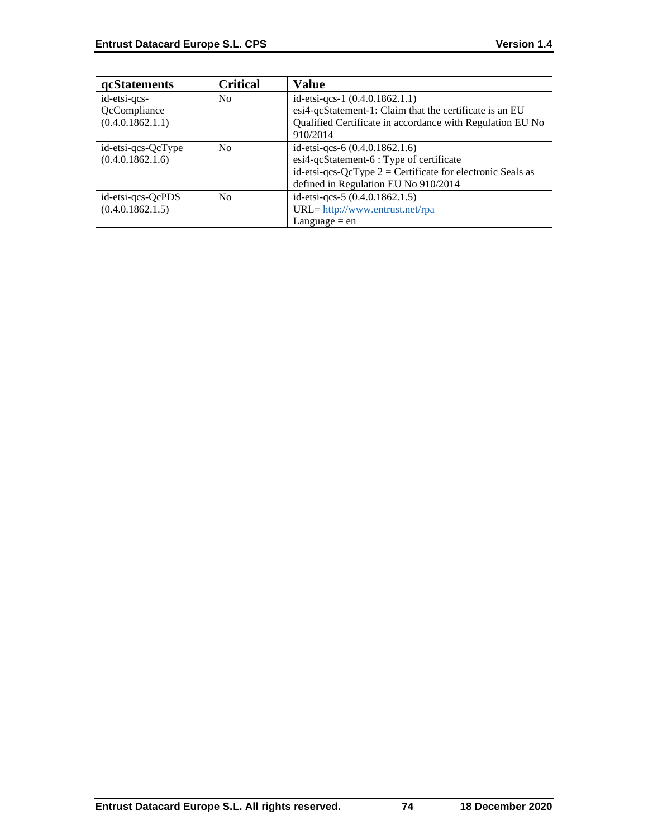| <b>qcStatements</b> | <b>Critical</b> | Value                                                        |
|---------------------|-----------------|--------------------------------------------------------------|
| id-etsi-qcs-        | N <sub>0</sub>  | id-etsi-qcs-1 $(0.4.0.1862.1.1)$                             |
| QcCompliance        |                 | esi4-qcStatement-1: Claim that the certificate is an EU      |
| (0.4.0.1862.1.1)    |                 | Qualified Certificate in accordance with Regulation EU No    |
|                     |                 | 910/2014                                                     |
| id-etsi-qcs-QcType  | N <sub>0</sub>  | id-etsi-qcs-6 $(0.4.0.1862.1.6)$                             |
| (0.4.0.1862.1.6)    |                 | esi4-qcStatement-6 : Type of certificate                     |
|                     |                 | id-etsi-qcs-QcType $2$ = Certificate for electronic Seals as |
|                     |                 | defined in Regulation EU No 910/2014                         |
| id-etsi-qcs-QcPDS   | N <sub>0</sub>  | id-etsi-qcs-5 (0.4.0.1862.1.5)                               |
| (0.4.0.1862.1.5)    |                 | URL= http://www.entrust.net/rpa                              |
|                     |                 | $L$ anguage = en                                             |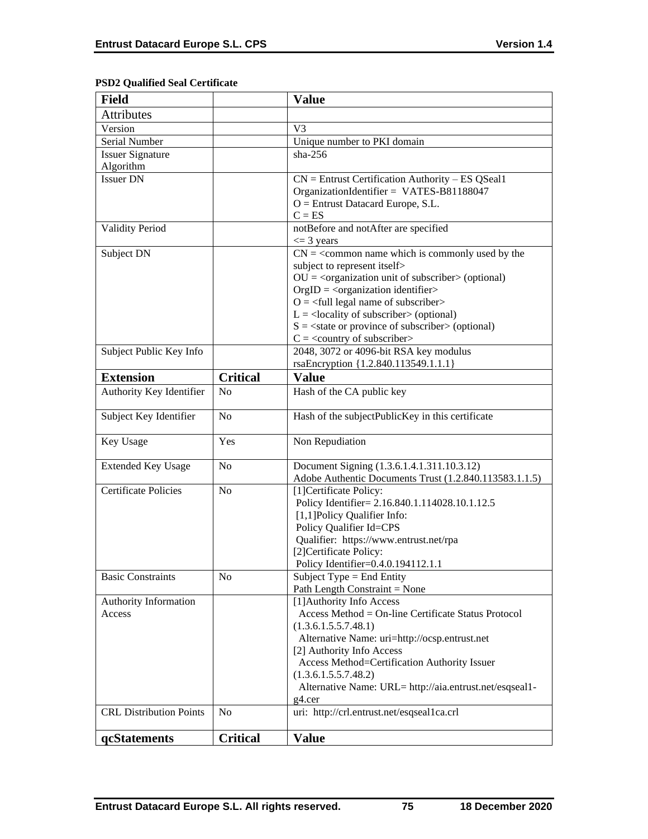# **PSD2 Qualified Seal Certificate**

| <b>Field</b>                   |                 | <b>Value</b>                                                                                                                                  |
|--------------------------------|-----------------|-----------------------------------------------------------------------------------------------------------------------------------------------|
| <b>Attributes</b>              |                 |                                                                                                                                               |
| Version                        |                 | V3                                                                                                                                            |
| Serial Number                  |                 | Unique number to PKI domain                                                                                                                   |
| <b>Issuer Signature</b>        |                 | $sha-256$                                                                                                                                     |
| Algorithm                      |                 |                                                                                                                                               |
| <b>Issuer DN</b>               |                 | $CN =$ Entrust Certification Authority – ES QSeal1                                                                                            |
|                                |                 | OrganizationIdentifier = VATES-B81188047                                                                                                      |
|                                |                 | $O =$ Entrust Datacard Europe, S.L.                                                                                                           |
|                                |                 | $C = ES$                                                                                                                                      |
| <b>Validity Period</b>         |                 | notBefore and notAfter are specified                                                                                                          |
|                                |                 | $\leq$ 3 years                                                                                                                                |
| Subject DN                     |                 | $CN =$ < common name which is commonly used by the                                                                                            |
|                                |                 | subject to represent itself>                                                                                                                  |
|                                |                 | $OU = corganization unit of subscripter > (optional)$                                                                                         |
|                                |                 | $OrgID = <$ organization identifier>                                                                                                          |
|                                |                 | $O = \frac{1}{2}$ legal name of subscriber                                                                                                    |
|                                |                 | $L =$ <locality of="" subscriber=""> (optional)<br/><math>S = \text{state or province of subscriber} &gt; \text{(optional)}</math></locality> |
|                                |                 | $C = \langle$ country of subscriber>                                                                                                          |
| Subject Public Key Info        |                 | 2048, 3072 or 4096-bit RSA key modulus                                                                                                        |
|                                |                 | rsaEncryption {1.2.840.113549.1.1.1}                                                                                                          |
| <b>Extension</b>               | <b>Critical</b> | <b>Value</b>                                                                                                                                  |
|                                | N <sub>o</sub>  |                                                                                                                                               |
| Authority Key Identifier       |                 | Hash of the CA public key                                                                                                                     |
| Subject Key Identifier         | No              | Hash of the subjectPublicKey in this certificate                                                                                              |
| Key Usage                      | Yes             | Non Repudiation                                                                                                                               |
| <b>Extended Key Usage</b>      | N <sub>0</sub>  | Document Signing (1.3.6.1.4.1.311.10.3.12)                                                                                                    |
|                                |                 | Adobe Authentic Documents Trust (1.2.840.113583.1.1.5)                                                                                        |
| <b>Certificate Policies</b>    | N <sub>o</sub>  | [1] Certificate Policy:                                                                                                                       |
|                                |                 | Policy Identifier= 2.16.840.1.114028.10.1.12.5                                                                                                |
|                                |                 | [1,1]Policy Qualifier Info:                                                                                                                   |
|                                |                 | Policy Qualifier Id=CPS                                                                                                                       |
|                                |                 | Qualifier: https://www.entrust.net/rpa<br>[2]Certificate Policy:                                                                              |
|                                |                 | Policy Identifier=0.4.0.194112.1.1                                                                                                            |
| <b>Basic Constraints</b>       | N <sub>0</sub>  | Subject Type = End Entity                                                                                                                     |
|                                |                 | Path Length Constraint = None                                                                                                                 |
| Authority Information          |                 | [1] Authority Info Access                                                                                                                     |
| Access                         |                 | Access Method = On-line Certificate Status Protocol                                                                                           |
|                                |                 | (1.3.6.1.5.5.7.48.1)                                                                                                                          |
|                                |                 | Alternative Name: uri=http://ocsp.entrust.net                                                                                                 |
|                                |                 | [2] Authority Info Access                                                                                                                     |
|                                |                 | Access Method=Certification Authority Issuer                                                                                                  |
|                                |                 | (1.3.6.1.5.5.7.48.2)                                                                                                                          |
|                                |                 | Alternative Name: URL= http://aia.entrust.net/esqseal1-                                                                                       |
|                                |                 | $g4.$ cer                                                                                                                                     |
| <b>CRL Distribution Points</b> | N <sub>0</sub>  | uri: http://crl.entrust.net/esqseal1ca.crl                                                                                                    |
| qcStatements                   | <b>Critical</b> | <b>Value</b>                                                                                                                                  |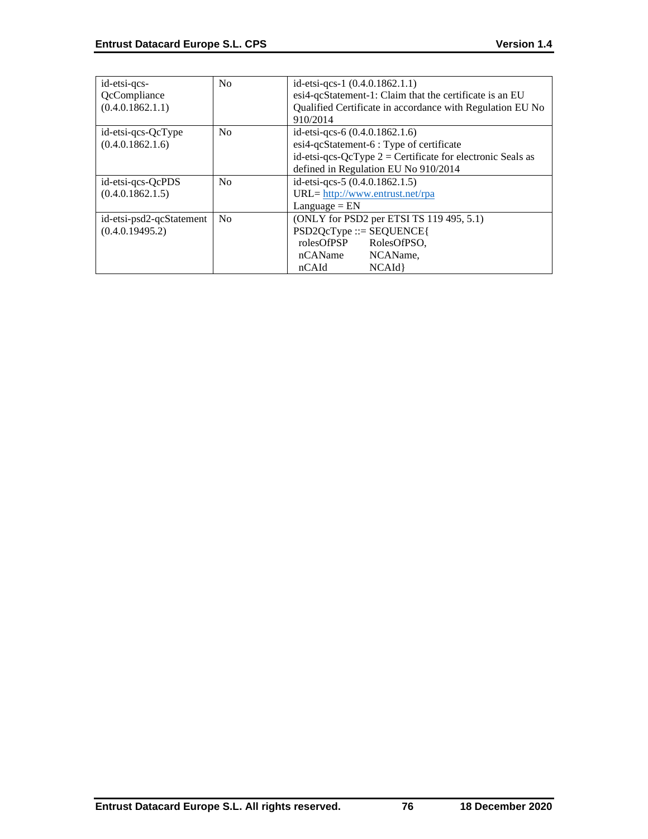| id-etsi-qcs-             | N <sub>0</sub> | id-etsi-qcs-1 (0.4.0.1862.1.1)                               |
|--------------------------|----------------|--------------------------------------------------------------|
| QcCompliance             |                | esi4-qcStatement-1: Claim that the certificate is an EU      |
| (0.4.0.1862.1.1)         |                | Qualified Certificate in accordance with Regulation EU No    |
|                          |                | 910/2014                                                     |
| id-etsi-qcs-QcType       | N <sub>o</sub> | id-etsi-qcs-6 $(0.4.0.1862.1.6)$                             |
| (0.4.0.1862.1.6)         |                | esi4-qcStatement-6 : Type of certificate                     |
|                          |                | id-etsi-qcs-QcType $2 =$ Certificate for electronic Seals as |
|                          |                | defined in Regulation EU No 910/2014                         |
| id-etsi-qcs-QcPDS        | No             | id-etsi-qcs-5 (0.4.0.1862.1.5)                               |
| (0.4.0.1862.1.5)         |                | URL= http://www.entrust.net/rpa                              |
|                          |                | $L$ anguage = $EN$                                           |
| id-etsi-psd2-qcStatement | No             | (ONLY for PSD2 per ETSI TS 119 495, 5.1)                     |
| (0.4.0.19495.2)          |                | $PSD2QcType ::= SEQUENCE$                                    |
|                          |                | rolesOfPSP<br>RolesOfPSO.                                    |
|                          |                | nCAName<br>NCAName,                                          |
|                          |                | NCAId<br>nCAId                                               |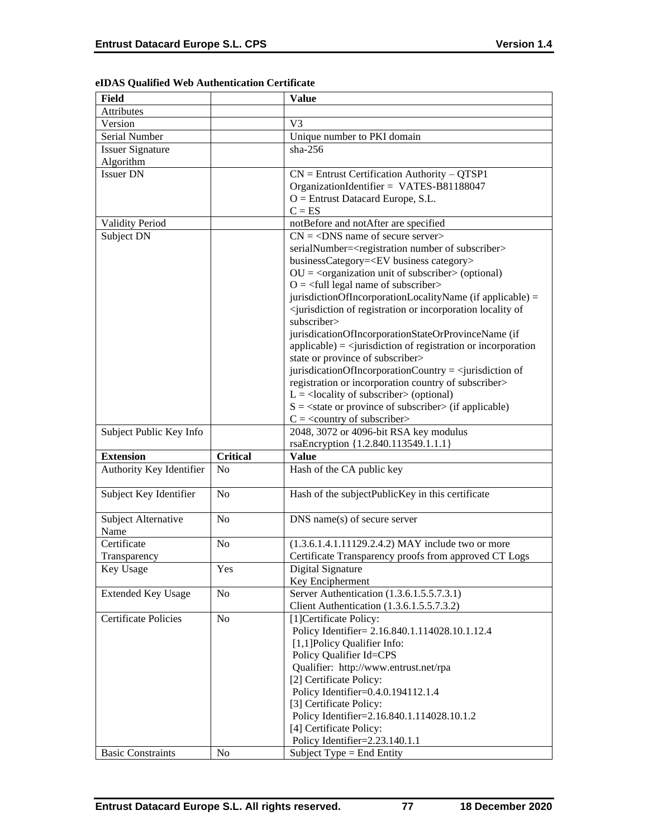| Field                       |                 | <b>Value</b>                                                                                        |
|-----------------------------|-----------------|-----------------------------------------------------------------------------------------------------|
| Attributes                  |                 |                                                                                                     |
| Version                     |                 | V <sub>3</sub>                                                                                      |
| Serial Number               |                 | Unique number to PKI domain                                                                         |
| <b>Issuer Signature</b>     |                 | $sha-256$                                                                                           |
| Algorithm                   |                 |                                                                                                     |
| <b>Issuer DN</b>            |                 | $CN =$ Entrust Certification Authority – QTSP1                                                      |
|                             |                 | OrganizationIdentifier = VATES-B81188047                                                            |
|                             |                 | $O =$ Entrust Datacard Europe, S.L.                                                                 |
|                             |                 | $C = ES$                                                                                            |
| <b>Validity Period</b>      |                 | notBefore and notAfter are specified                                                                |
| Subject DN                  |                 | $CN = <$ DNS name of secure server>                                                                 |
|                             |                 | serialNumber= <registration number="" of="" subscriber=""></registration>                           |
|                             |                 | businessCategory= <ev business="" category=""></ev>                                                 |
|                             |                 | $OU = coequation unit of subscripter > (optional)$                                                  |
|                             |                 | $O = \frac{1}{2}$ legal name of subscriber                                                          |
|                             |                 | jurisdictionOfIncorporationLocalityName (if applicable) =                                           |
|                             |                 | <jurisdiction incorporation="" locality="" of="" of<="" or="" registration="" td=""></jurisdiction> |
|                             |                 | subscriber>                                                                                         |
|                             |                 | jurisdicationOfIncorporationStateOrProvinceName (if                                                 |
|                             |                 | $applicable) = \langle$ jurisdiction of registration or incorporation                               |
|                             |                 | state or province of subscriber>                                                                    |
|                             |                 | jurisdicationOfIncorporationCountry = $\le$ jurisdiction of                                         |
|                             |                 | registration or incorporation country of subscriber>                                                |
|                             |                 | $L =$ <locality of="" subscriber=""> (optional)</locality>                                          |
|                             |                 | $S = \text{state}$ or province of subscriber > (if applicable)                                      |
|                             |                 | $C = \langle$ < country of subscriber>                                                              |
| Subject Public Key Info     |                 | 2048, 3072 or 4096-bit RSA key modulus                                                              |
|                             |                 | rsaEncryption {1.2.840.113549.1.1.1}                                                                |
| <b>Extension</b>            | <b>Critical</b> | <b>Value</b>                                                                                        |
| Authority Key Identifier    | N <sub>o</sub>  | Hash of the CA public key                                                                           |
|                             |                 |                                                                                                     |
| Subject Key Identifier      | N <sub>o</sub>  | Hash of the subjectPublicKey in this certificate                                                    |
|                             |                 |                                                                                                     |
| Subject Alternative         | N <sub>o</sub>  | $DNS$ name(s) of secure server                                                                      |
| Name                        |                 |                                                                                                     |
| Certificate                 | N <sub>o</sub>  | (1.3.6.1.4.1.11129.2.4.2) MAY include two or more                                                   |
| Transparency                |                 | Certificate Transparency proofs from approved CT Logs                                               |
| Key Usage                   | Yes             | Digital Signature                                                                                   |
|                             |                 | Key Encipherment                                                                                    |
| <b>Extended Key Usage</b>   | No              | Server Authentication (1.3.6.1.5.5.7.3.1)                                                           |
|                             |                 | Client Authentication (1.3.6.1.5.5.7.3.2)                                                           |
| <b>Certificate Policies</b> | No              | [1] Certificate Policy:                                                                             |
|                             |                 | Policy Identifier= 2.16.840.1.114028.10.1.12.4                                                      |
|                             |                 | [1,1] Policy Qualifier Info:                                                                        |
|                             |                 | Policy Qualifier Id=CPS                                                                             |
|                             |                 | Qualifier: http://www.entrust.net/rpa                                                               |
|                             |                 |                                                                                                     |
|                             |                 | [2] Certificate Policy:                                                                             |
|                             |                 | Policy Identifier=0.4.0.194112.1.4                                                                  |
|                             |                 | [3] Certificate Policy:                                                                             |
|                             |                 | Policy Identifier=2.16.840.1.114028.10.1.2                                                          |
|                             |                 | [4] Certificate Policy:                                                                             |
| <b>Basic Constraints</b>    | N <sub>0</sub>  | Policy Identifier=2.23.140.1.1<br>Subject Type = End Entity                                         |

## **eIDAS Qualified Web Authentication Certificate**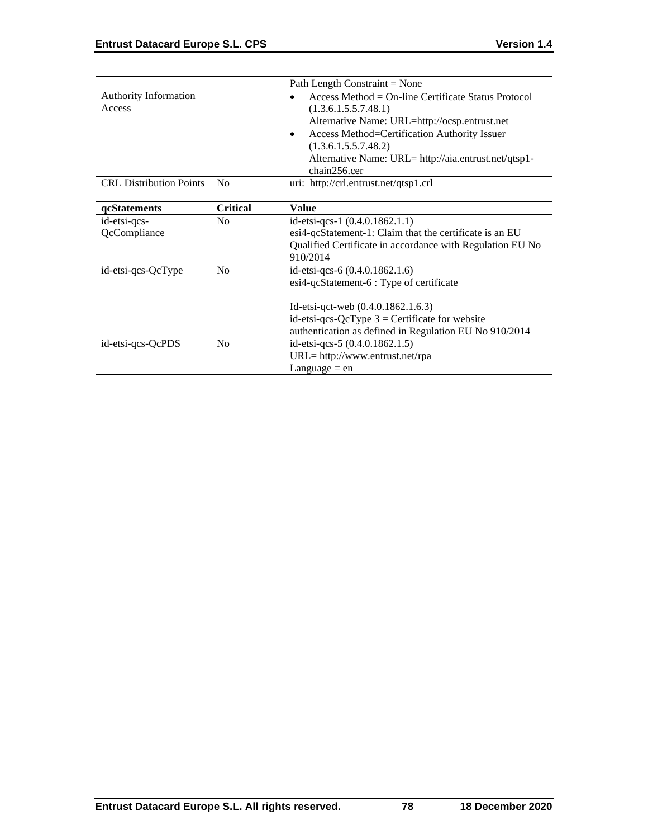|                                |                 | Path Length Constraint = None                             |
|--------------------------------|-----------------|-----------------------------------------------------------|
| <b>Authority Information</b>   |                 | Access Method = $On$ -line Certificate Status Protocol    |
| Access                         |                 | (1.3.6.1.5.5.7.48.1)                                      |
|                                |                 | Alternative Name: URL=http://ocsp.entrust.net             |
|                                |                 | Access Method=Certification Authority Issuer<br>٠         |
|                                |                 | (1.3.6.1.5.5.7.48.2)                                      |
|                                |                 | Alternative Name: URL= http://aia.entrust.net/qtsp1-      |
|                                |                 | chain256.cer                                              |
| <b>CRL Distribution Points</b> | N <sub>o</sub>  | uri: http://crl.entrust.net/qtsp1.crl                     |
|                                |                 |                                                           |
| qcStatements                   | <b>Critical</b> | <b>Value</b>                                              |
| id-etsi-qcs-                   | No              | id-etsi-qcs-1 $(0.4.0.1862.1.1)$                          |
| QcCompliance                   |                 | esi4-qcStatement-1: Claim that the certificate is an EU   |
|                                |                 | Qualified Certificate in accordance with Regulation EU No |
|                                |                 | 910/2014                                                  |
| id-etsi-qcs-QcType             | No              | id-etsi-qcs-6 (0.4.0.1862.1.6)                            |
|                                |                 | esi4-qcStatement-6 : Type of certificate                  |
|                                |                 |                                                           |
|                                |                 | Id-etsi-qct-web $(0.4.0.1862.1.6.3)$                      |
|                                |                 | id-etsi-qcs-QcType $3$ = Certificate for website          |
|                                |                 | authentication as defined in Regulation EU No 910/2014    |
| id-etsi-qcs-QcPDS              | No              | id-etsi-qcs-5 (0.4.0.1862.1.5)                            |
|                                |                 |                                                           |
|                                |                 | URL= http://www.entrust.net/rpa                           |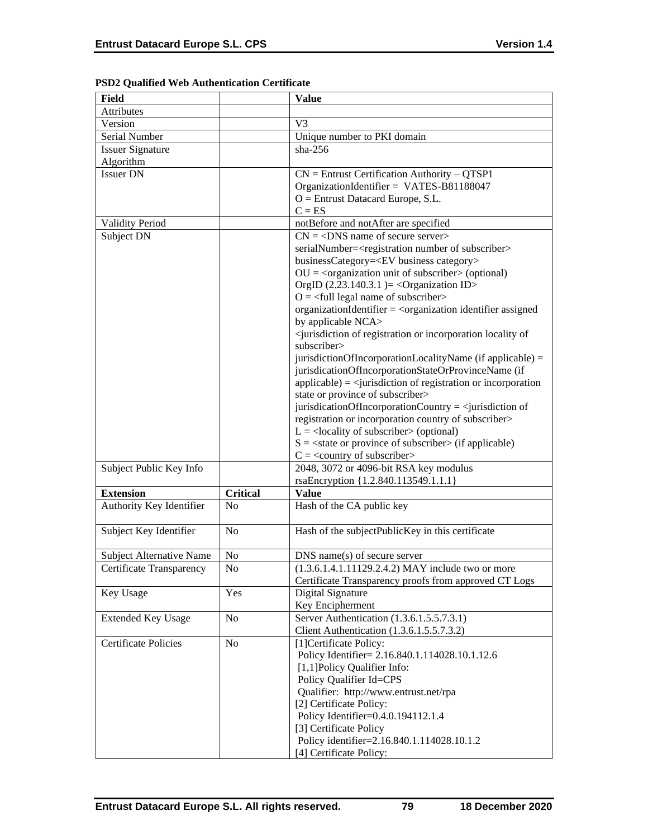| Field                                |                 | <b>Value</b>                                                                                        |
|--------------------------------------|-----------------|-----------------------------------------------------------------------------------------------------|
| Attributes                           |                 |                                                                                                     |
| Version                              |                 | V <sub>3</sub>                                                                                      |
| Serial Number                        |                 | Unique number to PKI domain                                                                         |
|                                      |                 | $sha-256$                                                                                           |
| <b>Issuer Signature</b><br>Algorithm |                 |                                                                                                     |
| <b>Issuer DN</b>                     |                 |                                                                                                     |
|                                      |                 | $CN =$ Entrust Certification Authority – QTSP1                                                      |
|                                      |                 | OrganizationIdentifier = VATES-B81188047                                                            |
|                                      |                 | $O =$ Entrust Datacard Europe, S.L.                                                                 |
|                                      |                 | $C = ES$                                                                                            |
| <b>Validity Period</b>               |                 | notBefore and notAfter are specified                                                                |
| Subject DN                           |                 | $CN = <$ DNS name of secure server>                                                                 |
|                                      |                 | serialNumber= <registration number="" of="" subscriber=""></registration>                           |
|                                      |                 | businessCategory= <ev business="" category=""></ev>                                                 |
|                                      |                 | $OU = corganization unit of subscripter > (optional)$                                               |
|                                      |                 | OrgID $(2.23.140.3.1)$ = < Organization ID>                                                         |
|                                      |                 | $Q = \text{full legal name of subscriber}$                                                          |
|                                      |                 | organizationIdentifier = <organization assigned<="" identifier="" td=""></organization>             |
|                                      |                 | by applicable NCA>                                                                                  |
|                                      |                 | <jurisdiction incorporation="" locality="" of="" of<="" or="" registration="" td=""></jurisdiction> |
|                                      |                 | subscriber>                                                                                         |
|                                      |                 | jurisdictionOfIncorporationLocalityName (if applicable) =                                           |
|                                      |                 | jurisdicationOfIncorporationStateOrProvinceName (if                                                 |
|                                      |                 | $applicable) = \langle$ invisible in of registration or incorporation                               |
|                                      |                 | state or province of subscriber>                                                                    |
|                                      |                 | jurisdicationOfIncorporationCountry = $\le$ jurisdiction of                                         |
|                                      |                 | registration or incorporation country of subscriber>                                                |
|                                      |                 | $L =$ <locality of="" subscriber=""> (optional)</locality>                                          |
|                                      |                 | $S = \text{state}$ or province of subscriber $\text{in}$ (if applicable)                            |
|                                      |                 | $C = \langle$ country of subscriber>                                                                |
| Subject Public Key Info              |                 | 2048, 3072 or 4096-bit RSA key modulus                                                              |
|                                      |                 | rsaEncryption {1.2.840.113549.1.1.1}                                                                |
| <b>Extension</b>                     | <b>Critical</b> | <b>Value</b>                                                                                        |
| Authority Key Identifier             | N <sub>0</sub>  | Hash of the CA public key                                                                           |
|                                      |                 |                                                                                                     |
| Subject Key Identifier               | N <sub>0</sub>  | Hash of the subjectPublicKey in this certificate                                                    |
|                                      |                 |                                                                                                     |
| <b>Subject Alternative Name</b>      | No              | $DNS$ name(s) of secure server                                                                      |
| Certificate Transparency             | No              | (1.3.6.1.4.1.11129.2.4.2) MAY include two or more                                                   |
|                                      |                 | Certificate Transparency proofs from approved CT Logs                                               |
| Key Usage                            | Yes             | Digital Signature                                                                                   |
|                                      |                 | Key Encipherment                                                                                    |
| <b>Extended Key Usage</b>            | No              | Server Authentication (1.3.6.1.5.5.7.3.1)                                                           |
|                                      |                 | Client Authentication (1.3.6.1.5.5.7.3.2)                                                           |
| <b>Certificate Policies</b>          | No              | [1] Certificate Policy:                                                                             |
|                                      |                 |                                                                                                     |
|                                      |                 | Policy Identifier= 2.16.840.1.114028.10.1.12.6<br>[1,1] Policy Qualifier Info:                      |
|                                      |                 | Policy Qualifier Id=CPS                                                                             |
|                                      |                 |                                                                                                     |
|                                      |                 | Qualifier: http://www.entrust.net/rpa                                                               |
|                                      |                 | [2] Certificate Policy:                                                                             |
|                                      |                 | Policy Identifier=0.4.0.194112.1.4                                                                  |
|                                      |                 | [3] Certificate Policy                                                                              |
|                                      |                 | Policy identifier=2.16.840.1.114028.10.1.2                                                          |
|                                      |                 | [4] Certificate Policy:                                                                             |

# **PSD2 Qualified Web Authentication Certificate**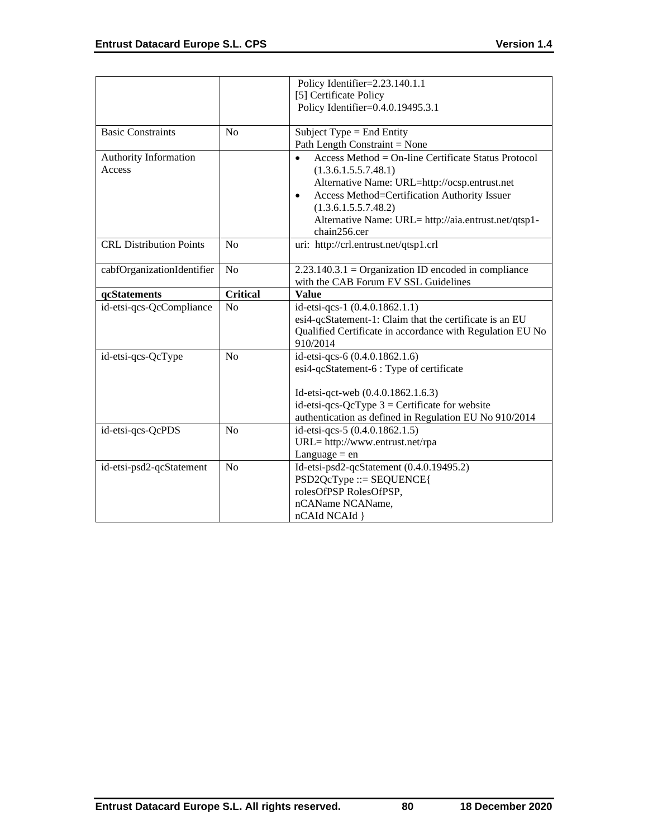|                                |                 | Policy Identifier=2.23.140.1.1                            |
|--------------------------------|-----------------|-----------------------------------------------------------|
|                                |                 | [5] Certificate Policy                                    |
|                                |                 | Policy Identifier=0.4.0.19495.3.1                         |
| <b>Basic Constraints</b>       | N <sub>0</sub>  | Subject Type $=$ End Entity                               |
|                                |                 | Path Length Constraint = None                             |
| Authority Information          |                 | Access Method = On-line Certificate Status Protocol       |
| Access                         |                 | (1.3.6.1.5.5.7.48.1)                                      |
|                                |                 | Alternative Name: URL=http://ocsp.entrust.net             |
|                                |                 | Access Method=Certification Authority Issuer<br>$\bullet$ |
|                                |                 | (1.3.6.1.5.5.7.48.2)                                      |
|                                |                 | Alternative Name: URL= http://aia.entrust.net/qtsp1-      |
|                                |                 | chain256.cer                                              |
| <b>CRL Distribution Points</b> | N <sub>0</sub>  | uri: http://crl.entrust.net/qtsp1.crl                     |
|                                |                 |                                                           |
| cabfOrganizationIdentifier     | No              | $2.23.140.3.1 =$ Organization ID encoded in compliance    |
|                                |                 | with the CAB Forum EV SSL Guidelines                      |
| qcStatements                   | <b>Critical</b> | <b>Value</b>                                              |
| id-etsi-qcs-QcCompliance       | No              | id-etsi-qcs-1 (0.4.0.1862.1.1)                            |
|                                |                 | esi4-qcStatement-1: Claim that the certificate is an EU   |
|                                |                 | Qualified Certificate in accordance with Regulation EU No |
|                                |                 | 910/2014                                                  |
| id-etsi-qcs-QcType             | No              | id-etsi-qcs-6 (0.4.0.1862.1.6)                            |
|                                |                 | esi4-qcStatement-6 : Type of certificate                  |
|                                |                 |                                                           |
|                                |                 | Id-etsi-qct-web (0.4.0.1862.1.6.3)                        |
|                                |                 | id-etsi-qcs-QcType $3$ = Certificate for website          |
|                                |                 | authentication as defined in Regulation EU No 910/2014    |
| id-etsi-qcs-QcPDS              | N <sub>o</sub>  | id-etsi-qcs-5 (0.4.0.1862.1.5)                            |
|                                |                 | URL= http://www.entrust.net/rpa                           |
|                                |                 | Language $=$ en                                           |
| id-etsi-psd2-qcStatement       | N <sub>o</sub>  | Id-etsi-psd2-qcStatement (0.4.0.19495.2)                  |
|                                |                 | $PSD2QcType ::= SEQUENCE$                                 |
|                                |                 | rolesOfPSP RolesOfPSP,                                    |
|                                |                 | nCAName NCAName,                                          |
|                                |                 | nCAId NCAId }                                             |